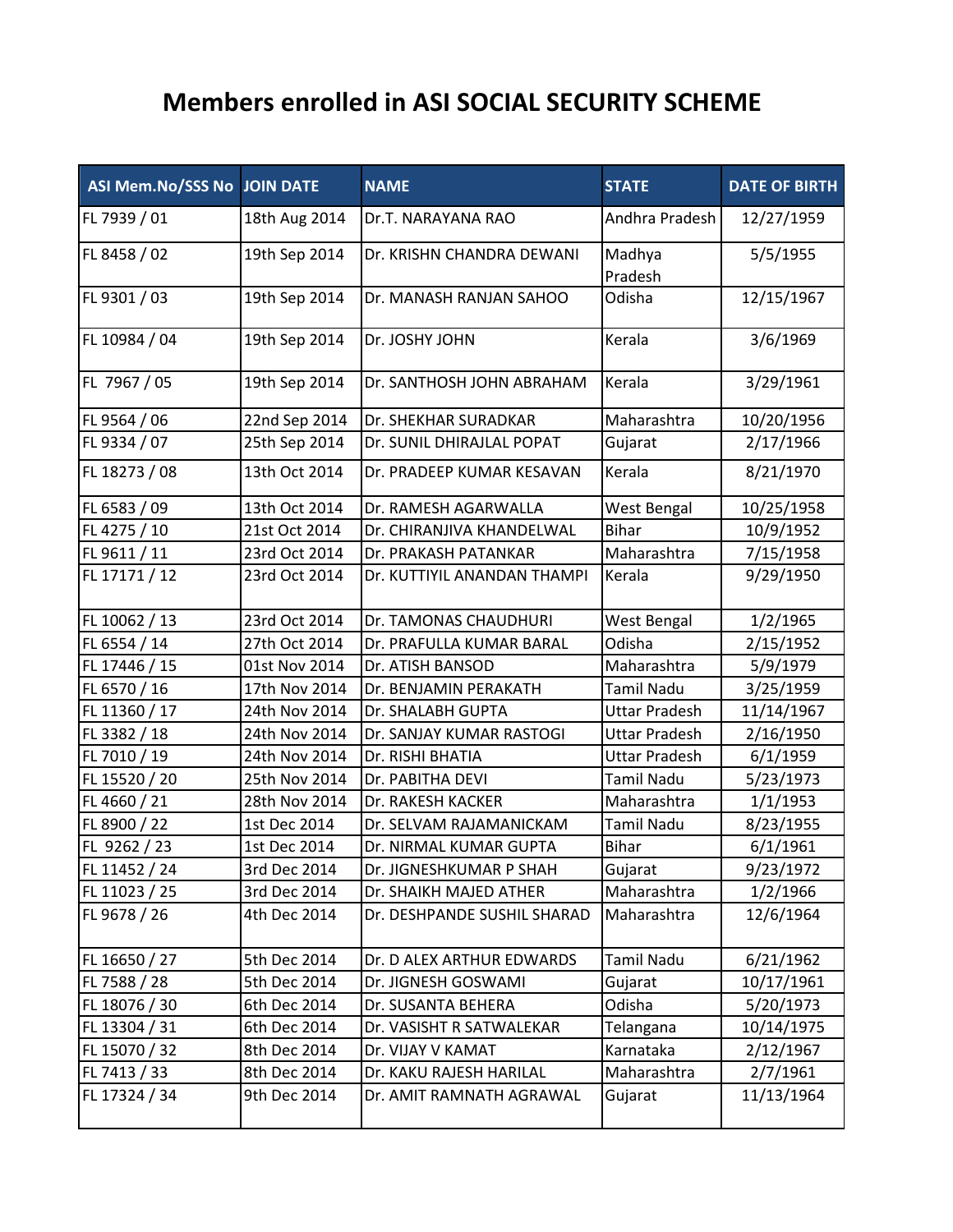## **Members enrolled in ASI SOCIAL SECURITY SCHEME**

| <b>ASI Mem.No/SSS No JOIN DATE</b> |               | <b>NAME</b>                 | <b>STATE</b>         | <b>DATE OF BIRTH</b> |
|------------------------------------|---------------|-----------------------------|----------------------|----------------------|
| FL 7939 / 01                       | 18th Aug 2014 | Dr.T. NARAYANA RAO          | Andhra Pradesh       | 12/27/1959           |
| FL 8458 / 02                       | 19th Sep 2014 | Dr. KRISHN CHANDRA DEWANI   | Madhya<br>Pradesh    | 5/5/1955             |
| FL 9301 / 03                       | 19th Sep 2014 | Dr. MANASH RANJAN SAHOO     | Odisha               | 12/15/1967           |
| FL 10984 / 04                      | 19th Sep 2014 | Dr. JOSHY JOHN              | Kerala               | 3/6/1969             |
| FL 7967 / 05                       | 19th Sep 2014 | Dr. SANTHOSH JOHN ABRAHAM   | Kerala               | 3/29/1961            |
| FL 9564 / 06                       | 22nd Sep 2014 | Dr. SHEKHAR SURADKAR        | Maharashtra          | 10/20/1956           |
| FL 9334 / 07                       | 25th Sep 2014 | Dr. SUNIL DHIRAJLAL POPAT   | Gujarat              | 2/17/1966            |
| FL 18273 / 08                      | 13th Oct 2014 | Dr. PRADEEP KUMAR KESAVAN   | Kerala               | 8/21/1970            |
| FL 6583 / 09                       | 13th Oct 2014 | Dr. RAMESH AGARWALLA        | West Bengal          | 10/25/1958           |
| FL 4275 / 10                       | 21st Oct 2014 | Dr. CHIRANJIVA KHANDELWAL   | <b>Bihar</b>         | 10/9/1952            |
| FL 9611 / 11                       | 23rd Oct 2014 | Dr. PRAKASH PATANKAR        | Maharashtra          | 7/15/1958            |
| FL 17171 / 12                      | 23rd Oct 2014 | Dr. KUTTIYIL ANANDAN THAMPI | Kerala               | 9/29/1950            |
| FL 10062 / 13                      | 23rd Oct 2014 | Dr. TAMONAS CHAUDHURI       | West Bengal          | 1/2/1965             |
| FL 6554 / 14                       | 27th Oct 2014 | Dr. PRAFULLA KUMAR BARAL    | Odisha               | 2/15/1952            |
| FL 17446 / 15                      | 01st Nov 2014 | Dr. ATISH BANSOD            | Maharashtra          | 5/9/1979             |
| FL 6570 / 16                       | 17th Nov 2014 | Dr. BENJAMIN PERAKATH       | <b>Tamil Nadu</b>    | 3/25/1959            |
| FL 11360 / 17                      | 24th Nov 2014 | Dr. SHALABH GUPTA           | <b>Uttar Pradesh</b> | 11/14/1967           |
| FL 3382 / 18                       | 24th Nov 2014 | Dr. SANJAY KUMAR RASTOGI    | <b>Uttar Pradesh</b> | 2/16/1950            |
| FL 7010 / 19                       | 24th Nov 2014 | Dr. RISHI BHATIA            | <b>Uttar Pradesh</b> | 6/1/1959             |
| FL 15520 / 20                      | 25th Nov 2014 | Dr. PABITHA DEVI            | <b>Tamil Nadu</b>    | 5/23/1973            |
| FL 4660 / 21                       | 28th Nov 2014 | Dr. RAKESH KACKER           | Maharashtra          | 1/1/1953             |
| FL 8900 / 22                       | 1st Dec 2014  | Dr. SELVAM RAJAMANICKAM     | <b>Tamil Nadu</b>    | 8/23/1955            |
| FL 9262 / 23                       | 1st Dec 2014  | Dr. NIRMAL KUMAR GUPTA      | <b>Bihar</b>         | 6/1/1961             |
| FL 11452 / 24                      | 3rd Dec 2014  | Dr. JIGNESHKUMAR P SHAH     | Gujarat              | 9/23/1972            |
| FL 11023 / 25                      | 3rd Dec 2014  | Dr. SHAIKH MAJED ATHER      | Maharashtra          | 1/2/1966             |
| FL 9678 / 26                       | 4th Dec 2014  | Dr. DESHPANDE SUSHIL SHARAD | Maharashtra          | 12/6/1964            |
| FL 16650 / 27                      | 5th Dec 2014  | Dr. D ALEX ARTHUR EDWARDS   | Tamil Nadu           | 6/21/1962            |
| FL 7588 / 28                       | 5th Dec 2014  | Dr. JIGNESH GOSWAMI         | Gujarat              | 10/17/1961           |
| FL 18076 / 30                      | 6th Dec 2014  | Dr. SUSANTA BEHERA          | Odisha               | 5/20/1973            |
| FL 13304 / 31                      | 6th Dec 2014  | Dr. VASISHT R SATWALEKAR    | Telangana            | 10/14/1975           |
| FL 15070 / 32                      | 8th Dec 2014  | Dr. VIJAY V KAMAT           | Karnataka            | 2/12/1967            |
| FL 7413 / 33                       | 8th Dec 2014  | Dr. KAKU RAJESH HARILAL     | Maharashtra          | 2/7/1961             |
| FL 17324 / 34                      | 9th Dec 2014  | Dr. AMIT RAMNATH AGRAWAL    | Gujarat              | 11/13/1964           |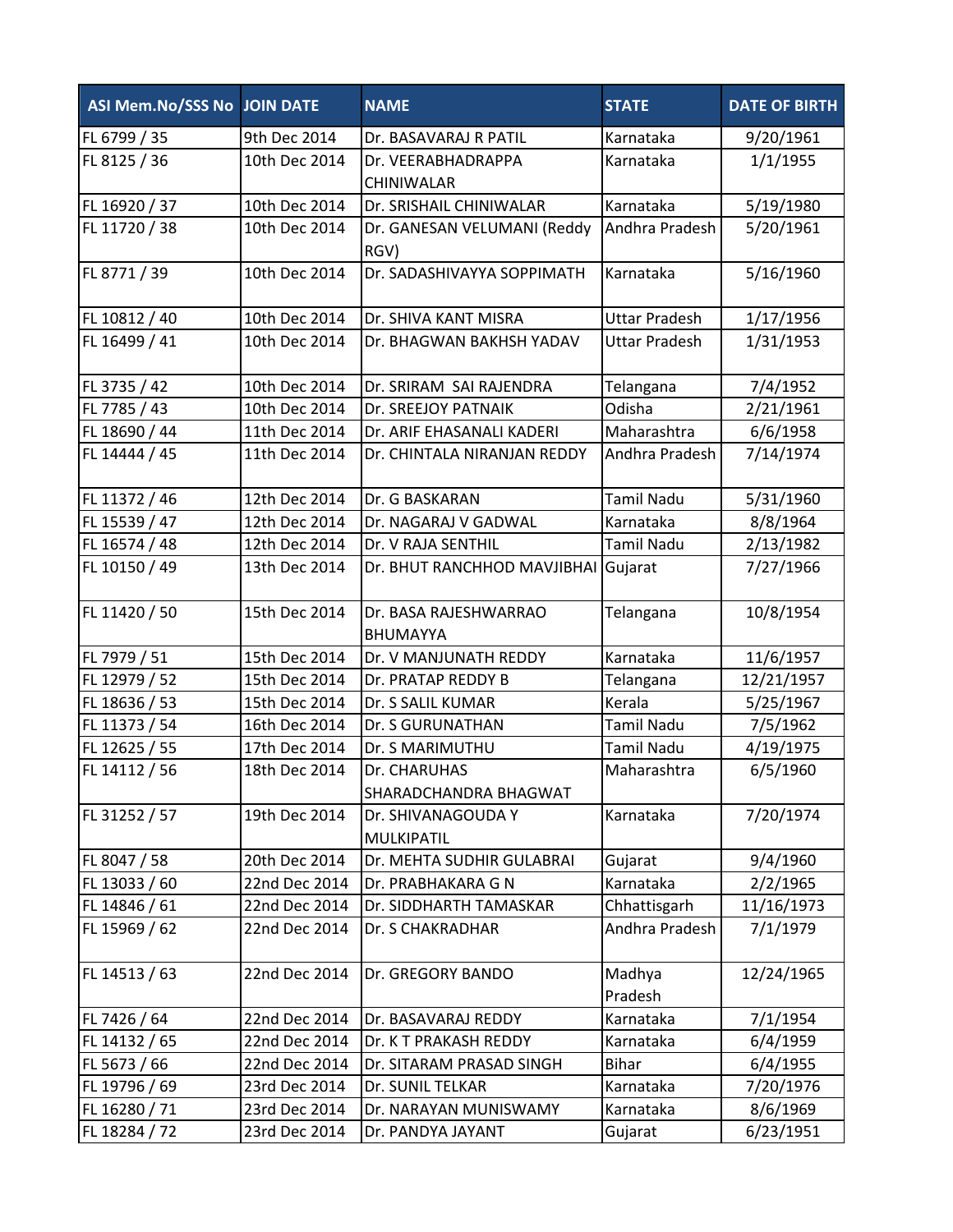| ASI Mem.No/SSS No JOIN DATE |               | <b>NAME</b>                              | <b>STATE</b>         | <b>DATE OF BIRTH</b> |
|-----------------------------|---------------|------------------------------------------|----------------------|----------------------|
| FL 6799 / 35                | 9th Dec 2014  | Dr. BASAVARAJ R PATIL                    | Karnataka            | 9/20/1961            |
| FL 8125 / 36                | 10th Dec 2014 | Dr. VEERABHADRAPPA                       | Karnataka            | 1/1/1955             |
|                             |               | CHINIWALAR                               |                      |                      |
| FL 16920 / 37               | 10th Dec 2014 | Dr. SRISHAIL CHINIWALAR                  | Karnataka            | 5/19/1980            |
| FL 11720 / 38               | 10th Dec 2014 | Dr. GANESAN VELUMANI (Reddy              | Andhra Pradesh       | 5/20/1961            |
|                             |               | RGV)                                     |                      |                      |
| FL 8771 / 39                | 10th Dec 2014 | Dr. SADASHIVAYYA SOPPIMATH               | Karnataka            | 5/16/1960            |
| FL 10812 / 40               | 10th Dec 2014 | Dr. SHIVA KANT MISRA                     | <b>Uttar Pradesh</b> | 1/17/1956            |
| FL 16499 / 41               | 10th Dec 2014 | Dr. BHAGWAN BAKHSH YADAV                 | <b>Uttar Pradesh</b> | 1/31/1953            |
| FL 3735 / 42                | 10th Dec 2014 | Dr. SRIRAM SAI RAJENDRA                  | Telangana            | 7/4/1952             |
| FL 7785 / 43                | 10th Dec 2014 | Dr. SREEJOY PATNAIK                      | Odisha               | 2/21/1961            |
| FL 18690 / 44               | 11th Dec 2014 | Dr. ARIF EHASANALI KADERI                | Maharashtra          | 6/6/1958             |
| FL 14444 / 45               | 11th Dec 2014 | Dr. CHINTALA NIRANJAN REDDY              | Andhra Pradesh       | 7/14/1974            |
| FL 11372 / 46               | 12th Dec 2014 | Dr. G BASKARAN                           | <b>Tamil Nadu</b>    | 5/31/1960            |
| FL 15539 / 47               | 12th Dec 2014 | Dr. NAGARAJ V GADWAL                     | Karnataka            | 8/8/1964             |
| FL 16574 / 48               | 12th Dec 2014 | Dr. V RAJA SENTHIL                       | <b>Tamil Nadu</b>    | 2/13/1982            |
| FL 10150 / 49               | 13th Dec 2014 | Dr. BHUT RANCHHOD MAVJIBHAI Gujarat      |                      | 7/27/1966            |
| FL 11420 / 50               | 15th Dec 2014 | Dr. BASA RAJESHWARRAO<br><b>BHUMAYYA</b> | Telangana            | 10/8/1954            |
| FL 7979 / 51                | 15th Dec 2014 | Dr. V MANJUNATH REDDY                    | Karnataka            | 11/6/1957            |
| FL 12979 / 52               | 15th Dec 2014 | Dr. PRATAP REDDY B                       | Telangana            | 12/21/1957           |
| FL 18636 / 53               | 15th Dec 2014 | Dr. S SALIL KUMAR                        | Kerala               | 5/25/1967            |
| FL 11373 / 54               | 16th Dec 2014 | Dr. S GURUNATHAN                         | <b>Tamil Nadu</b>    | 7/5/1962             |
| FL 12625 / 55               | 17th Dec 2014 | Dr. S MARIMUTHU                          | <b>Tamil Nadu</b>    | 4/19/1975            |
| FL 14112 / 56               | 18th Dec 2014 | Dr. CHARUHAS                             | Maharashtra          | 6/5/1960             |
|                             |               | SHARADCHANDRA BHAGWAT                    |                      |                      |
| FL 31252 / 57               | 19th Dec 2014 | Dr. SHIVANAGOUDA Y<br><b>MULKIPATIL</b>  | Karnataka            | 7/20/1974            |
| FL 8047 / 58                | 20th Dec 2014 | Dr. MEHTA SUDHIR GULABRAI                | Gujarat              | 9/4/1960             |
| FL 13033 / 60               | 22nd Dec 2014 | Dr. PRABHAKARA G N                       | Karnataka            | 2/2/1965             |
| FL 14846 / 61               | 22nd Dec 2014 | Dr. SIDDHARTH TAMASKAR                   | Chhattisgarh         | 11/16/1973           |
| FL 15969 / 62               | 22nd Dec 2014 | Dr. S CHAKRADHAR                         | Andhra Pradesh       | 7/1/1979             |
| FL 14513 / 63               | 22nd Dec 2014 | Dr. GREGORY BANDO                        | Madhya               | 12/24/1965           |
|                             |               |                                          | Pradesh              |                      |
| FL 7426 / 64                | 22nd Dec 2014 | Dr. BASAVARAJ REDDY                      | Karnataka            | 7/1/1954             |
| FL 14132 / 65               | 22nd Dec 2014 | Dr. K T PRAKASH REDDY                    | Karnataka            | 6/4/1959             |
| FL 5673 / 66                | 22nd Dec 2014 | Dr. SITARAM PRASAD SINGH                 | <b>Bihar</b>         | 6/4/1955             |
| FL 19796 / 69               | 23rd Dec 2014 | Dr. SUNIL TELKAR                         | Karnataka            | 7/20/1976            |
| FL 16280 / 71               | 23rd Dec 2014 | Dr. NARAYAN MUNISWAMY                    | Karnataka            | 8/6/1969             |
| FL 18284 / 72               | 23rd Dec 2014 | Dr. PANDYA JAYANT                        | Gujarat              | 6/23/1951            |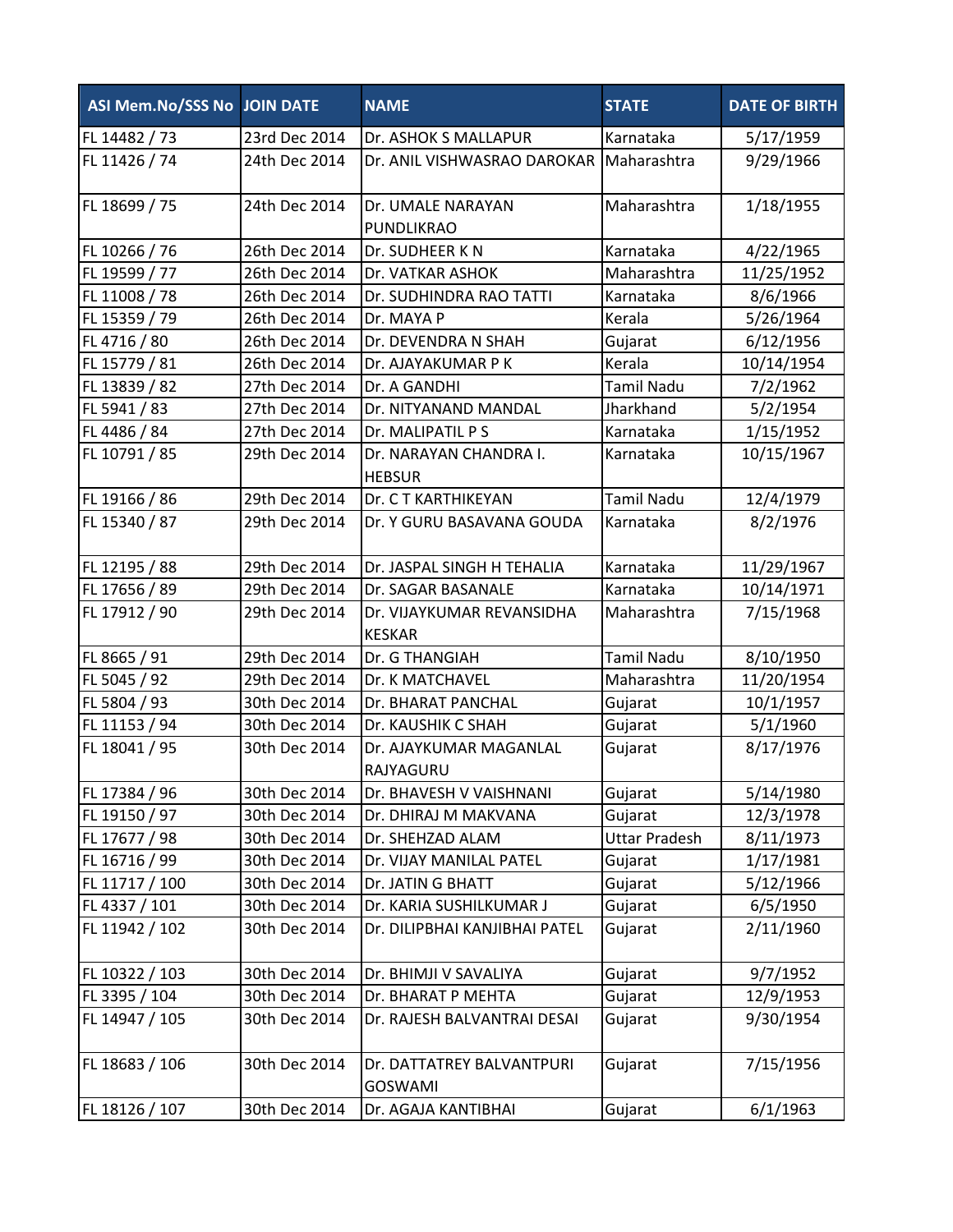| ASI Mem.No/SSS No JOIN DATE |               | <b>NAME</b>                                 | <b>STATE</b>         | <b>DATE OF BIRTH</b> |
|-----------------------------|---------------|---------------------------------------------|----------------------|----------------------|
| FL 14482 / 73               | 23rd Dec 2014 | Dr. ASHOK S MALLAPUR                        | Karnataka            | 5/17/1959            |
| FL 11426 / 74               | 24th Dec 2014 | Dr. ANIL VISHWASRAO DAROKAR                 | Maharashtra          | 9/29/1966            |
| FL 18699 / 75               | 24th Dec 2014 | Dr. UMALE NARAYAN<br>PUNDLIKRAO             | Maharashtra          | 1/18/1955            |
| FL 10266 / 76               | 26th Dec 2014 | Dr. SUDHEER K N                             | Karnataka            | 4/22/1965            |
| FL 19599 / 77               | 26th Dec 2014 | Dr. VATKAR ASHOK                            | Maharashtra          | 11/25/1952           |
| FL 11008 / 78               | 26th Dec 2014 | Dr. SUDHINDRA RAO TATTI                     | Karnataka            | 8/6/1966             |
| FL 15359 / 79               | 26th Dec 2014 | Dr. MAYA P                                  | Kerala               | 5/26/1964            |
| FL 4716 / 80                | 26th Dec 2014 | Dr. DEVENDRA N SHAH                         | Gujarat              | 6/12/1956            |
| FL 15779 / 81               | 26th Dec 2014 | Dr. AJAYAKUMAR P K                          | Kerala               | 10/14/1954           |
| FL 13839 / 82               | 27th Dec 2014 | Dr. A GANDHI                                | <b>Tamil Nadu</b>    | 7/2/1962             |
| FL 5941 / 83                | 27th Dec 2014 | Dr. NITYANAND MANDAL                        | Jharkhand            | 5/2/1954             |
| FL 4486 / 84                | 27th Dec 2014 | Dr. MALIPATIL P S                           | Karnataka            | 1/15/1952            |
| FL 10791 / 85               | 29th Dec 2014 | Dr. NARAYAN CHANDRA I.<br><b>HEBSUR</b>     | Karnataka            | 10/15/1967           |
| FL 19166 / 86               | 29th Dec 2014 | Dr. C T KARTHIKEYAN                         | <b>Tamil Nadu</b>    | 12/4/1979            |
| FL 15340 / 87               | 29th Dec 2014 | Dr. Y GURU BASAVANA GOUDA                   | Karnataka            | 8/2/1976             |
| FL 12195 / 88               | 29th Dec 2014 | Dr. JASPAL SINGH H TEHALIA                  | Karnataka            | 11/29/1967           |
| FL 17656 / 89               | 29th Dec 2014 | Dr. SAGAR BASANALE                          | Karnataka            | 10/14/1971           |
| FL 17912 / 90               | 29th Dec 2014 | Dr. VIJAYKUMAR REVANSIDHA<br><b>KESKAR</b>  | Maharashtra          | 7/15/1968            |
| FL 8665 / 91                | 29th Dec 2014 | Dr. G THANGIAH                              | <b>Tamil Nadu</b>    | 8/10/1950            |
| FL 5045 / 92                | 29th Dec 2014 | Dr. K MATCHAVEL                             | Maharashtra          | 11/20/1954           |
| FL 5804 / 93                | 30th Dec 2014 | Dr. BHARAT PANCHAL                          | Gujarat              | 10/1/1957            |
| FL 11153 / 94               | 30th Dec 2014 | Dr. KAUSHIK C SHAH                          | Gujarat              | 5/1/1960             |
| FL 18041 / 95               | 30th Dec 2014 | Dr. AJAYKUMAR MAGANLAL<br>RAJYAGURU         | Gujarat              | 8/17/1976            |
| FL 17384 / 96               | 30th Dec 2014 | Dr. BHAVESH V VAISHNANI                     | Gujarat              | 5/14/1980            |
| FL 19150 / 97               | 30th Dec 2014 | Dr. DHIRAJ M MAKVANA                        | Gujarat              | 12/3/1978            |
| FL 17677 / 98               | 30th Dec 2014 | Dr. SHEHZAD ALAM                            | <b>Uttar Pradesh</b> | 8/11/1973            |
| FL 16716 / 99               | 30th Dec 2014 | Dr. VIJAY MANILAL PATEL                     | Gujarat              | 1/17/1981            |
| FL 11717 / 100              | 30th Dec 2014 | Dr. JATIN G BHATT                           | Gujarat              | 5/12/1966            |
| FL 4337 / 101               | 30th Dec 2014 | Dr. KARIA SUSHILKUMAR J                     | Gujarat              | 6/5/1950             |
| FL 11942 / 102              | 30th Dec 2014 | Dr. DILIPBHAI KANJIBHAI PATEL               | Gujarat              | 2/11/1960            |
| FL 10322 / 103              | 30th Dec 2014 | Dr. BHIMJI V SAVALIYA                       | Gujarat              | 9/7/1952             |
| FL 3395 / 104               | 30th Dec 2014 | Dr. BHARAT P MEHTA                          | Gujarat              | 12/9/1953            |
| FL 14947 / 105              | 30th Dec 2014 | Dr. RAJESH BALVANTRAI DESAI                 | Gujarat              | 9/30/1954            |
| FL 18683 / 106              | 30th Dec 2014 | Dr. DATTATREY BALVANTPURI<br><b>GOSWAMI</b> | Gujarat              | 7/15/1956            |
| FL 18126 / 107              | 30th Dec 2014 | Dr. AGAJA KANTIBHAI                         | Gujarat              | 6/1/1963             |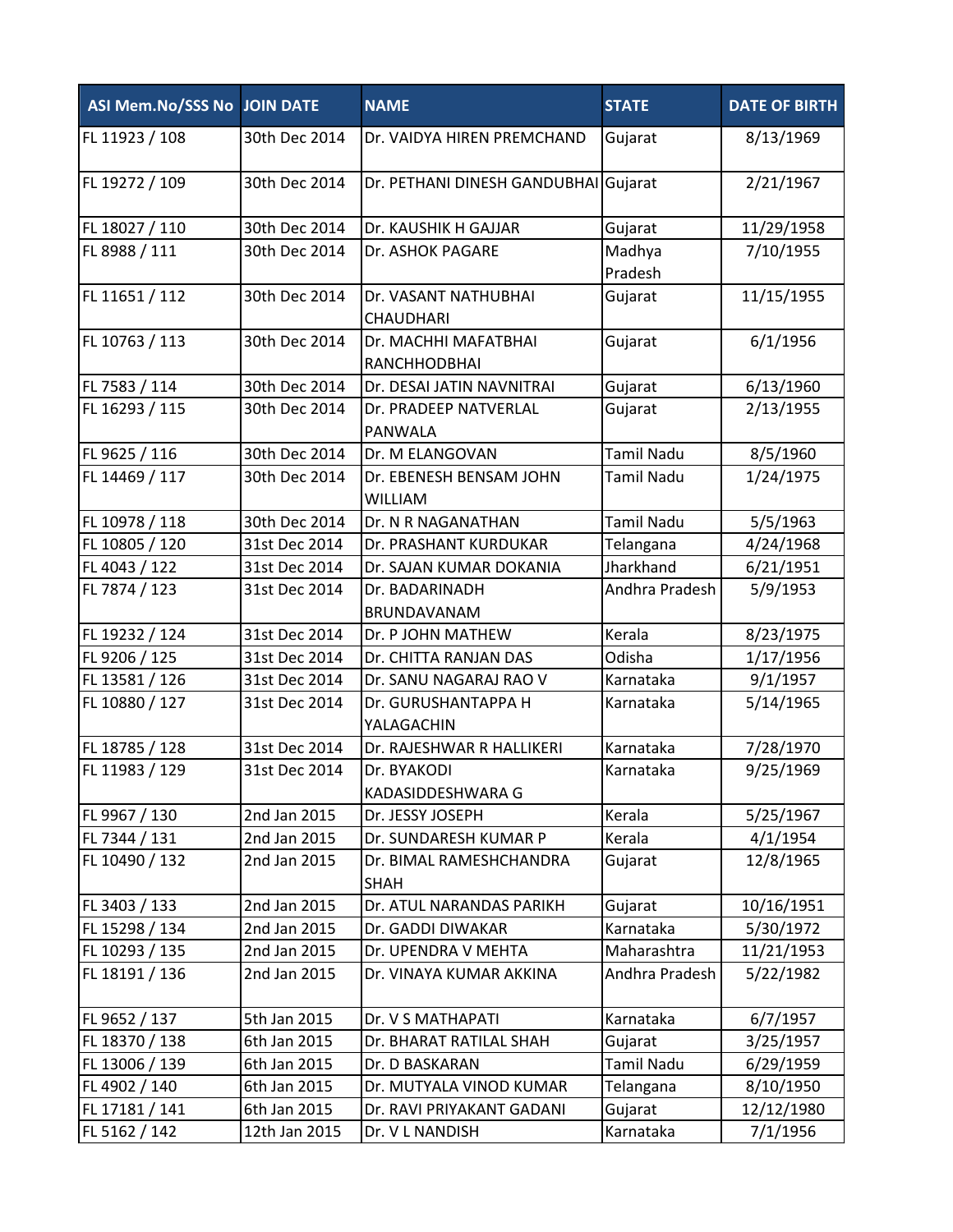| ASI Mem.No/SSS No JOIN DATE |               | <b>NAME</b>                            | <b>STATE</b>      | <b>DATE OF BIRTH</b> |
|-----------------------------|---------------|----------------------------------------|-------------------|----------------------|
| FL 11923 / 108              | 30th Dec 2014 | Dr. VAIDYA HIREN PREMCHAND             | Gujarat           | 8/13/1969            |
| FL 19272 / 109              | 30th Dec 2014 | Dr. PETHANI DINESH GANDUBHAI Gujarat   |                   | 2/21/1967            |
| FL 18027 / 110              | 30th Dec 2014 | Dr. KAUSHIK H GAJJAR                   | Gujarat           | 11/29/1958           |
| FL 8988 / 111               | 30th Dec 2014 | Dr. ASHOK PAGARE                       | Madhya            | 7/10/1955            |
|                             |               |                                        | Pradesh           |                      |
| FL 11651 / 112              | 30th Dec 2014 | Dr. VASANT NATHUBHAI                   | Gujarat           | 11/15/1955           |
|                             |               | <b>CHAUDHARI</b>                       |                   |                      |
| FL 10763 / 113              | 30th Dec 2014 | Dr. MACHHI MAFATBHAI                   | Gujarat           | 6/1/1956             |
|                             |               | RANCHHODBHAI                           |                   |                      |
| FL 7583 / 114               | 30th Dec 2014 | Dr. DESAI JATIN NAVNITRAI              | Gujarat           | 6/13/1960            |
| FL 16293 / 115              | 30th Dec 2014 | Dr. PRADEEP NATVERLAL                  | Gujarat           | 2/13/1955            |
|                             |               | PANWALA                                |                   |                      |
| FL 9625 / 116               | 30th Dec 2014 | Dr. M ELANGOVAN                        | <b>Tamil Nadu</b> | 8/5/1960             |
| FL 14469 / 117              | 30th Dec 2014 | Dr. EBENESH BENSAM JOHN                | <b>Tamil Nadu</b> | 1/24/1975            |
|                             |               | <b>WILLIAM</b>                         |                   |                      |
| FL 10978 / 118              | 30th Dec 2014 | Dr. N R NAGANATHAN                     | <b>Tamil Nadu</b> | 5/5/1963             |
| FL 10805 / 120              | 31st Dec 2014 | Dr. PRASHANT KURDUKAR                  | Telangana         | 4/24/1968            |
| FL 4043 / 122               | 31st Dec 2014 | Dr. SAJAN KUMAR DOKANIA                | Jharkhand         | 6/21/1951            |
| FL 7874 / 123               | 31st Dec 2014 | Dr. BADARINADH<br>BRUNDAVANAM          | Andhra Pradesh    | 5/9/1953             |
| FL 19232 / 124              | 31st Dec 2014 | Dr. P JOHN MATHEW                      | Kerala            | 8/23/1975            |
| FL 9206 / 125               | 31st Dec 2014 | Dr. CHITTA RANJAN DAS                  | Odisha            | 1/17/1956            |
| FL 13581 / 126              | 31st Dec 2014 | Dr. SANU NAGARAJ RAO V                 | Karnataka         | 9/1/1957             |
| FL 10880 / 127              | 31st Dec 2014 | Dr. GURUSHANTAPPA H                    | Karnataka         | 5/14/1965            |
|                             |               | YALAGACHIN                             |                   |                      |
| FL 18785 / 128              | 31st Dec 2014 | Dr. RAJESHWAR R HALLIKERI              | Karnataka         | 7/28/1970            |
| FL 11983 / 129              | 31st Dec 2014 | Dr. BYAKODI                            | Karnataka         | 9/25/1969            |
|                             |               | KADASIDDESHWARA G                      |                   |                      |
| FL 9967 / 130               | 2nd Jan 2015  | Dr. JESSY JOSEPH                       | Kerala            | 5/25/1967            |
| FL 7344 / 131               | 2nd Jan 2015  | Dr. SUNDARESH KUMAR P                  | Kerala            | 4/1/1954             |
| FL 10490 / 132              | 2nd Jan 2015  | Dr. BIMAL RAMESHCHANDRA<br><b>SHAH</b> | Gujarat           | 12/8/1965            |
| FL 3403 / 133               | 2nd Jan 2015  | Dr. ATUL NARANDAS PARIKH               | Gujarat           | 10/16/1951           |
| FL 15298 / 134              | 2nd Jan 2015  | Dr. GADDI DIWAKAR                      | Karnataka         | 5/30/1972            |
| FL 10293 / 135              | 2nd Jan 2015  | Dr. UPENDRA V MEHTA                    | Maharashtra       | 11/21/1953           |
| FL 18191 / 136              | 2nd Jan 2015  | Dr. VINAYA KUMAR AKKINA                | Andhra Pradesh    | 5/22/1982            |
| FL 9652 / 137               | 5th Jan 2015  | Dr. V S MATHAPATI                      | Karnataka         | 6/7/1957             |
| FL 18370 / 138              | 6th Jan 2015  | Dr. BHARAT RATILAL SHAH                | Gujarat           | 3/25/1957            |
| FL 13006 / 139              | 6th Jan 2015  | Dr. D BASKARAN                         | <b>Tamil Nadu</b> | 6/29/1959            |
| FL 4902 / 140               | 6th Jan 2015  | Dr. MUTYALA VINOD KUMAR                | Telangana         | 8/10/1950            |
| FL 17181 / 141              | 6th Jan 2015  | Dr. RAVI PRIYAKANT GADANI              | Gujarat           | 12/12/1980           |
| FL 5162 / 142               | 12th Jan 2015 | Dr. V L NANDISH                        | Karnataka         | 7/1/1956             |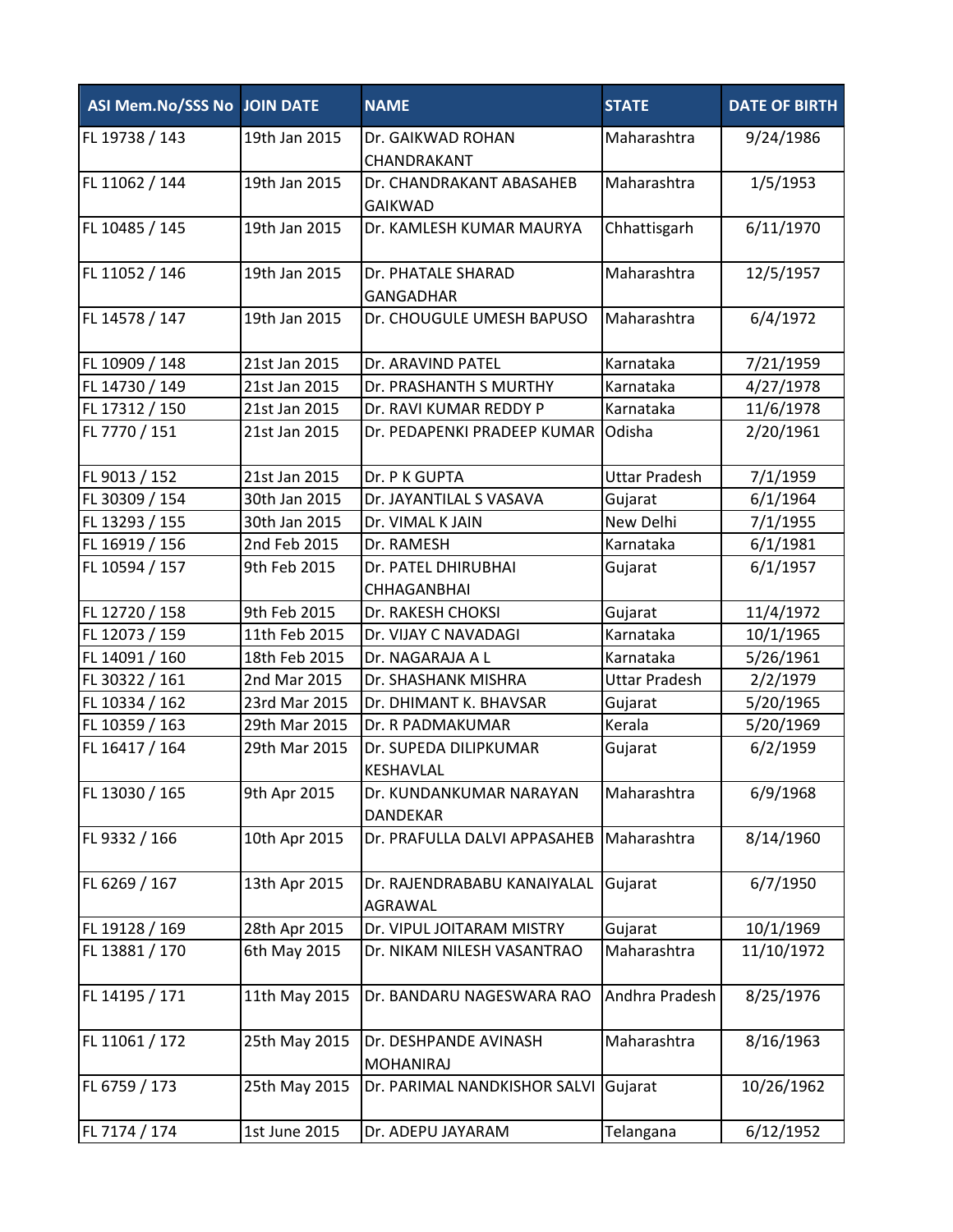| ASI Mem.No/SSS No JOIN DATE |               | <b>NAME</b>                                | <b>STATE</b>         | <b>DATE OF BIRTH</b> |
|-----------------------------|---------------|--------------------------------------------|----------------------|----------------------|
| FL 19738 / 143              | 19th Jan 2015 | Dr. GAIKWAD ROHAN<br>CHANDRAKANT           | Maharashtra          | 9/24/1986            |
| FL 11062 / 144              | 19th Jan 2015 | Dr. CHANDRAKANT ABASAHEB<br><b>GAIKWAD</b> | Maharashtra          | 1/5/1953             |
| FL 10485 / 145              | 19th Jan 2015 | Dr. KAMLESH KUMAR MAURYA                   | Chhattisgarh         | 6/11/1970            |
| FL 11052 / 146              | 19th Jan 2015 | Dr. PHATALE SHARAD<br><b>GANGADHAR</b>     | Maharashtra          | 12/5/1957            |
| FL 14578 / 147              | 19th Jan 2015 | Dr. CHOUGULE UMESH BAPUSO                  | Maharashtra          | 6/4/1972             |
| FL 10909 / 148              | 21st Jan 2015 | Dr. ARAVIND PATEL                          | Karnataka            | 7/21/1959            |
| FL 14730 / 149              | 21st Jan 2015 | Dr. PRASHANTH S MURTHY                     | Karnataka            | 4/27/1978            |
| FL 17312 / 150              | 21st Jan 2015 | Dr. RAVI KUMAR REDDY P                     | Karnataka            | 11/6/1978            |
| FL 7770 / 151               | 21st Jan 2015 | Dr. PEDAPENKI PRADEEP KUMAR                | Odisha               | 2/20/1961            |
| FL 9013 / 152               | 21st Jan 2015 | Dr. P K GUPTA                              | <b>Uttar Pradesh</b> | 7/1/1959             |
| FL 30309 / 154              | 30th Jan 2015 | Dr. JAYANTILAL S VASAVA                    | Gujarat              | 6/1/1964             |
| FL 13293 / 155              | 30th Jan 2015 | Dr. VIMAL K JAIN                           | New Delhi            | 7/1/1955             |
| FL 16919 / 156              | 2nd Feb 2015  | Dr. RAMESH                                 | Karnataka            | 6/1/1981             |
| FL 10594 / 157              | 9th Feb 2015  | Dr. PATEL DHIRUBHAI<br><b>CHHAGANBHAI</b>  | Gujarat              | 6/1/1957             |
| FL 12720 / 158              | 9th Feb 2015  | Dr. RAKESH CHOKSI                          | Gujarat              | 11/4/1972            |
| FL 12073 / 159              | 11th Feb 2015 | Dr. VIJAY C NAVADAGI                       | Karnataka            | 10/1/1965            |
| FL 14091 / 160              | 18th Feb 2015 | Dr. NAGARAJA A L                           | Karnataka            | 5/26/1961            |
| FL 30322 / 161              | 2nd Mar 2015  | Dr. SHASHANK MISHRA                        | <b>Uttar Pradesh</b> | 2/2/1979             |
| FL 10334 / 162              | 23rd Mar 2015 | Dr. DHIMANT K. BHAVSAR                     | Gujarat              | 5/20/1965            |
| FL 10359 / 163              | 29th Mar 2015 | Dr. R PADMAKUMAR                           | Kerala               | 5/20/1969            |
| FL 16417 / 164              | 29th Mar 2015 | Dr. SUPEDA DILIPKUMAR<br><b>KESHAVLAL</b>  | Gujarat              | 6/2/1959             |
| FL 13030 / 165              | 9th Apr 2015  | Dr. KUNDANKUMAR NARAYAN<br>DANDEKAR        | Maharashtra          | 6/9/1968             |
| FL 9332 / 166               | 10th Apr 2015 | Dr. PRAFULLA DALVI APPASAHEB               | Maharashtra          | 8/14/1960            |
| FL 6269 / 167               | 13th Apr 2015 | Dr. RAJENDRABABU KANAIYALAL<br>AGRAWAL     | Gujarat              | 6/7/1950             |
| FL 19128 / 169              | 28th Apr 2015 | Dr. VIPUL JOITARAM MISTRY                  | Gujarat              | 10/1/1969            |
| FL 13881 / 170              | 6th May 2015  | Dr. NIKAM NILESH VASANTRAO                 | Maharashtra          | 11/10/1972           |
| FL 14195 / 171              | 11th May 2015 | Dr. BANDARU NAGESWARA RAO                  | Andhra Pradesh       | 8/25/1976            |
| FL 11061 / 172              | 25th May 2015 | Dr. DESHPANDE AVINASH<br><b>MOHANIRAJ</b>  | Maharashtra          | 8/16/1963            |
| FL 6759 / 173               | 25th May 2015 | Dr. PARIMAL NANDKISHOR SALVI               | Gujarat              | 10/26/1962           |
| FL 7174 / 174               | 1st June 2015 | Dr. ADEPU JAYARAM                          | Telangana            | 6/12/1952            |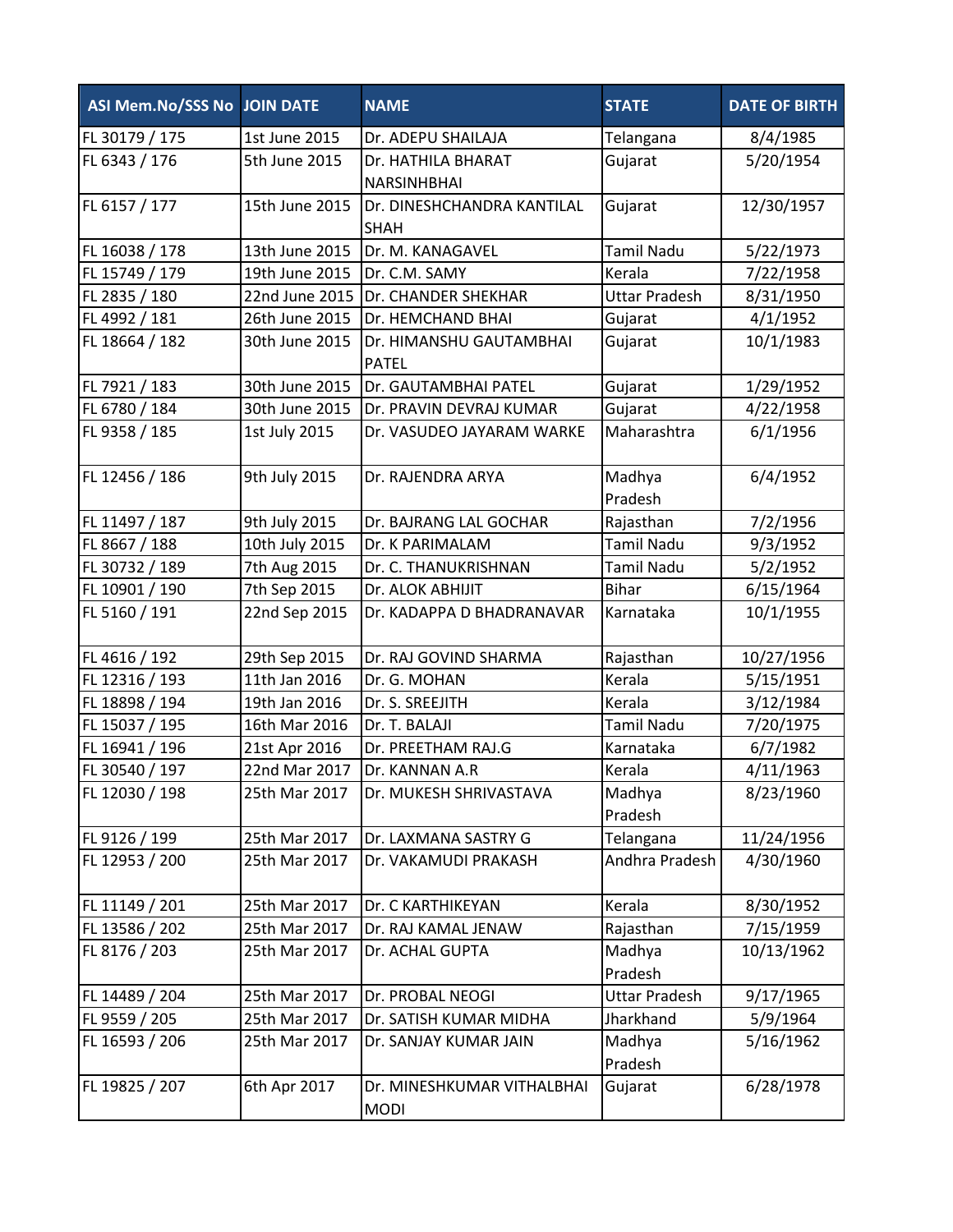| ASI Mem.No/SSS No JOIN DATE |                | <b>NAME</b>                               | <b>STATE</b>         | <b>DATE OF BIRTH</b> |
|-----------------------------|----------------|-------------------------------------------|----------------------|----------------------|
| FL 30179 / 175              | 1st June 2015  | Dr. ADEPU SHAILAJA                        | Telangana            | 8/4/1985             |
| FL 6343 / 176               | 5th June 2015  | Dr. HATHILA BHARAT<br><b>NARSINHBHAI</b>  | Gujarat              | 5/20/1954            |
| FL 6157 / 177               | 15th June 2015 | Dr. DINESHCHANDRA KANTILAL<br><b>SHAH</b> | Gujarat              | 12/30/1957           |
| FL 16038 / 178              | 13th June 2015 | Dr. M. KANAGAVEL                          | <b>Tamil Nadu</b>    | 5/22/1973            |
| FL 15749 / 179              | 19th June 2015 | Dr. C.M. SAMY                             | Kerala               | 7/22/1958            |
| FL 2835 / 180               | 22nd June 2015 | Dr. CHANDER SHEKHAR                       | <b>Uttar Pradesh</b> | 8/31/1950            |
| FL 4992 / 181               | 26th June 2015 | Dr. HEMCHAND BHAI                         | Gujarat              | 4/1/1952             |
| FL 18664 / 182              | 30th June 2015 | Dr. HIMANSHU GAUTAMBHAI<br><b>PATEL</b>   | Gujarat              | 10/1/1983            |
| FL 7921 / 183               | 30th June 2015 | Dr. GAUTAMBHAI PATEL                      | Gujarat              | 1/29/1952            |
| FL 6780 / 184               | 30th June 2015 | Dr. PRAVIN DEVRAJ KUMAR                   | Gujarat              | 4/22/1958            |
| FL 9358 / 185               | 1st July 2015  | Dr. VASUDEO JAYARAM WARKE                 | Maharashtra          | 6/1/1956             |
| FL 12456 / 186              | 9th July 2015  | Dr. RAJENDRA ARYA                         | Madhya<br>Pradesh    | 6/4/1952             |
| FL 11497 / 187              | 9th July 2015  | Dr. BAJRANG LAL GOCHAR                    | Rajasthan            | 7/2/1956             |
| FL 8667 / 188               | 10th July 2015 | Dr. K PARIMALAM                           | <b>Tamil Nadu</b>    | 9/3/1952             |
| FL 30732 / 189              | 7th Aug 2015   | Dr. C. THANUKRISHNAN                      | <b>Tamil Nadu</b>    | 5/2/1952             |
| FL 10901 / 190              | 7th Sep 2015   | Dr. ALOK ABHIJIT                          | <b>Bihar</b>         | 6/15/1964            |
| FL 5160 / 191               | 22nd Sep 2015  | Dr. KADAPPA D BHADRANAVAR                 | Karnataka            | 10/1/1955            |
| FL 4616 / 192               | 29th Sep 2015  | Dr. RAJ GOVIND SHARMA                     | Rajasthan            | 10/27/1956           |
| FL 12316 / 193              | 11th Jan 2016  | Dr. G. MOHAN                              | Kerala               | 5/15/1951            |
| FL 18898 / 194              | 19th Jan 2016  | Dr. S. SREEJITH                           | Kerala               | 3/12/1984            |
| FL 15037 / 195              | 16th Mar 2016  | Dr. T. BALAJI                             | <b>Tamil Nadu</b>    | 7/20/1975            |
| FL 16941 / 196              | 21st Apr 2016  | Dr. PREETHAM RAJ.G                        | Karnataka            | 6/7/1982             |
| FL 30540 / 197              | 22nd Mar 2017  | Dr. KANNAN A.R                            | Kerala               | 4/11/1963            |
| FL 12030 / 198              | 25th Mar 2017  | Dr. MUKESH SHRIVASTAVA                    | Madhya<br>Pradesh    | 8/23/1960            |
| FL 9126 / 199               | 25th Mar 2017  | Dr. LAXMANA SASTRY G                      | Telangana            | 11/24/1956           |
| FL 12953 / 200              | 25th Mar 2017  | Dr. VAKAMUDI PRAKASH                      | Andhra Pradesh       | 4/30/1960            |
| FL 11149 / 201              | 25th Mar 2017  | Dr. C KARTHIKEYAN                         | Kerala               | 8/30/1952            |
| FL 13586 / 202              | 25th Mar 2017  | Dr. RAJ KAMAL JENAW                       | Rajasthan            | 7/15/1959            |
| FL 8176 / 203               | 25th Mar 2017  | Dr. ACHAL GUPTA                           | Madhya<br>Pradesh    | 10/13/1962           |
| FL 14489 / 204              | 25th Mar 2017  | Dr. PROBAL NEOGI                          | <b>Uttar Pradesh</b> | 9/17/1965            |
| FL 9559 / 205               | 25th Mar 2017  | Dr. SATISH KUMAR MIDHA                    | Jharkhand            | 5/9/1964             |
| FL 16593 / 206              | 25th Mar 2017  | Dr. SANJAY KUMAR JAIN                     | Madhya<br>Pradesh    | 5/16/1962            |
| FL 19825 / 207              | 6th Apr 2017   | Dr. MINESHKUMAR VITHALBHAI<br><b>MODI</b> | Gujarat              | 6/28/1978            |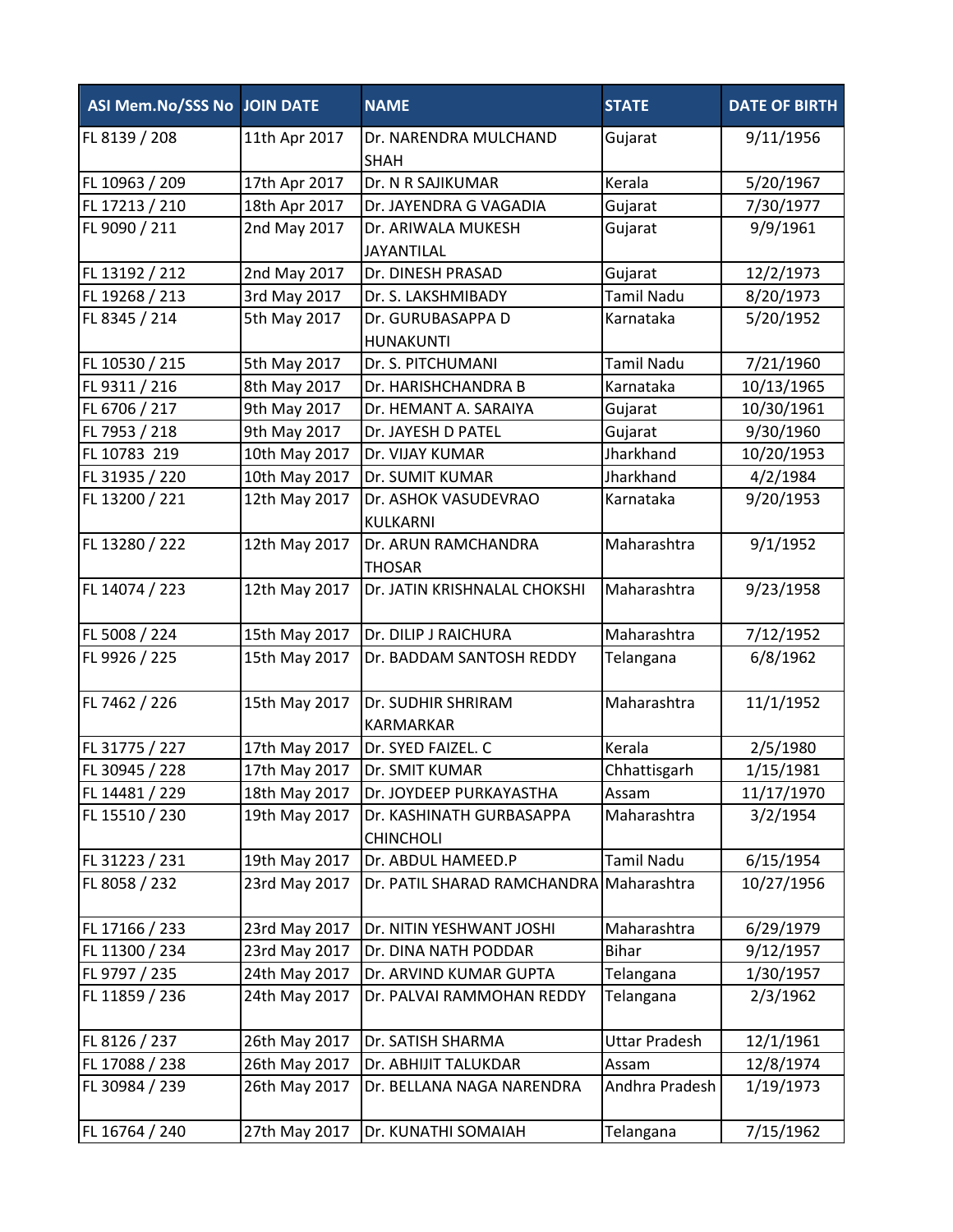| ASI Mem.No/SSS No JOIN DATE |               | <b>NAME</b>                                  | <b>STATE</b>         | <b>DATE OF BIRTH</b> |
|-----------------------------|---------------|----------------------------------------------|----------------------|----------------------|
| FL 8139 / 208               | 11th Apr 2017 | Dr. NARENDRA MULCHAND<br><b>SHAH</b>         | Gujarat              | 9/11/1956            |
| FL 10963 / 209              | 17th Apr 2017 | Dr. N R SAJIKUMAR                            | Kerala               | 5/20/1967            |
| FL 17213 / 210              | 18th Apr 2017 | Dr. JAYENDRA G VAGADIA                       | Gujarat              | 7/30/1977            |
| FL 9090 / 211               | 2nd May 2017  | Dr. ARIWALA MUKESH<br><b>JAYANTILAL</b>      | Gujarat              | 9/9/1961             |
| FL 13192 / 212              | 2nd May 2017  | Dr. DINESH PRASAD                            | Gujarat              | 12/2/1973            |
| FL 19268 / 213              | 3rd May 2017  | Dr. S. LAKSHMIBADY                           | <b>Tamil Nadu</b>    | 8/20/1973            |
| FL 8345 / 214               | 5th May 2017  | Dr. GURUBASAPPA D<br><b>HUNAKUNTI</b>        | Karnataka            | 5/20/1952            |
| FL 10530 / 215              | 5th May 2017  | Dr. S. PITCHUMANI                            | <b>Tamil Nadu</b>    | 7/21/1960            |
| FL 9311 / 216               | 8th May 2017  | Dr. HARISHCHANDRA B                          | Karnataka            | 10/13/1965           |
| FL 6706 / 217               | 9th May 2017  | Dr. HEMANT A. SARAIYA                        | Gujarat              | 10/30/1961           |
| FL 7953 / 218               | 9th May 2017  | Dr. JAYESH D PATEL                           | Gujarat              | 9/30/1960            |
| FL 10783 219                | 10th May 2017 | Dr. VIJAY KUMAR                              | Jharkhand            | 10/20/1953           |
| FL 31935 / 220              | 10th May 2017 | Dr. SUMIT KUMAR                              | Jharkhand            | 4/2/1984             |
| FL 13200 / 221              | 12th May 2017 | Dr. ASHOK VASUDEVRAO<br>KULKARNI             | Karnataka            | 9/20/1953            |
| FL 13280 / 222              | 12th May 2017 | Dr. ARUN RAMCHANDRA<br><b>THOSAR</b>         | Maharashtra          | 9/1/1952             |
| FL 14074 / 223              | 12th May 2017 | Dr. JATIN KRISHNALAL CHOKSHI                 | Maharashtra          | 9/23/1958            |
| FL 5008 / 224               | 15th May 2017 | Dr. DILIP J RAICHURA                         | Maharashtra          | 7/12/1952            |
| FL 9926 / 225               | 15th May 2017 | Dr. BADDAM SANTOSH REDDY                     | Telangana            | 6/8/1962             |
| FL 7462 / 226               | 15th May 2017 | Dr. SUDHIR SHRIRAM<br><b>KARMARKAR</b>       | Maharashtra          | 11/1/1952            |
| FL 31775 / 227              | 17th May 2017 | Dr. SYED FAIZEL. C                           | Kerala               | 2/5/1980             |
| FL 30945 / 228              | 17th May 2017 | Dr. SMIT KUMAR                               | Chhattisgarh         | 1/15/1981            |
| FL 14481 / 229              | 18th May 2017 | Dr. JOYDEEP PURKAYASTHA                      | Assam                | 11/17/1970           |
| FL 15510 / 230              | 19th May 2017 | Dr. KASHINATH GURBASAPPA<br><b>CHINCHOLI</b> | Maharashtra          | 3/2/1954             |
| FL 31223 / 231              | 19th May 2017 | Dr. ABDUL HAMEED.P                           | Tamil Nadu           | 6/15/1954            |
| FL 8058 / 232               | 23rd May 2017 | Dr. PATIL SHARAD RAMCHANDRA Maharashtra      |                      | 10/27/1956           |
| FL 17166 / 233              | 23rd May 2017 | Dr. NITIN YESHWANT JOSHI                     | Maharashtra          | 6/29/1979            |
| FL 11300 / 234              | 23rd May 2017 | Dr. DINA NATH PODDAR                         | <b>Bihar</b>         | 9/12/1957            |
| FL 9797 / 235               | 24th May 2017 | Dr. ARVIND KUMAR GUPTA                       | Telangana            | 1/30/1957            |
| FL 11859 / 236              | 24th May 2017 | Dr. PALVAI RAMMOHAN REDDY                    | Telangana            | 2/3/1962             |
| FL 8126 / 237               | 26th May 2017 | Dr. SATISH SHARMA                            | <b>Uttar Pradesh</b> | 12/1/1961            |
| FL 17088 / 238              | 26th May 2017 | Dr. ABHIJIT TALUKDAR                         | Assam                | 12/8/1974            |
| FL 30984 / 239              | 26th May 2017 | Dr. BELLANA NAGA NARENDRA                    | Andhra Pradesh       | 1/19/1973            |
| FL 16764 / 240              | 27th May 2017 | Dr. KUNATHI SOMAIAH                          | Telangana            | 7/15/1962            |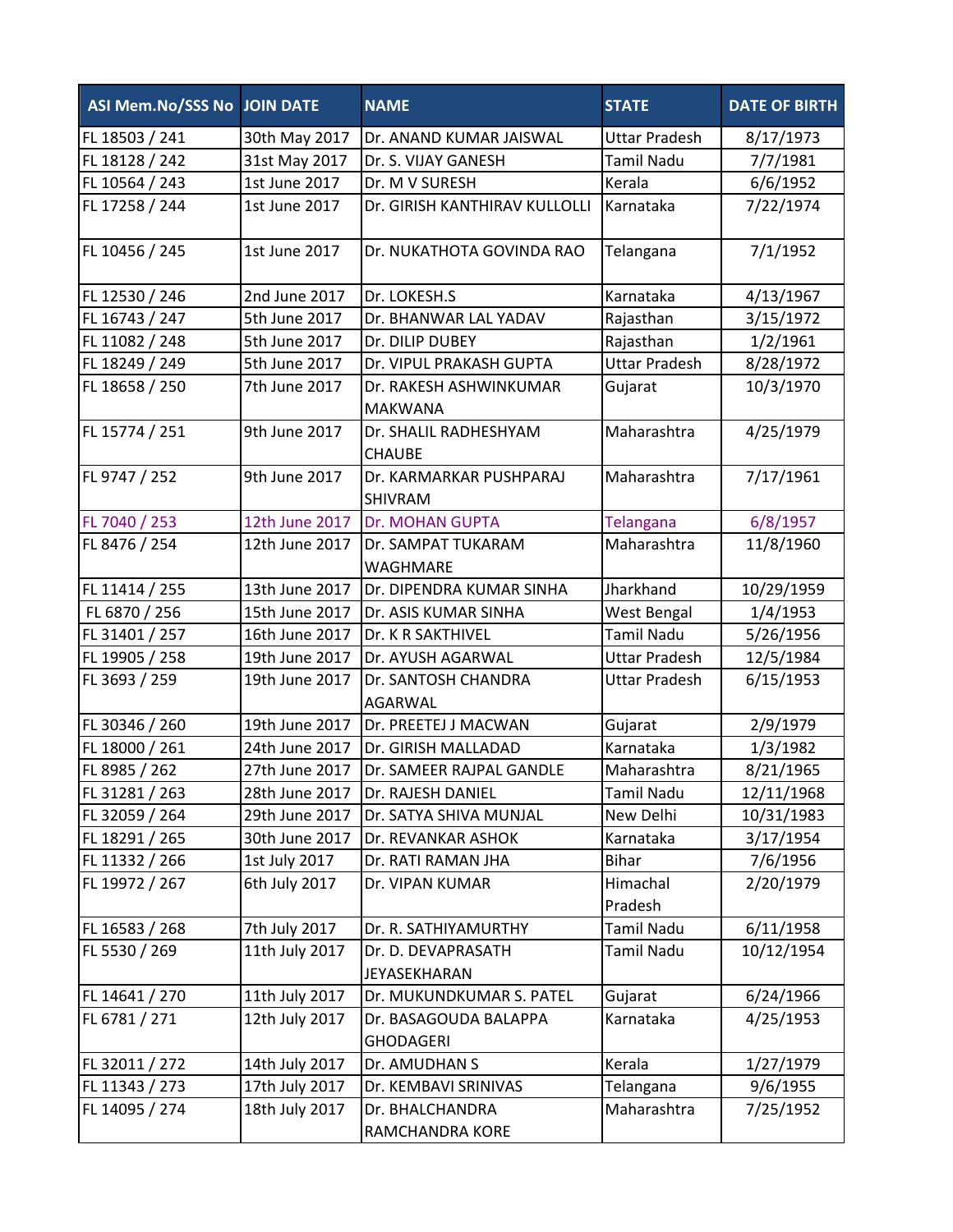| ASI Mem.No/SSS No JOIN DATE |                | <b>NAME</b>                               | <b>STATE</b>         | <b>DATE OF BIRTH</b> |
|-----------------------------|----------------|-------------------------------------------|----------------------|----------------------|
| FL 18503 / 241              | 30th May 2017  | Dr. ANAND KUMAR JAISWAL                   | <b>Uttar Pradesh</b> | 8/17/1973            |
| FL 18128 / 242              | 31st May 2017  | Dr. S. VIJAY GANESH                       | <b>Tamil Nadu</b>    | 7/7/1981             |
| FL 10564 / 243              | 1st June 2017  | Dr. M V SURESH                            | Kerala               | 6/6/1952             |
| FL 17258 / 244              | 1st June 2017  | Dr. GIRISH KANTHIRAV KULLOLLI             | Karnataka            | 7/22/1974            |
| FL 10456 / 245              | 1st June 2017  | Dr. NUKATHOTA GOVINDA RAO                 | Telangana            | 7/1/1952             |
| FL 12530 / 246              | 2nd June 2017  | Dr. LOKESH.S                              | Karnataka            | 4/13/1967            |
| FL 16743 / 247              | 5th June 2017  | Dr. BHANWAR LAL YADAV                     | Rajasthan            | 3/15/1972            |
| FL 11082 / 248              | 5th June 2017  | Dr. DILIP DUBEY                           | Rajasthan            | 1/2/1961             |
| FL 18249 / 249              | 5th June 2017  | Dr. VIPUL PRAKASH GUPTA                   | <b>Uttar Pradesh</b> | 8/28/1972            |
| FL 18658 / 250              | 7th June 2017  | Dr. RAKESH ASHWINKUMAR<br><b>MAKWANA</b>  | Gujarat              | 10/3/1970            |
| FL 15774 / 251              | 9th June 2017  | Dr. SHALIL RADHESHYAM<br><b>CHAUBE</b>    | Maharashtra          | 4/25/1979            |
| FL 9747 / 252               | 9th June 2017  | Dr. KARMARKAR PUSHPARAJ<br><b>SHIVRAM</b> | Maharashtra          | 7/17/1961            |
| FL 7040 / 253               | 12th June 2017 | <b>Dr. MOHAN GUPTA</b>                    | Telangana            | 6/8/1957             |
| FL 8476 / 254               | 12th June 2017 | Dr. SAMPAT TUKARAM<br>WAGHMARE            | Maharashtra          | 11/8/1960            |
| FL 11414 / 255              | 13th June 2017 | Dr. DIPENDRA KUMAR SINHA                  | Jharkhand            | 10/29/1959           |
| FL 6870 / 256               | 15th June 2017 | Dr. ASIS KUMAR SINHA                      | West Bengal          | 1/4/1953             |
| FL 31401 / 257              | 16th June 2017 | Dr. K R SAKTHIVEL                         | <b>Tamil Nadu</b>    | 5/26/1956            |
| FL 19905 / 258              | 19th June 2017 | Dr. AYUSH AGARWAL                         | <b>Uttar Pradesh</b> | 12/5/1984            |
| FL 3693 / 259               | 19th June 2017 | Dr. SANTOSH CHANDRA<br><b>AGARWAL</b>     | <b>Uttar Pradesh</b> | 6/15/1953            |
| FL 30346 / 260              | 19th June 2017 | Dr. PREETEJ J MACWAN                      | Gujarat              | 2/9/1979             |
| FL 18000 / 261              | 24th June 2017 | Dr. GIRISH MALLADAD                       | Karnataka            | 1/3/1982             |
| FL 8985 / 262               | 27th June 2017 | Dr. SAMEER RAJPAL GANDLE                  | Maharashtra          | 8/21/1965            |
| FL 31281 / 263              | 28th June 2017 | Dr. RAJESH DANIEL                         | <b>Tamil Nadu</b>    | 12/11/1968           |
| FL 32059 / 264              | 29th June 2017 | Dr. SATYA SHIVA MUNJAL                    | New Delhi            | 10/31/1983           |
| FL 18291 / 265              | 30th June 2017 | Dr. REVANKAR ASHOK                        | Karnataka            | 3/17/1954            |
| FL 11332 / 266              | 1st July 2017  | Dr. RATI RAMAN JHA                        | <b>Bihar</b>         | 7/6/1956             |
| FL 19972 / 267              | 6th July 2017  | Dr. VIPAN KUMAR                           | Himachal<br>Pradesh  | 2/20/1979            |
| FL 16583 / 268              | 7th July 2017  | Dr. R. SATHIYAMURTHY                      | <b>Tamil Nadu</b>    | 6/11/1958            |
| FL 5530 / 269               | 11th July 2017 | Dr. D. DEVAPRASATH<br>JEYASEKHARAN        | <b>Tamil Nadu</b>    | 10/12/1954           |
| FL 14641 / 270              | 11th July 2017 | Dr. MUKUNDKUMAR S. PATEL                  | Gujarat              | 6/24/1966            |
| FL 6781 / 271               | 12th July 2017 | Dr. BASAGOUDA BALAPPA<br><b>GHODAGERI</b> | Karnataka            | 4/25/1953            |
| FL 32011 / 272              | 14th July 2017 | Dr. AMUDHAN S                             | Kerala               | 1/27/1979            |
| FL 11343 / 273              | 17th July 2017 | Dr. KEMBAVI SRINIVAS                      | Telangana            | 9/6/1955             |
| FL 14095 / 274              | 18th July 2017 | Dr. BHALCHANDRA<br>RAMCHANDRA KORE        | Maharashtra          | 7/25/1952            |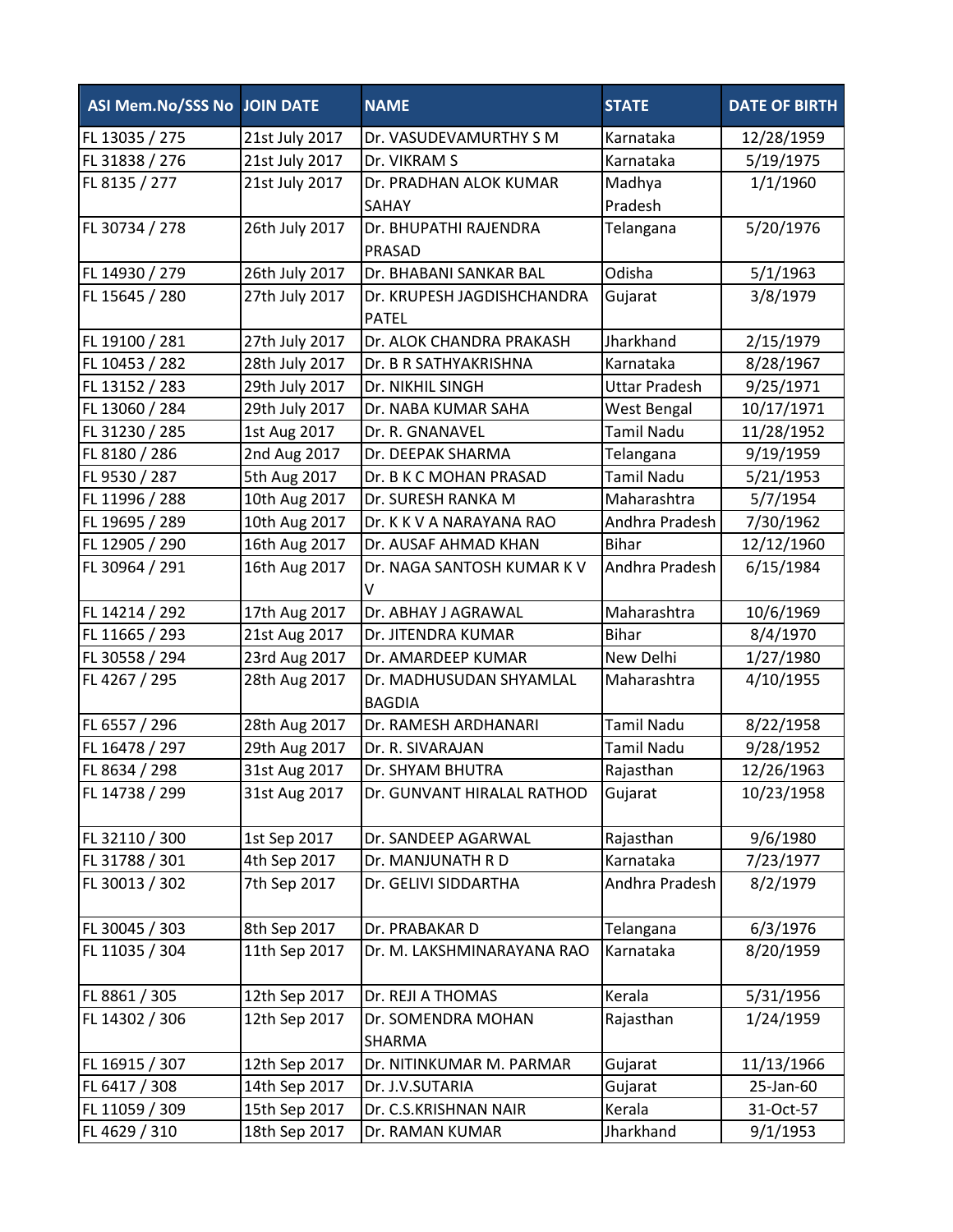| ASI Mem.No/SSS No JOIN DATE |                | <b>NAME</b>                              | <b>STATE</b>         | <b>DATE OF BIRTH</b> |
|-----------------------------|----------------|------------------------------------------|----------------------|----------------------|
| FL 13035 / 275              | 21st July 2017 | Dr. VASUDEVAMURTHY S M                   | Karnataka            | 12/28/1959           |
| FL 31838 / 276              | 21st July 2017 | Dr. VIKRAM S                             | Karnataka            | 5/19/1975            |
| FL 8135 / 277               | 21st July 2017 | Dr. PRADHAN ALOK KUMAR                   | Madhya               | 1/1/1960             |
|                             |                | SAHAY                                    | Pradesh              |                      |
| FL 30734 / 278              | 26th July 2017 | Dr. BHUPATHI RAJENDRA<br>PRASAD          | Telangana            | 5/20/1976            |
| FL 14930 / 279              | 26th July 2017 | Dr. BHABANI SANKAR BAL                   | Odisha               | 5/1/1963             |
| FL 15645 / 280              | 27th July 2017 | Dr. KRUPESH JAGDISHCHANDRA               | Gujarat              | 3/8/1979             |
|                             |                | <b>PATEL</b>                             |                      |                      |
| FL 19100 / 281              | 27th July 2017 | Dr. ALOK CHANDRA PRAKASH                 | Jharkhand            | 2/15/1979            |
| FL 10453 / 282              | 28th July 2017 | Dr. B R SATHYAKRISHNA                    | Karnataka            | 8/28/1967            |
| FL 13152 / 283              | 29th July 2017 | Dr. NIKHIL SINGH                         | <b>Uttar Pradesh</b> | 9/25/1971            |
| FL 13060 / 284              | 29th July 2017 | Dr. NABA KUMAR SAHA                      | West Bengal          | 10/17/1971           |
| FL 31230 / 285              | 1st Aug 2017   | Dr. R. GNANAVEL                          | <b>Tamil Nadu</b>    | 11/28/1952           |
| FL 8180 / 286               | 2nd Aug 2017   | Dr. DEEPAK SHARMA                        | Telangana            | 9/19/1959            |
| FL 9530 / 287               | 5th Aug 2017   | Dr. B K C MOHAN PRASAD                   | <b>Tamil Nadu</b>    | 5/21/1953            |
| FL 11996 / 288              | 10th Aug 2017  | Dr. SURESH RANKA M                       | Maharashtra          | 5/7/1954             |
| FL 19695 / 289              | 10th Aug 2017  | Dr. K K V A NARAYANA RAO                 | Andhra Pradesh       | 7/30/1962            |
| FL 12905 / 290              | 16th Aug 2017  | Dr. AUSAF AHMAD KHAN                     | <b>Bihar</b>         | 12/12/1960           |
| FL 30964 / 291              | 16th Aug 2017  | Dr. NAGA SANTOSH KUMAR K V<br>v          | Andhra Pradesh       | 6/15/1984            |
| FL 14214 / 292              | 17th Aug 2017  | Dr. ABHAY J AGRAWAL                      | Maharashtra          | 10/6/1969            |
| FL 11665 / 293              | 21st Aug 2017  | Dr. JITENDRA KUMAR                       | <b>Bihar</b>         | 8/4/1970             |
| FL 30558 / 294              | 23rd Aug 2017  | Dr. AMARDEEP KUMAR                       | New Delhi            | 1/27/1980            |
| FL 4267 / 295               | 28th Aug 2017  | Dr. MADHUSUDAN SHYAMLAL<br><b>BAGDIA</b> | Maharashtra          | 4/10/1955            |
| FL 6557 / 296               | 28th Aug 2017  | Dr. RAMESH ARDHANARI                     | <b>Tamil Nadu</b>    | 8/22/1958            |
| FL 16478 / 297              | 29th Aug 2017  | Dr. R. SIVARAJAN                         | <b>Tamil Nadu</b>    | 9/28/1952            |
| FL 8634 / 298               | 31st Aug 2017  | Dr. SHYAM BHUTRA                         | Rajasthan            | 12/26/1963           |
| FL 14738 / 299              | 31st Aug 2017  | Dr. GUNVANT HIRALAL RATHOD               | Gujarat              | 10/23/1958           |
| FL 32110 / 300              | 1st Sep 2017   | Dr. SANDEEP AGARWAL                      | Rajasthan            | 9/6/1980             |
| FL 31788 / 301              | 4th Sep 2017   | Dr. MANJUNATH R D                        | Karnataka            | 7/23/1977            |
| FL 30013 / 302              | 7th Sep 2017   | Dr. GELIVI SIDDARTHA                     | Andhra Pradesh       | 8/2/1979             |
| FL 30045 / 303              | 8th Sep 2017   | Dr. PRABAKAR D                           | Telangana            | 6/3/1976             |
| FL 11035 / 304              | 11th Sep 2017  | Dr. M. LAKSHMINARAYANA RAO               | Karnataka            | 8/20/1959            |
| FL 8861 / 305               | 12th Sep 2017  | Dr. REJI A THOMAS                        | Kerala               | 5/31/1956            |
| FL 14302 / 306              | 12th Sep 2017  | Dr. SOMENDRA MOHAN                       | Rajasthan            | 1/24/1959            |
|                             |                | SHARMA                                   |                      |                      |
| FL 16915 / 307              | 12th Sep 2017  | Dr. NITINKUMAR M. PARMAR                 | Gujarat              | 11/13/1966           |
| FL 6417 / 308               | 14th Sep 2017  | Dr. J.V.SUTARIA                          | Gujarat              | 25-Jan-60            |
| FL 11059 / 309              | 15th Sep 2017  | Dr. C.S.KRISHNAN NAIR                    | Kerala               | 31-Oct-57            |
| FL 4629 / 310               | 18th Sep 2017  | Dr. RAMAN KUMAR                          | Jharkhand            | 9/1/1953             |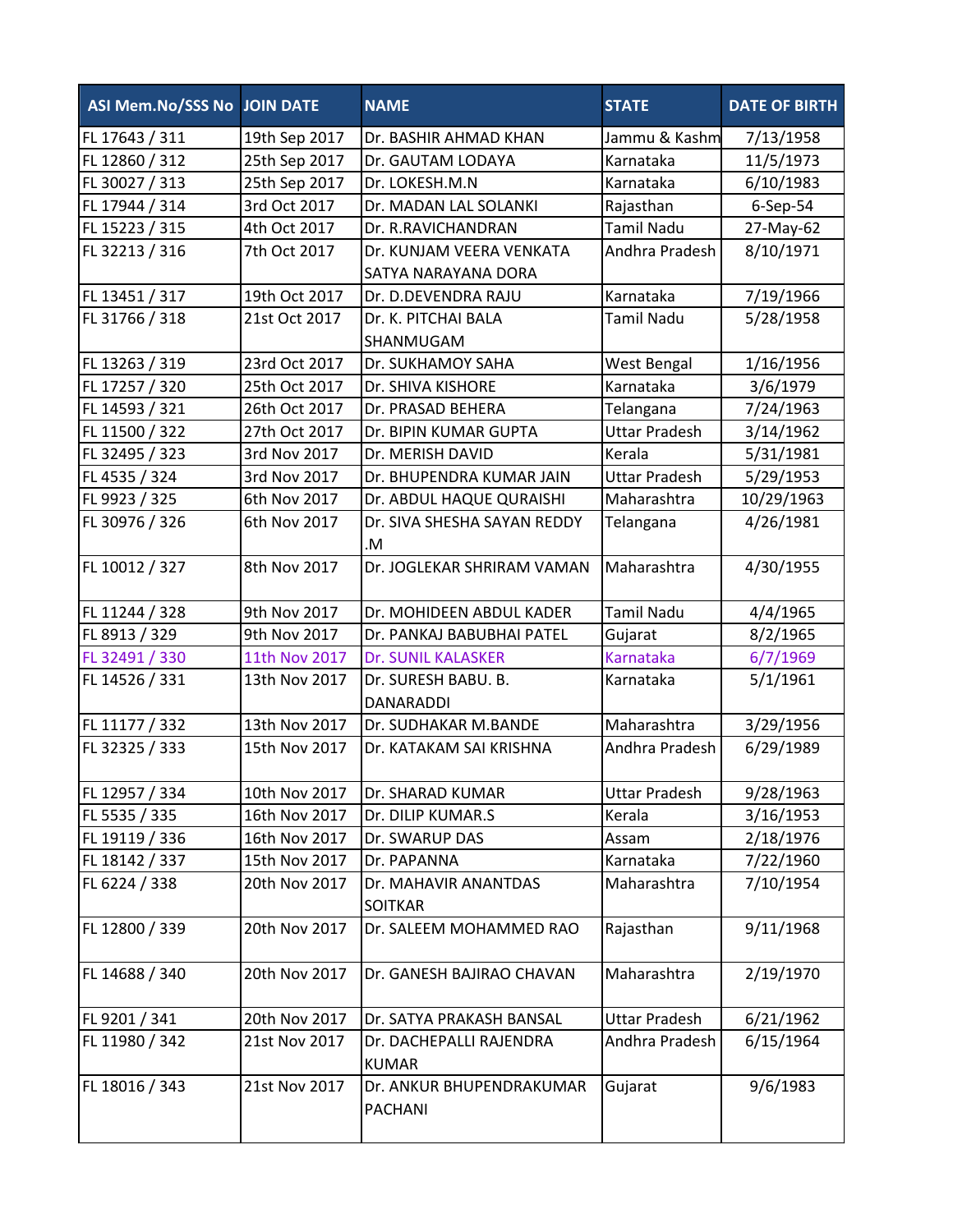| ASI Mem.No/SSS No JOIN DATE      |               | <b>NAME</b>                             | <b>STATE</b>                      | <b>DATE OF BIRTH</b>   |
|----------------------------------|---------------|-----------------------------------------|-----------------------------------|------------------------|
| FL 17643 / 311                   | 19th Sep 2017 | Dr. BASHIR AHMAD KHAN                   | Jammu & Kashm                     | 7/13/1958              |
| FL 12860 / 312                   | 25th Sep 2017 | Dr. GAUTAM LODAYA                       | Karnataka                         | 11/5/1973              |
| FL 30027 / 313                   | 25th Sep 2017 | Dr. LOKESH.M.N                          | Karnataka                         | 6/10/1983              |
| FL 17944 / 314                   | 3rd Oct 2017  | Dr. MADAN LAL SOLANKI                   | Rajasthan                         | 6-Sep-54               |
| FL 15223 / 315                   | 4th Oct 2017  | Dr. R.RAVICHANDRAN                      | <b>Tamil Nadu</b>                 | 27-May-62              |
| FL 32213 / 316                   | 7th Oct 2017  | Dr. KUNJAM VEERA VENKATA                | Andhra Pradesh                    | 8/10/1971              |
|                                  |               | SATYA NARAYANA DORA                     |                                   |                        |
| FL 13451 / 317                   | 19th Oct 2017 | Dr. D.DEVENDRA RAJU                     | Karnataka                         | 7/19/1966              |
| FL 31766 / 318                   | 21st Oct 2017 | Dr. K. PITCHAI BALA                     | <b>Tamil Nadu</b>                 | 5/28/1958              |
|                                  | 23rd Oct 2017 | SHANMUGAM                               |                                   |                        |
| FL 13263 / 319                   | 25th Oct 2017 | Dr. SUKHAMOY SAHA<br>Dr. SHIVA KISHORE  | West Bengal<br>Karnataka          | 1/16/1956              |
| FL 17257 / 320<br>FL 14593 / 321 | 26th Oct 2017 | Dr. PRASAD BEHERA                       |                                   | 3/6/1979               |
| FL 11500 / 322                   | 27th Oct 2017 | Dr. BIPIN KUMAR GUPTA                   | Telangana<br><b>Uttar Pradesh</b> | 7/24/1963              |
| FL 32495 / 323                   | 3rd Nov 2017  | Dr. MERISH DAVID                        | Kerala                            | 3/14/1962<br>5/31/1981 |
| FL 4535 / 324                    | 3rd Nov 2017  | Dr. BHUPENDRA KUMAR JAIN                | <b>Uttar Pradesh</b>              | 5/29/1953              |
| FL 9923 / 325                    | 6th Nov 2017  | Dr. ABDUL HAQUE QURAISHI                | Maharashtra                       | 10/29/1963             |
| FL 30976 / 326                   | 6th Nov 2017  | Dr. SIVA SHESHA SAYAN REDDY             | Telangana                         | 4/26/1981              |
|                                  |               | .M                                      |                                   |                        |
| FL 10012 / 327                   | 8th Nov 2017  | Dr. JOGLEKAR SHRIRAM VAMAN              | Maharashtra                       | 4/30/1955              |
| FL 11244 / 328                   | 9th Nov 2017  | Dr. MOHIDEEN ABDUL KADER                | <b>Tamil Nadu</b>                 | 4/4/1965               |
| FL 8913 / 329                    | 9th Nov 2017  | Dr. PANKAJ BABUBHAI PATEL               | Gujarat                           | 8/2/1965               |
| FL 32491 / 330                   | 11th Nov 2017 | Dr. SUNIL KALASKER                      | Karnataka                         | 6/7/1969               |
| FL 14526 / 331                   | 13th Nov 2017 | Dr. SURESH BABU. B.<br>DANARADDI        | Karnataka                         | 5/1/1961               |
| FL 11177 / 332                   | 13th Nov 2017 | Dr. SUDHAKAR M.BANDE                    | Maharashtra                       | 3/29/1956              |
| FL 32325 / 333                   | 15th Nov 2017 | Dr. KATAKAM SAI KRISHNA                 | Andhra Pradesh                    | 6/29/1989              |
| FL 12957 / 334                   | 10th Nov 2017 | Dr. SHARAD KUMAR                        | <b>Uttar Pradesh</b>              | 9/28/1963              |
| FL 5535 / 335                    | 16th Nov 2017 | Dr. DILIP KUMAR.S                       | Kerala                            | 3/16/1953              |
| FL 19119 / 336                   | 16th Nov 2017 | Dr. SWARUP DAS                          | Assam                             | 2/18/1976              |
| FL 18142 / 337                   | 15th Nov 2017 | Dr. PAPANNA                             | Karnataka                         | 7/22/1960              |
| FL 6224 / 338                    | 20th Nov 2017 | Dr. MAHAVIR ANANTDAS<br><b>SOITKAR</b>  | Maharashtra                       | 7/10/1954              |
| FL 12800 / 339                   | 20th Nov 2017 | Dr. SALEEM MOHAMMED RAO                 | Rajasthan                         | 9/11/1968              |
| FL 14688 / 340                   | 20th Nov 2017 | Dr. GANESH BAJIRAO CHAVAN               | Maharashtra                       | 2/19/1970              |
| FL 9201 / 341                    | 20th Nov 2017 | Dr. SATYA PRAKASH BANSAL                | <b>Uttar Pradesh</b>              | 6/21/1962              |
| FL 11980 / 342                   | 21st Nov 2017 | Dr. DACHEPALLI RAJENDRA<br><b>KUMAR</b> | Andhra Pradesh                    | 6/15/1964              |
| FL 18016 / 343                   | 21st Nov 2017 | Dr. ANKUR BHUPENDRAKUMAR<br>PACHANI     | Gujarat                           | 9/6/1983               |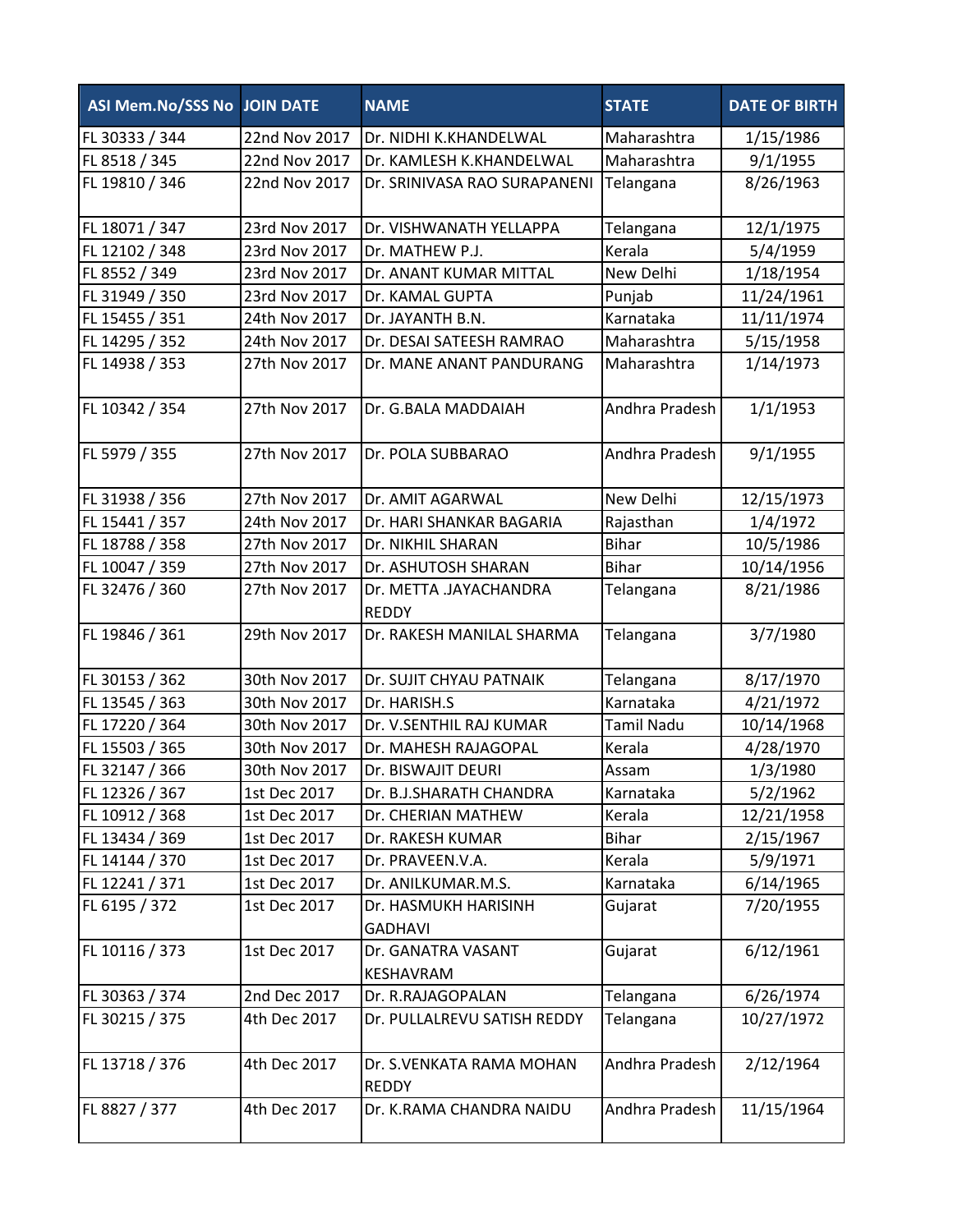| <b>ASI Mem.No/SSS No JOIN DATE</b> |               | <b>NAME</b>                              | <b>STATE</b>      | <b>DATE OF BIRTH</b> |
|------------------------------------|---------------|------------------------------------------|-------------------|----------------------|
| FL 30333 / 344                     | 22nd Nov 2017 | Dr. NIDHI K.KHANDELWAL                   | Maharashtra       | 1/15/1986            |
| FL 8518 / 345                      | 22nd Nov 2017 | Dr. KAMLESH K.KHANDELWAL                 | Maharashtra       | 9/1/1955             |
| FL 19810 / 346                     | 22nd Nov 2017 | Dr. SRINIVASA RAO SURAPANENI             | Telangana         | 8/26/1963            |
| FL 18071 / 347                     | 23rd Nov 2017 | Dr. VISHWANATH YELLAPPA                  | Telangana         | 12/1/1975            |
| FL 12102 / 348                     | 23rd Nov 2017 | Dr. MATHEW P.J.                          | Kerala            | 5/4/1959             |
| FL 8552 / 349                      | 23rd Nov 2017 | Dr. ANANT KUMAR MITTAL                   | New Delhi         | 1/18/1954            |
| FL 31949 / 350                     | 23rd Nov 2017 | Dr. KAMAL GUPTA                          | Punjab            | 11/24/1961           |
| FL 15455 / 351                     | 24th Nov 2017 | Dr. JAYANTH B.N.                         | Karnataka         | 11/11/1974           |
| FL 14295 / 352                     | 24th Nov 2017 | Dr. DESAI SATEESH RAMRAO                 | Maharashtra       | 5/15/1958            |
| FL 14938 / 353                     | 27th Nov 2017 | Dr. MANE ANANT PANDURANG                 | Maharashtra       | 1/14/1973            |
| FL 10342 / 354                     | 27th Nov 2017 | Dr. G.BALA MADDAIAH                      | Andhra Pradesh    | 1/1/1953             |
| FL 5979 / 355                      | 27th Nov 2017 | Dr. POLA SUBBARAO                        | Andhra Pradesh    | 9/1/1955             |
| FL 31938 / 356                     | 27th Nov 2017 | Dr. AMIT AGARWAL                         | New Delhi         | 12/15/1973           |
| FL 15441 / 357                     | 24th Nov 2017 | Dr. HARI SHANKAR BAGARIA                 | Rajasthan         | 1/4/1972             |
| FL 18788 / 358                     | 27th Nov 2017 | Dr. NIKHIL SHARAN                        | <b>Bihar</b>      | 10/5/1986            |
| FL 10047 / 359                     | 27th Nov 2017 | Dr. ASHUTOSH SHARAN                      | <b>Bihar</b>      | 10/14/1956           |
| FL 32476 / 360                     | 27th Nov 2017 | Dr. METTA .JAYACHANDRA<br><b>REDDY</b>   | Telangana         | 8/21/1986            |
| FL 19846 / 361                     | 29th Nov 2017 | Dr. RAKESH MANILAL SHARMA                | Telangana         | 3/7/1980             |
| FL 30153 / 362                     | 30th Nov 2017 | Dr. SUJIT CHYAU PATNAIK                  | Telangana         | 8/17/1970            |
| FL 13545 / 363                     | 30th Nov 2017 | Dr. HARISH.S                             | Karnataka         | 4/21/1972            |
| FL 17220 / 364                     | 30th Nov 2017 | Dr. V.SENTHIL RAJ KUMAR                  | <b>Tamil Nadu</b> | 10/14/1968           |
| FL 15503 / 365                     | 30th Nov 2017 | Dr. MAHESH RAJAGOPAL                     | Kerala            | 4/28/1970            |
| FL 32147 / 366                     | 30th Nov 2017 | Dr. BISWAJIT DEURI                       | Assam             | 1/3/1980             |
| FL 12326 / 367                     | 1st Dec 2017  | Dr. B.J.SHARATH CHANDRA                  | Karnataka         | 5/2/1962             |
| FL 10912 / 368                     | 1st Dec 2017  | Dr. CHERIAN MATHEW                       | Kerala            | 12/21/1958           |
| FL 13434 / 369                     | 1st Dec 2017  | Dr. RAKESH KUMAR                         | <b>Bihar</b>      | 2/15/1967            |
| FL 14144 / 370                     | 1st Dec 2017  | Dr. PRAVEEN.V.A.                         | Kerala            | 5/9/1971             |
| FL 12241 / 371                     | 1st Dec 2017  | Dr. ANILKUMAR.M.S.                       | Karnataka         | 6/14/1965            |
| FL 6195 / 372                      | 1st Dec 2017  | Dr. HASMUKH HARISINH<br><b>GADHAVI</b>   | Gujarat           | 7/20/1955            |
| FL 10116 / 373                     | 1st Dec 2017  | Dr. GANATRA VASANT<br>KESHAVRAM          | Gujarat           | 6/12/1961            |
| FL 30363 / 374                     | 2nd Dec 2017  | Dr. R.RAJAGOPALAN                        | Telangana         | 6/26/1974            |
| FL 30215 / 375                     | 4th Dec 2017  | Dr. PULLALREVU SATISH REDDY              | Telangana         | 10/27/1972           |
| FL 13718 / 376                     | 4th Dec 2017  | Dr. S.VENKATA RAMA MOHAN<br><b>REDDY</b> | Andhra Pradesh    | 2/12/1964            |
| FL 8827 / 377                      | 4th Dec 2017  | Dr. K.RAMA CHANDRA NAIDU                 | Andhra Pradesh    | 11/15/1964           |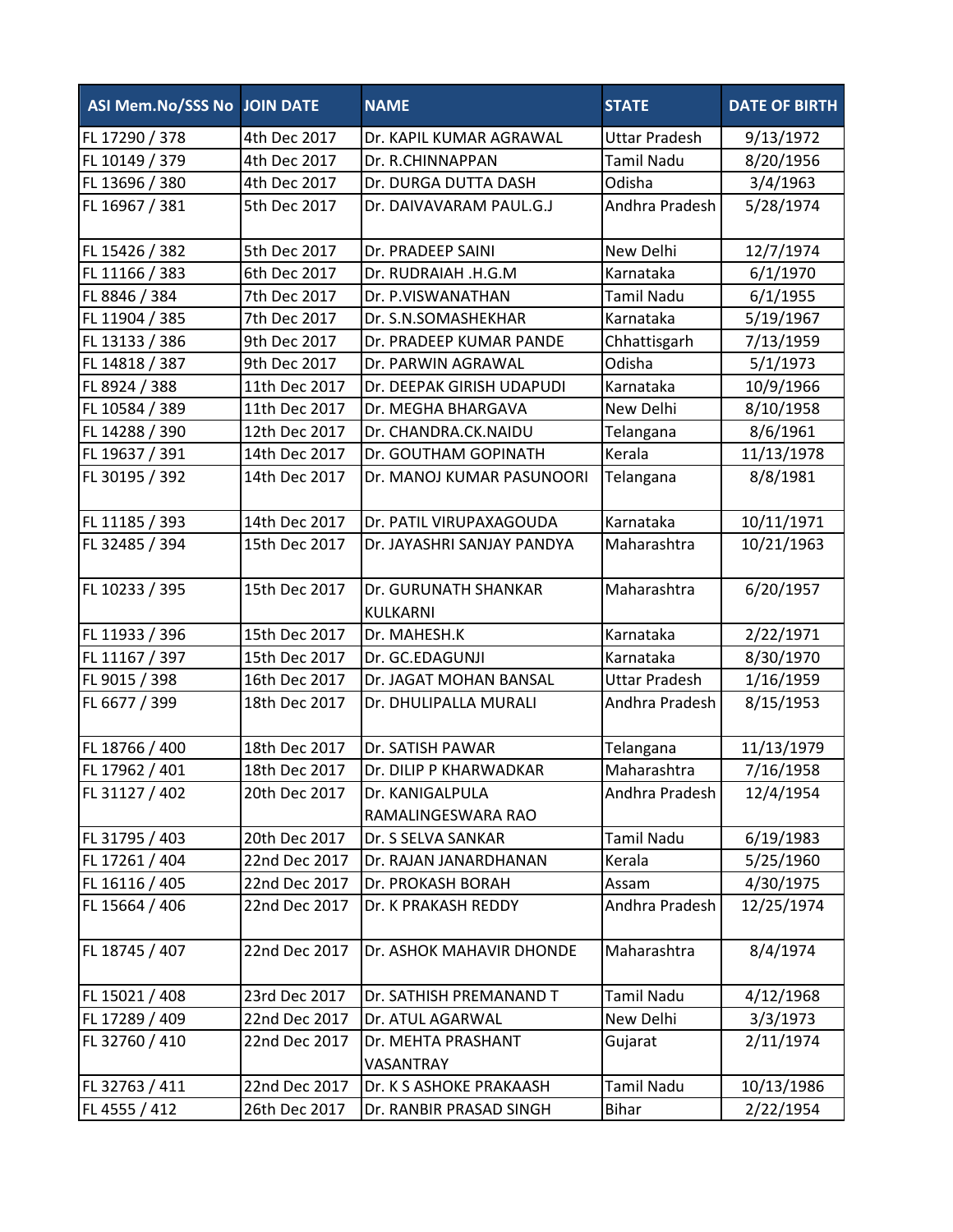| ASI Mem.No/SSS No JOIN DATE |               | <b>NAME</b>                           | <b>STATE</b>         | <b>DATE OF BIRTH</b> |
|-----------------------------|---------------|---------------------------------------|----------------------|----------------------|
| FL 17290 / 378              | 4th Dec 2017  | Dr. KAPIL KUMAR AGRAWAL               | <b>Uttar Pradesh</b> | 9/13/1972            |
| FL 10149 / 379              | 4th Dec 2017  | Dr. R.CHINNAPPAN                      | <b>Tamil Nadu</b>    | 8/20/1956            |
| FL 13696 / 380              | 4th Dec 2017  | Dr. DURGA DUTTA DASH                  | Odisha               | 3/4/1963             |
| FL 16967 / 381              | 5th Dec 2017  | Dr. DAIVAVARAM PAUL.G.J               | Andhra Pradesh       | 5/28/1974            |
|                             |               |                                       |                      |                      |
| FL 15426 / 382              | 5th Dec 2017  | Dr. PRADEEP SAINI                     | New Delhi            | 12/7/1974            |
| FL 11166 / 383              | 6th Dec 2017  | Dr. RUDRAIAH .H.G.M                   | Karnataka            | 6/1/1970             |
| FL 8846 / 384               | 7th Dec 2017  | Dr. P.VISWANATHAN                     | <b>Tamil Nadu</b>    | 6/1/1955             |
| FL 11904 / 385              | 7th Dec 2017  | Dr. S.N.SOMASHEKHAR                   | Karnataka            | 5/19/1967            |
| FL 13133 / 386              | 9th Dec 2017  | Dr. PRADEEP KUMAR PANDE               | Chhattisgarh         | 7/13/1959            |
| FL 14818 / 387              | 9th Dec 2017  | Dr. PARWIN AGRAWAL                    | Odisha               | 5/1/1973             |
| FL 8924 / 388               | 11th Dec 2017 | Dr. DEEPAK GIRISH UDAPUDI             | Karnataka            | 10/9/1966            |
| FL 10584 / 389              | 11th Dec 2017 | Dr. MEGHA BHARGAVA                    | New Delhi            | 8/10/1958            |
| FL 14288 / 390              | 12th Dec 2017 | Dr. CHANDRA.CK.NAIDU                  | Telangana            | 8/6/1961             |
| FL 19637 / 391              | 14th Dec 2017 | Dr. GOUTHAM GOPINATH                  | Kerala               | 11/13/1978           |
| FL 30195 / 392              | 14th Dec 2017 | Dr. MANOJ KUMAR PASUNOORI             | Telangana            | 8/8/1981             |
| FL 11185 / 393              | 14th Dec 2017 | Dr. PATIL VIRUPAXAGOUDA               | Karnataka            | 10/11/1971           |
| FL 32485 / 394              | 15th Dec 2017 | Dr. JAYASHRI SANJAY PANDYA            | Maharashtra          | 10/21/1963           |
| FL 10233 / 395              | 15th Dec 2017 | Dr. GURUNATH SHANKAR<br>KULKARNI      | Maharashtra          | 6/20/1957            |
| FL 11933 / 396              | 15th Dec 2017 | Dr. MAHESH.K                          | Karnataka            | 2/22/1971            |
| FL 11167 / 397              | 15th Dec 2017 | Dr. GC.EDAGUNJI                       | Karnataka            | 8/30/1970            |
| FL 9015 / 398               | 16th Dec 2017 | Dr. JAGAT MOHAN BANSAL                | <b>Uttar Pradesh</b> | 1/16/1959            |
| FL 6677 / 399               | 18th Dec 2017 | Dr. DHULIPALLA MURALI                 | Andhra Pradesh       | 8/15/1953            |
| FL 18766 / 400              | 18th Dec 2017 | Dr. SATISH PAWAR                      | Telangana            | 11/13/1979           |
| FL 17962 / 401              | 18th Dec 2017 | Dr. DILIP P KHARWADKAR                | Maharashtra          | 7/16/1958            |
| FL 31127 / 402              | 20th Dec 2017 | Dr. KANIGALPULA<br>RAMALINGESWARA RAO | Andhra Pradesh       | 12/4/1954            |
| FL 31795 / 403              | 20th Dec 2017 | Dr. S SELVA SANKAR                    | <b>Tamil Nadu</b>    | 6/19/1983            |
| FL 17261 / 404              | 22nd Dec 2017 | Dr. RAJAN JANARDHANAN                 | Kerala               | 5/25/1960            |
| FL 16116 / 405              | 22nd Dec 2017 | Dr. PROKASH BORAH                     | Assam                | 4/30/1975            |
| FL 15664 / 406              | 22nd Dec 2017 | Dr. K PRAKASH REDDY                   | Andhra Pradesh       | 12/25/1974           |
| FL 18745 / 407              | 22nd Dec 2017 | Dr. ASHOK MAHAVIR DHONDE              | Maharashtra          | 8/4/1974             |
| FL 15021 / 408              | 23rd Dec 2017 | Dr. SATHISH PREMANAND T               | <b>Tamil Nadu</b>    | 4/12/1968            |
| FL 17289 / 409              | 22nd Dec 2017 | Dr. ATUL AGARWAL                      | New Delhi            | 3/3/1973             |
| FL 32760 / 410              | 22nd Dec 2017 | Dr. MEHTA PRASHANT<br>VASANTRAY       | Gujarat              | 2/11/1974            |
| FL 32763 / 411              | 22nd Dec 2017 | Dr. K S ASHOKE PRAKAASH               | <b>Tamil Nadu</b>    | 10/13/1986           |
| FL 4555 / 412               | 26th Dec 2017 | Dr. RANBIR PRASAD SINGH               | <b>Bihar</b>         | 2/22/1954            |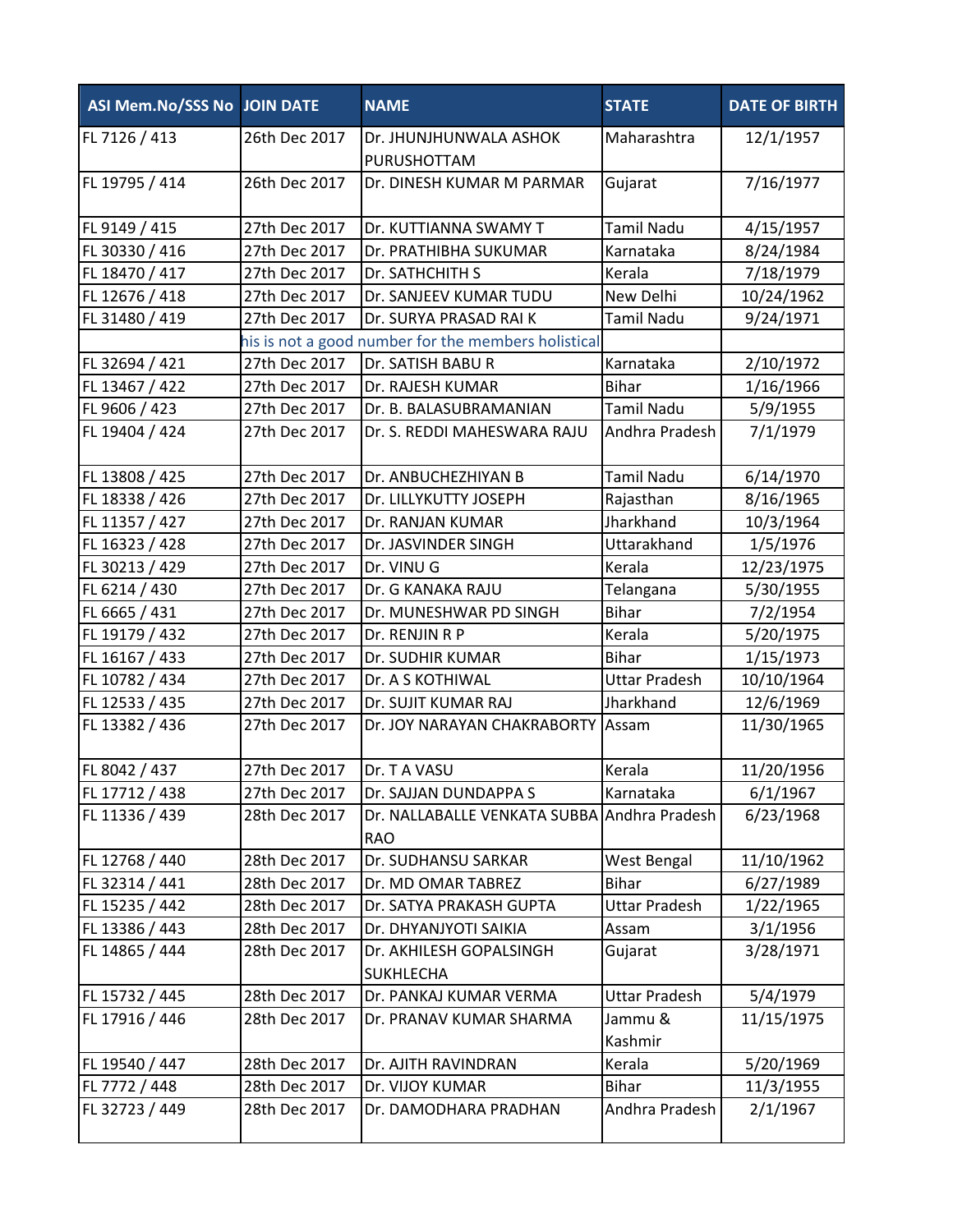| ASI Mem.No/SSS No JOIN DATE |               | <b>NAME</b>                                               | <b>STATE</b>         | <b>DATE OF BIRTH</b> |
|-----------------------------|---------------|-----------------------------------------------------------|----------------------|----------------------|
| FL 7126 / 413               | 26th Dec 2017 | Dr. JHUNJHUNWALA ASHOK<br>PURUSHOTTAM                     | Maharashtra          | 12/1/1957            |
| FL 19795 / 414              | 26th Dec 2017 | Dr. DINESH KUMAR M PARMAR                                 | Gujarat              | 7/16/1977            |
| FL 9149 / 415               | 27th Dec 2017 | Dr. KUTTIANNA SWAMY T                                     | <b>Tamil Nadu</b>    | 4/15/1957            |
| FL 30330 / 416              | 27th Dec 2017 | Dr. PRATHIBHA SUKUMAR                                     | Karnataka            | 8/24/1984            |
| FL 18470 / 417              | 27th Dec 2017 | Dr. SATHCHITH S                                           | Kerala               | 7/18/1979            |
| FL 12676 / 418              | 27th Dec 2017 | Dr. SANJEEV KUMAR TUDU                                    | New Delhi            | 10/24/1962           |
| FL 31480 / 419              | 27th Dec 2017 | Dr. SURYA PRASAD RAI K                                    | <b>Tamil Nadu</b>    | 9/24/1971            |
|                             |               | his is not a good number for the members holistical       |                      |                      |
| FL 32694 / 421              | 27th Dec 2017 | Dr. SATISH BABU R                                         | Karnataka            | 2/10/1972            |
| FL 13467 / 422              | 27th Dec 2017 | Dr. RAJESH KUMAR                                          | <b>Bihar</b>         | 1/16/1966            |
| FL 9606 / 423               | 27th Dec 2017 | Dr. B. BALASUBRAMANIAN                                    | <b>Tamil Nadu</b>    | 5/9/1955             |
| FL 19404 / 424              | 27th Dec 2017 | Dr. S. REDDI MAHESWARA RAJU                               | Andhra Pradesh       | 7/1/1979             |
| FL 13808 / 425              | 27th Dec 2017 | Dr. ANBUCHEZHIYAN B                                       | <b>Tamil Nadu</b>    | 6/14/1970            |
| FL 18338 / 426              | 27th Dec 2017 | Dr. LILLYKUTTY JOSEPH                                     | Rajasthan            | 8/16/1965            |
| FL 11357 / 427              | 27th Dec 2017 | Dr. RANJAN KUMAR                                          | Jharkhand            | 10/3/1964            |
| FL 16323 / 428              | 27th Dec 2017 | Dr. JASVINDER SINGH                                       | Uttarakhand          | 1/5/1976             |
| FL 30213 / 429              | 27th Dec 2017 | Dr. VINU G                                                | Kerala               | 12/23/1975           |
| FL 6214 / 430               | 27th Dec 2017 | Dr. G KANAKA RAJU                                         | Telangana            | 5/30/1955            |
| FL 6665 / 431               | 27th Dec 2017 | Dr. MUNESHWAR PD SINGH                                    | <b>Bihar</b>         | 7/2/1954             |
| FL 19179 / 432              | 27th Dec 2017 | Dr. RENJIN R P                                            | Kerala               | 5/20/1975            |
| FL 16167 / 433              | 27th Dec 2017 | Dr. SUDHIR KUMAR                                          | <b>Bihar</b>         | 1/15/1973            |
| FL 10782 / 434              | 27th Dec 2017 | Dr. A S KOTHIWAL                                          | <b>Uttar Pradesh</b> | 10/10/1964           |
| FL 12533 / 435              | 27th Dec 2017 | Dr. SUJIT KUMAR RAJ                                       | Jharkhand            | 12/6/1969            |
| FL 13382 / 436              | 27th Dec 2017 | Dr. JOY NARAYAN CHAKRABORTY                               | Assam                | 11/30/1965           |
| FL 8042 / 437               | 27th Dec 2017 | Dr. T A VASU                                              | Kerala               | 11/20/1956           |
| FL 17712 / 438              | 27th Dec 2017 | Dr. SAJJAN DUNDAPPA S                                     | Karnataka            | 6/1/1967             |
| FL 11336 / 439              | 28th Dec 2017 | Dr. NALLABALLE VENKATA SUBBA Andhra Pradesh<br><b>RAO</b> |                      | 6/23/1968            |
| FL 12768 / 440              | 28th Dec 2017 | Dr. SUDHANSU SARKAR                                       | West Bengal          | 11/10/1962           |
| FL 32314 / 441              | 28th Dec 2017 | Dr. MD OMAR TABREZ                                        | <b>Bihar</b>         | 6/27/1989            |
| FL 15235 / 442              | 28th Dec 2017 | Dr. SATYA PRAKASH GUPTA                                   | <b>Uttar Pradesh</b> | 1/22/1965            |
| FL 13386 / 443              | 28th Dec 2017 | Dr. DHYANJYOTI SAIKIA                                     | Assam                | 3/1/1956             |
| FL 14865 / 444              | 28th Dec 2017 | Dr. AKHILESH GOPALSINGH<br><b>SUKHLECHA</b>               | Gujarat              | 3/28/1971            |
| FL 15732 / 445              | 28th Dec 2017 | Dr. PANKAJ KUMAR VERMA                                    | <b>Uttar Pradesh</b> | 5/4/1979             |
| FL 17916 / 446              | 28th Dec 2017 | Dr. PRANAV KUMAR SHARMA                                   | Jammu &<br>Kashmir   | 11/15/1975           |
| FL 19540 / 447              | 28th Dec 2017 | Dr. AJITH RAVINDRAN                                       | Kerala               | 5/20/1969            |
| FL 7772 / 448               | 28th Dec 2017 | Dr. VIJOY KUMAR                                           | <b>Bihar</b>         | 11/3/1955            |
| FL 32723 / 449              | 28th Dec 2017 | Dr. DAMODHARA PRADHAN                                     | Andhra Pradesh       | 2/1/1967             |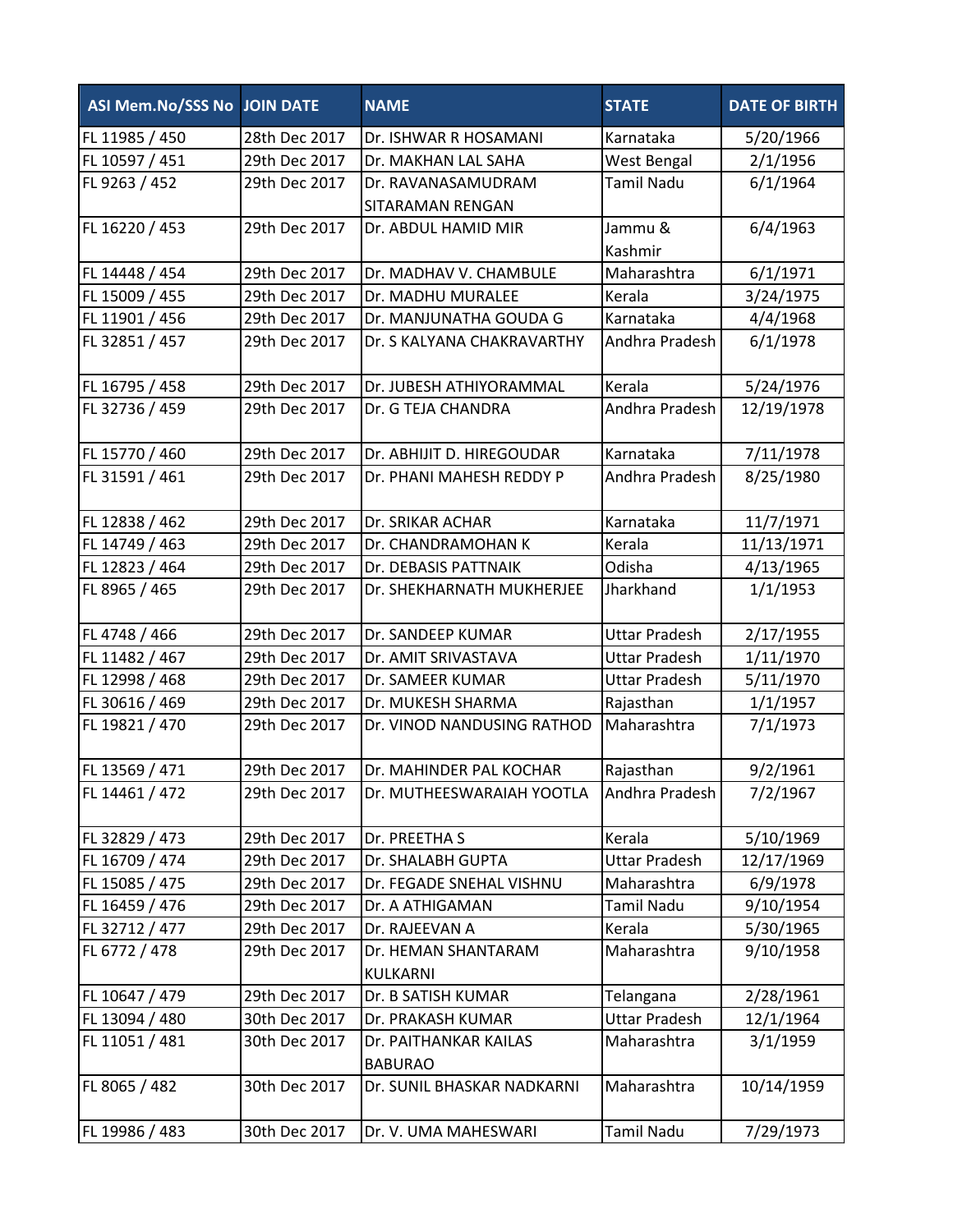| ASI Mem.No/SSS No JOIN DATE |               | <b>NAME</b>                | <b>STATE</b>         | <b>DATE OF BIRTH</b> |
|-----------------------------|---------------|----------------------------|----------------------|----------------------|
| FL 11985 / 450              | 28th Dec 2017 | Dr. ISHWAR R HOSAMANI      | Karnataka            | 5/20/1966            |
| FL 10597 / 451              | 29th Dec 2017 | Dr. MAKHAN LAL SAHA        | West Bengal          | 2/1/1956             |
| FL 9263 / 452               | 29th Dec 2017 | Dr. RAVANASAMUDRAM         | <b>Tamil Nadu</b>    | 6/1/1964             |
|                             |               | SITARAMAN RENGAN           |                      |                      |
| FL 16220 / 453              | 29th Dec 2017 | Dr. ABDUL HAMID MIR        | Jammu &              | 6/4/1963             |
|                             |               |                            | Kashmir              |                      |
| FL 14448 / 454              | 29th Dec 2017 | Dr. MADHAV V. CHAMBULE     | Maharashtra          | 6/1/1971             |
| FL 15009 / 455              | 29th Dec 2017 | Dr. MADHU MURALEE          | Kerala               | 3/24/1975            |
| FL 11901 / 456              | 29th Dec 2017 | Dr. MANJUNATHA GOUDA G     | Karnataka            | 4/4/1968             |
| FL 32851 / 457              | 29th Dec 2017 | Dr. S KALYANA CHAKRAVARTHY | Andhra Pradesh       | 6/1/1978             |
| FL 16795 / 458              | 29th Dec 2017 | Dr. JUBESH ATHIYORAMMAL    | Kerala               | 5/24/1976            |
| FL 32736 / 459              | 29th Dec 2017 | Dr. G TEJA CHANDRA         | Andhra Pradesh       | 12/19/1978           |
| FL 15770 / 460              | 29th Dec 2017 | Dr. ABHIJIT D. HIREGOUDAR  | Karnataka            | 7/11/1978            |
| FL 31591 / 461              | 29th Dec 2017 | Dr. PHANI MAHESH REDDY P   | Andhra Pradesh       | 8/25/1980            |
|                             |               |                            |                      |                      |
| FL 12838 / 462              | 29th Dec 2017 | Dr. SRIKAR ACHAR           | Karnataka            | 11/7/1971            |
| FL 14749 / 463              | 29th Dec 2017 | Dr. CHANDRAMOHAN K         | Kerala               | 11/13/1971           |
| FL 12823 / 464              | 29th Dec 2017 | Dr. DEBASIS PATTNAIK       | Odisha               | 4/13/1965            |
| FL 8965 / 465               | 29th Dec 2017 | Dr. SHEKHARNATH MUKHERJEE  | Jharkhand            | 1/1/1953             |
| FL 4748 / 466               | 29th Dec 2017 | Dr. SANDEEP KUMAR          | <b>Uttar Pradesh</b> | 2/17/1955            |
| FL 11482 / 467              | 29th Dec 2017 | Dr. AMIT SRIVASTAVA        | <b>Uttar Pradesh</b> | 1/11/1970            |
| FL 12998 / 468              | 29th Dec 2017 | Dr. SAMEER KUMAR           | <b>Uttar Pradesh</b> | 5/11/1970            |
| FL 30616 / 469              | 29th Dec 2017 | Dr. MUKESH SHARMA          | Rajasthan            | 1/1/1957             |
| FL 19821 / 470              | 29th Dec 2017 | Dr. VINOD NANDUSING RATHOD | Maharashtra          | 7/1/1973             |
| FL 13569 / 471              | 29th Dec 2017 | Dr. MAHINDER PAL KOCHAR    | Rajasthan            | 9/2/1961             |
| FL 14461 / 472              | 29th Dec 2017 | Dr. MUTHEESWARAIAH YOOTLA  | Andhra Pradesh       | 7/2/1967             |
| FL 32829 / 473              | 29th Dec 2017 | Dr. PREETHA S              | Kerala               | 5/10/1969            |
| FL 16709 / 474              | 29th Dec 2017 | Dr. SHALABH GUPTA          | <b>Uttar Pradesh</b> | 12/17/1969           |
| FL 15085 / 475              | 29th Dec 2017 | Dr. FEGADE SNEHAL VISHNU   | Maharashtra          | 6/9/1978             |
| FL 16459 / 476              | 29th Dec 2017 | Dr. A ATHIGAMAN            | <b>Tamil Nadu</b>    | 9/10/1954            |
| FL 32712 / 477              | 29th Dec 2017 | Dr. RAJEEVAN A             | Kerala               | 5/30/1965            |
| FL 6772 / 478               | 29th Dec 2017 | Dr. HEMAN SHANTARAM        | Maharashtra          | 9/10/1958            |
|                             |               | KULKARNI                   |                      |                      |
| FL 10647 / 479              | 29th Dec 2017 | Dr. B SATISH KUMAR         | Telangana            | 2/28/1961            |
| FL 13094 / 480              | 30th Dec 2017 | Dr. PRAKASH KUMAR          | <b>Uttar Pradesh</b> | 12/1/1964            |
| FL 11051 / 481              | 30th Dec 2017 | Dr. PAITHANKAR KAILAS      | Maharashtra          | 3/1/1959             |
|                             |               | <b>BABURAO</b>             |                      |                      |
| FL 8065 / 482               | 30th Dec 2017 | Dr. SUNIL BHASKAR NADKARNI | Maharashtra          | 10/14/1959           |
| FL 19986 / 483              | 30th Dec 2017 | Dr. V. UMA MAHESWARI       | <b>Tamil Nadu</b>    | 7/29/1973            |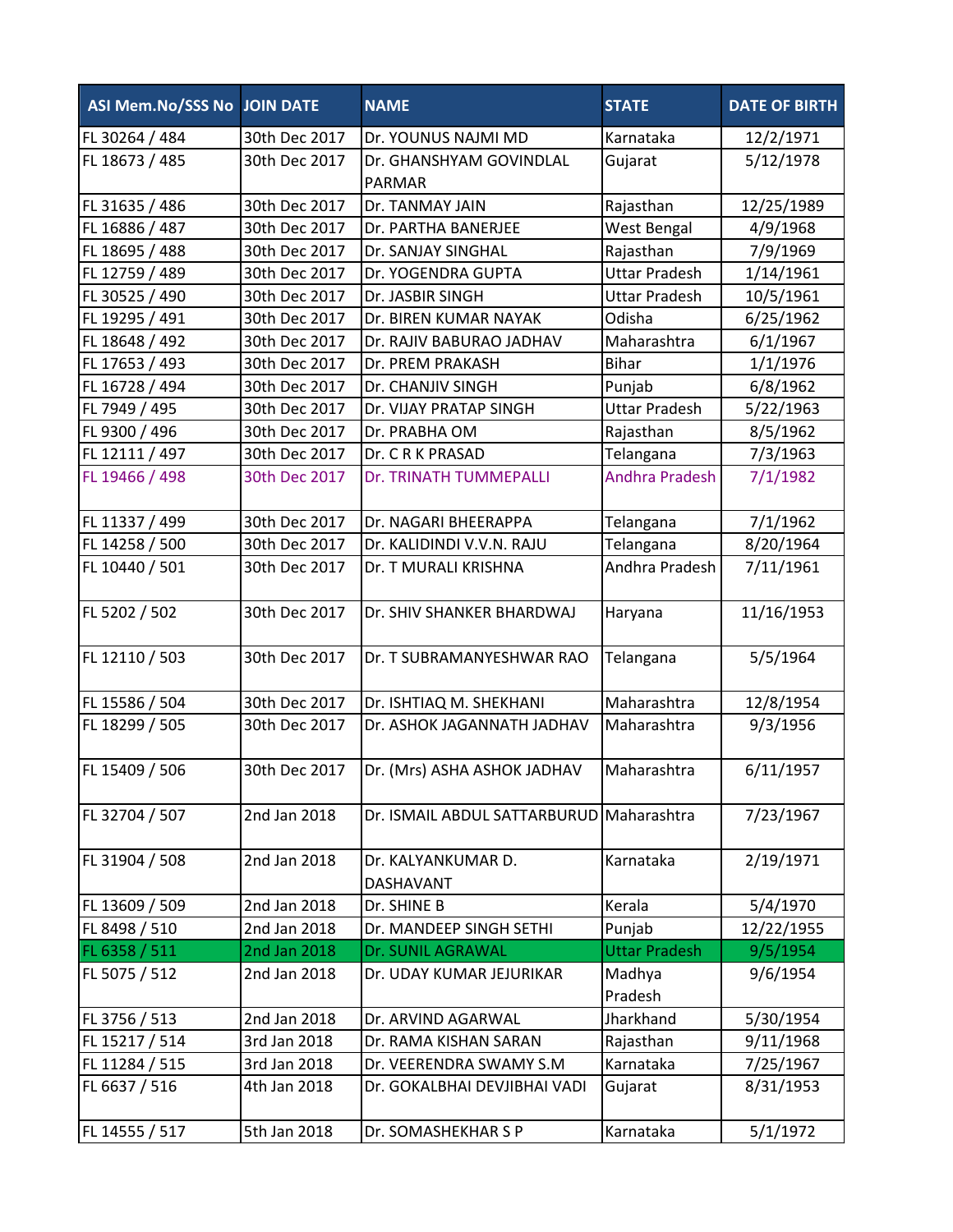| ASI Mem.No/SSS No JOIN DATE |               | <b>NAME</b>                              | <b>STATE</b>          | <b>DATE OF BIRTH</b> |
|-----------------------------|---------------|------------------------------------------|-----------------------|----------------------|
| FL 30264 / 484              | 30th Dec 2017 | Dr. YOUNUS NAJMI MD                      | Karnataka             | 12/2/1971            |
| FL 18673 / 485              | 30th Dec 2017 | Dr. GHANSHYAM GOVINDLAL                  | Gujarat               | 5/12/1978            |
|                             |               | <b>PARMAR</b>                            |                       |                      |
| FL 31635 / 486              | 30th Dec 2017 | Dr. TANMAY JAIN                          | Rajasthan             | 12/25/1989           |
| FL 16886 / 487              | 30th Dec 2017 | Dr. PARTHA BANERJEE                      | West Bengal           | 4/9/1968             |
| FL 18695 / 488              | 30th Dec 2017 | Dr. SANJAY SINGHAL                       | Rajasthan             | 7/9/1969             |
| FL 12759 / 489              | 30th Dec 2017 | Dr. YOGENDRA GUPTA                       | <b>Uttar Pradesh</b>  | 1/14/1961            |
| FL 30525 / 490              | 30th Dec 2017 | Dr. JASBIR SINGH                         | <b>Uttar Pradesh</b>  | 10/5/1961            |
| FL 19295 / 491              | 30th Dec 2017 | Dr. BIREN KUMAR NAYAK                    | Odisha                | 6/25/1962            |
| FL 18648 / 492              | 30th Dec 2017 | Dr. RAJIV BABURAO JADHAV                 | Maharashtra           | 6/1/1967             |
| FL 17653 / 493              | 30th Dec 2017 | Dr. PREM PRAKASH                         | <b>Bihar</b>          | 1/1/1976             |
| FL 16728 / 494              | 30th Dec 2017 | Dr. CHANJIV SINGH                        | Punjab                | 6/8/1962             |
| FL 7949 / 495               | 30th Dec 2017 | Dr. VIJAY PRATAP SINGH                   | <b>Uttar Pradesh</b>  | 5/22/1963            |
| FL 9300 / 496               | 30th Dec 2017 | Dr. PRABHA OM                            | Rajasthan             | 8/5/1962             |
| FL 12111 / 497              | 30th Dec 2017 | Dr. CRKPRASAD                            | Telangana             | 7/3/1963             |
| FL 19466 / 498              | 30th Dec 2017 | Dr. TRINATH TUMMEPALLI                   | <b>Andhra Pradesh</b> | 7/1/1982             |
| FL 11337 / 499              | 30th Dec 2017 | Dr. NAGARI BHEERAPPA                     | Telangana             | 7/1/1962             |
| FL 14258 / 500              | 30th Dec 2017 | Dr. KALIDINDI V.V.N. RAJU                | Telangana             | 8/20/1964            |
| FL 10440 / 501              | 30th Dec 2017 | Dr. T MURALI KRISHNA                     | Andhra Pradesh        | 7/11/1961            |
| FL 5202 / 502               | 30th Dec 2017 | Dr. SHIV SHANKER BHARDWAJ                | Haryana               | 11/16/1953           |
| FL 12110 / 503              | 30th Dec 2017 | Dr. T SUBRAMANYESHWAR RAO                | Telangana             | 5/5/1964             |
| FL 15586 / 504              | 30th Dec 2017 | Dr. ISHTIAQ M. SHEKHANI                  | Maharashtra           | 12/8/1954            |
| FL 18299 / 505              | 30th Dec 2017 | Dr. ASHOK JAGANNATH JADHAV               | Maharashtra           | 9/3/1956             |
| FL 15409 / 506              | 30th Dec 2017 | Dr. (Mrs) ASHA ASHOK JADHAV              | Maharashtra           | 6/11/1957            |
| FL 32704 / 507              | 2nd Jan 2018  | Dr. ISMAIL ABDUL SATTARBURUD Maharashtra |                       | 7/23/1967            |
| FL 31904 / 508              | 2nd Jan 2018  | Dr. KALYANKUMAR D.<br><b>DASHAVANT</b>   | Karnataka             | 2/19/1971            |
| FL 13609 / 509              | 2nd Jan 2018  | Dr. SHINE B                              | Kerala                | 5/4/1970             |
| FL 8498 / 510               | 2nd Jan 2018  | Dr. MANDEEP SINGH SETHI                  | Punjab                | 12/22/1955           |
| FL 6358 / 511               | 2nd Jan 2018  | Dr. SUNIL AGRAWAL                        | <b>Uttar Pradesh</b>  | 9/5/1954             |
| FL 5075 / 512               | 2nd Jan 2018  | Dr. UDAY KUMAR JEJURIKAR                 | Madhya                | 9/6/1954             |
|                             |               |                                          | Pradesh               |                      |
| FL 3756 / 513               | 2nd Jan 2018  | Dr. ARVIND AGARWAL                       | Jharkhand             | 5/30/1954            |
| FL 15217 / 514              | 3rd Jan 2018  | Dr. RAMA KISHAN SARAN                    | Rajasthan             | 9/11/1968            |
| FL 11284 / 515              | 3rd Jan 2018  | Dr. VEERENDRA SWAMY S.M                  | Karnataka             | 7/25/1967            |
| FL 6637 / 516               | 4th Jan 2018  | Dr. GOKALBHAI DEVJIBHAI VADI             | Gujarat               | 8/31/1953            |
| FL 14555 / 517              | 5th Jan 2018  | Dr. SOMASHEKHAR S P                      | Karnataka             | 5/1/1972             |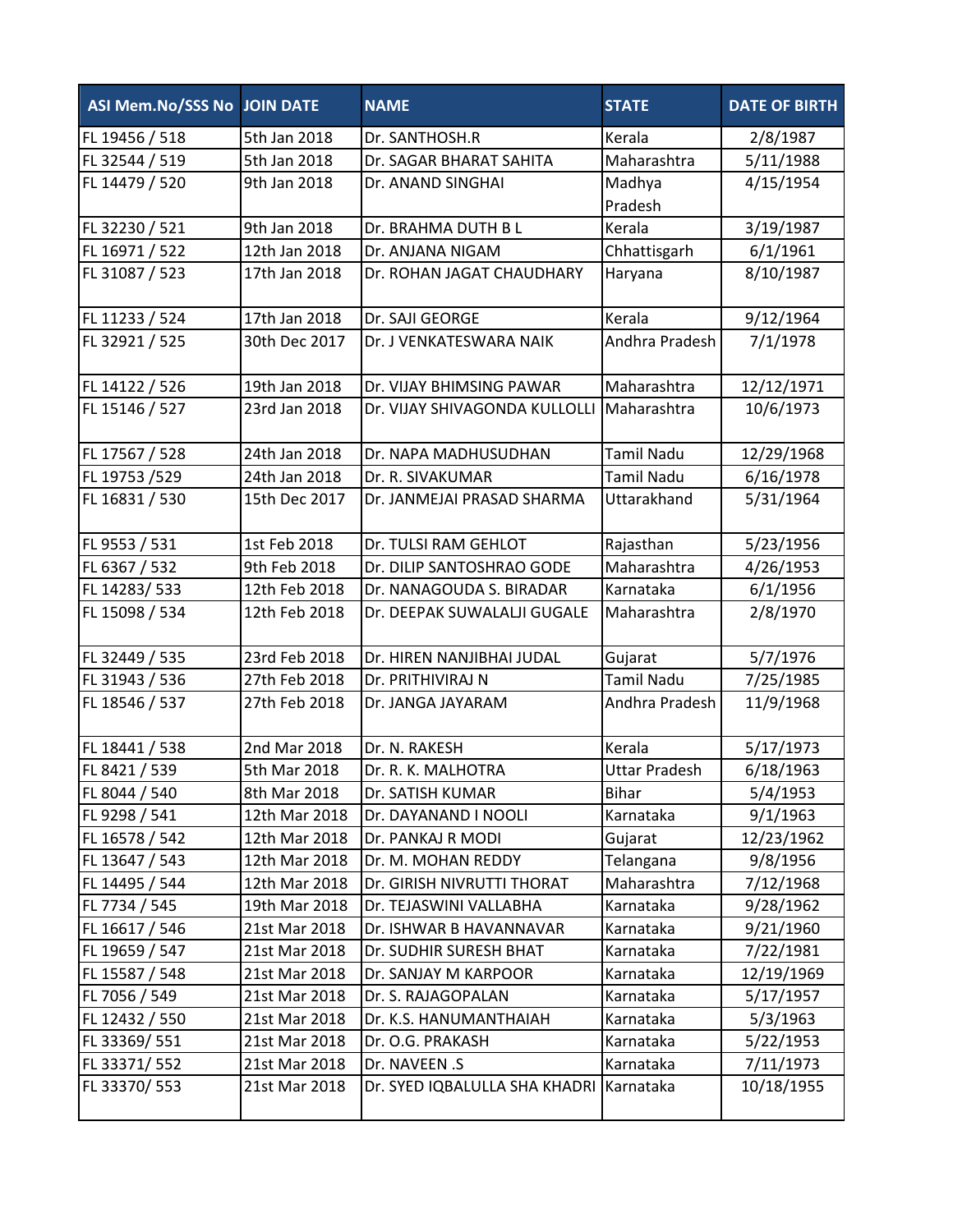| ASI Mem.No/SSS No JOIN DATE |               | <b>NAME</b>                               | <b>STATE</b>         | <b>DATE OF BIRTH</b> |
|-----------------------------|---------------|-------------------------------------------|----------------------|----------------------|
| FL 19456 / 518              | 5th Jan 2018  | Dr. SANTHOSH.R                            | Kerala               | 2/8/1987             |
| FL 32544 / 519              | 5th Jan 2018  | Dr. SAGAR BHARAT SAHITA                   | Maharashtra          | 5/11/1988            |
| FL 14479 / 520              | 9th Jan 2018  | Dr. ANAND SINGHAI                         | Madhya               | 4/15/1954            |
|                             |               |                                           | Pradesh              |                      |
| FL 32230 / 521              | 9th Jan 2018  | Dr. BRAHMA DUTH B L                       | Kerala               | 3/19/1987            |
| FL 16971 / 522              | 12th Jan 2018 | Dr. ANJANA NIGAM                          | Chhattisgarh         | 6/1/1961             |
| FL 31087 / 523              | 17th Jan 2018 | Dr. ROHAN JAGAT CHAUDHARY                 | Haryana              | 8/10/1987            |
| FL 11233 / 524              | 17th Jan 2018 | Dr. SAJI GEORGE                           | Kerala               | 9/12/1964            |
| FL 32921 / 525              | 30th Dec 2017 | Dr. J VENKATESWARA NAIK                   | Andhra Pradesh       | 7/1/1978             |
| FL 14122 / 526              | 19th Jan 2018 | Dr. VIJAY BHIMSING PAWAR                  | Maharashtra          | 12/12/1971           |
| FL 15146 / 527              | 23rd Jan 2018 | Dr. VIJAY SHIVAGONDA KULLOLLI Maharashtra |                      | 10/6/1973            |
| FL 17567 / 528              | 24th Jan 2018 | Dr. NAPA MADHUSUDHAN                      | <b>Tamil Nadu</b>    | 12/29/1968           |
| FL 19753 /529               | 24th Jan 2018 | Dr. R. SIVAKUMAR                          | <b>Tamil Nadu</b>    | 6/16/1978            |
| FL 16831 / 530              | 15th Dec 2017 | Dr. JANMEJAI PRASAD SHARMA                | Uttarakhand          | 5/31/1964            |
| FL 9553 / 531               | 1st Feb 2018  | Dr. TULSI RAM GEHLOT                      | Rajasthan            | 5/23/1956            |
| FL 6367 / 532               | 9th Feb 2018  | Dr. DILIP SANTOSHRAO GODE                 | Maharashtra          | 4/26/1953            |
| FL 14283/533                | 12th Feb 2018 | Dr. NANAGOUDA S. BIRADAR                  | Karnataka            | 6/1/1956             |
| FL 15098 / 534              | 12th Feb 2018 | Dr. DEEPAK SUWALALJI GUGALE               | Maharashtra          | 2/8/1970             |
| FL 32449 / 535              | 23rd Feb 2018 | Dr. HIREN NANJIBHAI JUDAL                 | Gujarat              | 5/7/1976             |
| FL 31943 / 536              | 27th Feb 2018 | Dr. PRITHIVIRAJ N                         | <b>Tamil Nadu</b>    | 7/25/1985            |
| FL 18546 / 537              | 27th Feb 2018 | Dr. JANGA JAYARAM                         | Andhra Pradesh       | 11/9/1968            |
| FL 18441 / 538              | 2nd Mar 2018  | Dr. N. RAKESH                             | Kerala               | 5/17/1973            |
| FL 8421 / 539               | 5th Mar 2018  | Dr. R. K. MALHOTRA                        | <b>Uttar Pradesh</b> | 6/18/1963            |
| FL 8044 / 540               | 8th Mar 2018  | Dr. SATISH KUMAR                          | <b>Bihar</b>         | 5/4/1953             |
| FL 9298 / 541               | 12th Mar 2018 | Dr. DAYANAND I NOOLI                      | Karnataka            | 9/1/1963             |
| FL 16578 / 542              | 12th Mar 2018 | Dr. PANKAJ R MODI                         | Gujarat              | 12/23/1962           |
| FL 13647 / 543              | 12th Mar 2018 | Dr. M. MOHAN REDDY                        | Telangana            | 9/8/1956             |
| FL 14495 / 544              | 12th Mar 2018 | Dr. GIRISH NIVRUTTI THORAT                | Maharashtra          | 7/12/1968            |
| FL 7734 / 545               | 19th Mar 2018 | Dr. TEJASWINI VALLABHA                    | Karnataka            | 9/28/1962            |
| FL 16617 / 546              | 21st Mar 2018 | Dr. ISHWAR B HAVANNAVAR                   | Karnataka            | 9/21/1960            |
| FL 19659 / 547              | 21st Mar 2018 | Dr. SUDHIR SURESH BHAT                    | Karnataka            | 7/22/1981            |
| FL 15587 / 548              | 21st Mar 2018 | Dr. SANJAY M KARPOOR                      | Karnataka            | 12/19/1969           |
| FL 7056 / 549               | 21st Mar 2018 | Dr. S. RAJAGOPALAN                        | Karnataka            | 5/17/1957            |
| FL 12432 / 550              | 21st Mar 2018 | Dr. K.S. HANUMANTHAIAH                    | Karnataka            | 5/3/1963             |
| FL 33369/551                | 21st Mar 2018 | Dr. O.G. PRAKASH                          | Karnataka            | 5/22/1953            |
| FL 33371/552                | 21st Mar 2018 | Dr. NAVEEN .S                             | Karnataka            | 7/11/1973            |
| FL 33370/553                | 21st Mar 2018 | Dr. SYED IQBALULLA SHA KHADRI             | Karnataka            | 10/18/1955           |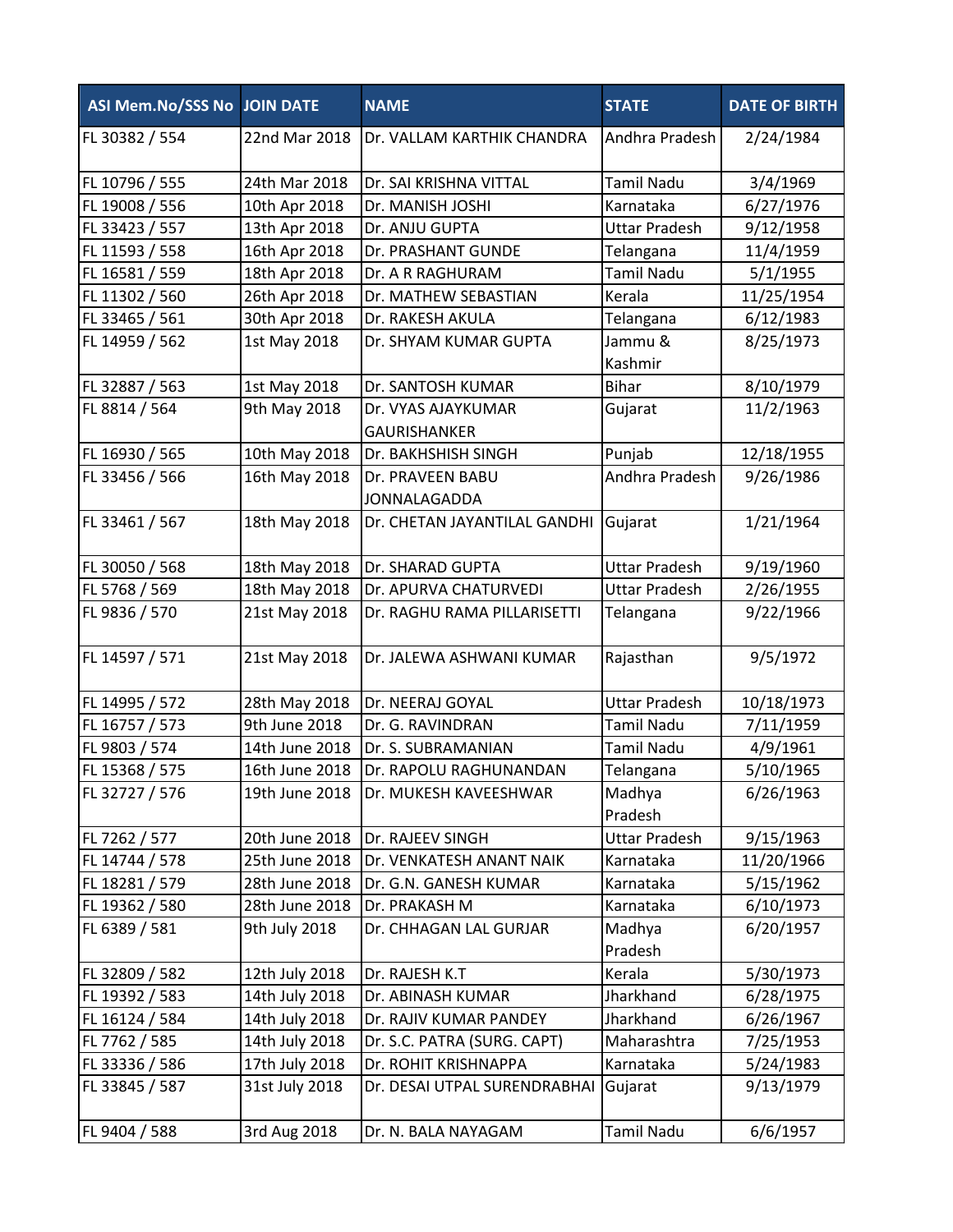| ASI Mem.No/SSS No JOIN DATE |                | <b>NAME</b>                               | <b>STATE</b>         | <b>DATE OF BIRTH</b> |
|-----------------------------|----------------|-------------------------------------------|----------------------|----------------------|
| FL 30382 / 554              | 22nd Mar 2018  | Dr. VALLAM KARTHIK CHANDRA                | Andhra Pradesh       | 2/24/1984            |
| FL 10796 / 555              | 24th Mar 2018  | Dr. SAI KRISHNA VITTAL                    | <b>Tamil Nadu</b>    | 3/4/1969             |
| FL 19008 / 556              | 10th Apr 2018  | Dr. MANISH JOSHI                          | Karnataka            | 6/27/1976            |
| FL 33423 / 557              | 13th Apr 2018  | Dr. ANJU GUPTA                            | <b>Uttar Pradesh</b> | 9/12/1958            |
| FL 11593 / 558              | 16th Apr 2018  | Dr. PRASHANT GUNDE                        | Telangana            | 11/4/1959            |
| FL 16581 / 559              | 18th Apr 2018  | Dr. A R RAGHURAM                          | <b>Tamil Nadu</b>    | 5/1/1955             |
| FL 11302 / 560              | 26th Apr 2018  | Dr. MATHEW SEBASTIAN                      | Kerala               | 11/25/1954           |
| FL 33465 / 561              | 30th Apr 2018  | Dr. RAKESH AKULA                          | Telangana            | 6/12/1983            |
| FL 14959 / 562              | 1st May 2018   | Dr. SHYAM KUMAR GUPTA                     | Jammu &<br>Kashmir   | 8/25/1973            |
| FL 32887 / 563              | 1st May 2018   | Dr. SANTOSH KUMAR                         | <b>Bihar</b>         | 8/10/1979            |
| FL 8814 / 564               | 9th May 2018   | Dr. VYAS AJAYKUMAR<br><b>GAURISHANKER</b> | Gujarat              | 11/2/1963            |
| FL 16930 / 565              | 10th May 2018  | Dr. BAKHSHISH SINGH                       | Punjab               | 12/18/1955           |
| FL 33456 / 566              | 16th May 2018  | Dr. PRAVEEN BABU<br><b>JONNALAGADDA</b>   | Andhra Pradesh       | 9/26/1986            |
| FL 33461 / 567              | 18th May 2018  | Dr. CHETAN JAYANTILAL GANDHI              | Gujarat              | 1/21/1964            |
| FL 30050 / 568              | 18th May 2018  | Dr. SHARAD GUPTA                          | <b>Uttar Pradesh</b> | 9/19/1960            |
| FL 5768 / 569               | 18th May 2018  | Dr. APURVA CHATURVEDI                     | <b>Uttar Pradesh</b> | 2/26/1955            |
| FL 9836 / 570               | 21st May 2018  | Dr. RAGHU RAMA PILLARISETTI               | Telangana            | 9/22/1966            |
| FL 14597 / 571              | 21st May 2018  | Dr. JALEWA ASHWANI KUMAR                  | Rajasthan            | 9/5/1972             |
| FL 14995 / 572              | 28th May 2018  | Dr. NEERAJ GOYAL                          | <b>Uttar Pradesh</b> | 10/18/1973           |
| FL 16757 / 573              | 9th June 2018  | Dr. G. RAVINDRAN                          | <b>Tamil Nadu</b>    | 7/11/1959            |
| FL 9803 / 574               | 14th June 2018 | Dr. S. SUBRAMANIAN                        | <b>Tamil Nadu</b>    | 4/9/1961             |
| FL 15368 / 575              | 16th June 2018 | Dr. RAPOLU RAGHUNANDAN                    | Telangana            | 5/10/1965            |
| FL 32727 / 576              | 19th June 2018 | Dr. MUKESH KAVEESHWAR                     | Madhya<br>Pradesh    | 6/26/1963            |
| FL 7262 / 577               | 20th June 2018 | Dr. RAJEEV SINGH                          | <b>Uttar Pradesh</b> | 9/15/1963            |
| FL 14744 / 578              | 25th June 2018 | Dr. VENKATESH ANANT NAIK                  | Karnataka            | 11/20/1966           |
| FL 18281 / 579              | 28th June 2018 | Dr. G.N. GANESH KUMAR                     | Karnataka            | 5/15/1962            |
| FL 19362 / 580              | 28th June 2018 | Dr. PRAKASH M                             | Karnataka            | 6/10/1973            |
| FL 6389 / 581               | 9th July 2018  | Dr. CHHAGAN LAL GURJAR                    | Madhya<br>Pradesh    | 6/20/1957            |
| FL 32809 / 582              | 12th July 2018 | Dr. RAJESH K.T                            | Kerala               | 5/30/1973            |
| FL 19392 / 583              | 14th July 2018 | Dr. ABINASH KUMAR                         | Jharkhand            | 6/28/1975            |
| FL 16124 / 584              | 14th July 2018 | Dr. RAJIV KUMAR PANDEY                    | Jharkhand            | 6/26/1967            |
| FL 7762 / 585               | 14th July 2018 | Dr. S.C. PATRA (SURG. CAPT)               | Maharashtra          | 7/25/1953            |
| FL 33336 / 586              | 17th July 2018 | Dr. ROHIT KRISHNAPPA                      | Karnataka            | 5/24/1983            |
| FL 33845 / 587              | 31st July 2018 | Dr. DESAI UTPAL SURENDRABHAI              | Gujarat              | 9/13/1979            |
| FL 9404 / 588               | 3rd Aug 2018   | Dr. N. BALA NAYAGAM                       | <b>Tamil Nadu</b>    | 6/6/1957             |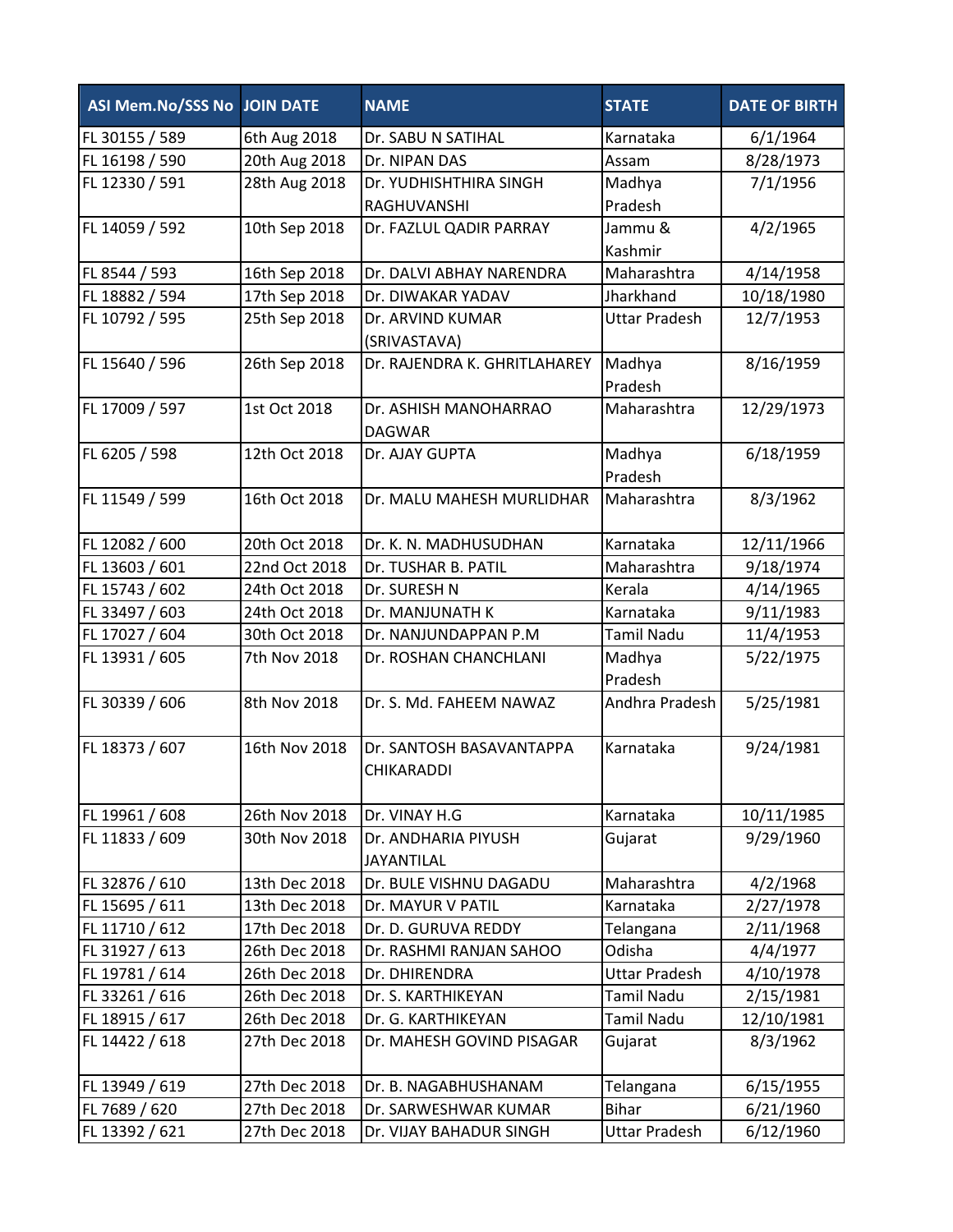| <b>ASI Mem.No/SSS No JOIN DATE</b> |               | <b>NAME</b>                                   | <b>STATE</b>         | <b>DATE OF BIRTH</b> |
|------------------------------------|---------------|-----------------------------------------------|----------------------|----------------------|
| FL 30155 / 589                     | 6th Aug 2018  | Dr. SABU N SATIHAL                            | Karnataka            | 6/1/1964             |
| FL 16198 / 590                     | 20th Aug 2018 | Dr. NIPAN DAS                                 | Assam                | 8/28/1973            |
| FL 12330 / 591                     | 28th Aug 2018 | Dr. YUDHISHTHIRA SINGH                        | Madhya               | 7/1/1956             |
|                                    |               | RAGHUVANSHI                                   | Pradesh              |                      |
| FL 14059 / 592                     | 10th Sep 2018 | Dr. FAZLUL QADIR PARRAY                       | Jammu &              | 4/2/1965             |
|                                    |               |                                               | Kashmir              |                      |
| FL 8544 / 593                      | 16th Sep 2018 | Dr. DALVI ABHAY NARENDRA                      | Maharashtra          | 4/14/1958            |
| FL 18882 / 594                     | 17th Sep 2018 | Dr. DIWAKAR YADAV                             | Jharkhand            | 10/18/1980           |
| FL 10792 / 595                     | 25th Sep 2018 | Dr. ARVIND KUMAR<br>(SRIVASTAVA)              | <b>Uttar Pradesh</b> | 12/7/1953            |
| FL 15640 / 596                     | 26th Sep 2018 | Dr. RAJENDRA K. GHRITLAHAREY                  | Madhya<br>Pradesh    | 8/16/1959            |
| FL 17009 / 597                     | 1st Oct 2018  | Dr. ASHISH MANOHARRAO<br><b>DAGWAR</b>        | Maharashtra          | 12/29/1973           |
| FL 6205 / 598                      | 12th Oct 2018 | Dr. AJAY GUPTA                                | Madhya<br>Pradesh    | 6/18/1959            |
| FL 11549 / 599                     | 16th Oct 2018 | Dr. MALU MAHESH MURLIDHAR                     | Maharashtra          | 8/3/1962             |
| FL 12082 / 600                     | 20th Oct 2018 | Dr. K. N. MADHUSUDHAN                         | Karnataka            | 12/11/1966           |
| FL 13603 / 601                     | 22nd Oct 2018 | Dr. TUSHAR B. PATIL                           | Maharashtra          | 9/18/1974            |
| FL 15743 / 602                     | 24th Oct 2018 | Dr. SURESH N                                  | Kerala               | 4/14/1965            |
| FL 33497 / 603                     | 24th Oct 2018 | Dr. MANJUNATH K                               | Karnataka            | 9/11/1983            |
| FL 17027 / 604                     | 30th Oct 2018 | Dr. NANJUNDAPPAN P.M                          | <b>Tamil Nadu</b>    | 11/4/1953            |
| FL 13931 / 605                     | 7th Nov 2018  | Dr. ROSHAN CHANCHLANI                         | Madhya<br>Pradesh    | 5/22/1975            |
| FL 30339 / 606                     | 8th Nov 2018  | Dr. S. Md. FAHEEM NAWAZ                       | Andhra Pradesh       | 5/25/1981            |
| FL 18373 / 607                     | 16th Nov 2018 | Dr. SANTOSH BASAVANTAPPA<br><b>CHIKARADDI</b> | Karnataka            | 9/24/1981            |
| FL 19961 / 608                     | 26th Nov 2018 | Dr. VINAY H.G                                 | Karnataka            | 10/11/1985           |
| FL 11833 / 609                     | 30th Nov 2018 | Dr. ANDHARIA PIYUSH<br><b>JAYANTILAL</b>      | Gujarat              | 9/29/1960            |
| FL 32876 / 610                     | 13th Dec 2018 | Dr. BULE VISHNU DAGADU                        | Maharashtra          | 4/2/1968             |
| FL 15695 / 611                     | 13th Dec 2018 | Dr. MAYUR V PATIL                             | Karnataka            | 2/27/1978            |
| FL 11710 / 612                     | 17th Dec 2018 | Dr. D. GURUVA REDDY                           | Telangana            | 2/11/1968            |
| FL 31927 / 613                     | 26th Dec 2018 | Dr. RASHMI RANJAN SAHOO                       | Odisha               | 4/4/1977             |
| FL 19781 / 614                     | 26th Dec 2018 | Dr. DHIRENDRA                                 | <b>Uttar Pradesh</b> | 4/10/1978            |
| FL 33261 / 616                     | 26th Dec 2018 | Dr. S. KARTHIKEYAN                            | <b>Tamil Nadu</b>    | 2/15/1981            |
| FL 18915 / 617                     | 26th Dec 2018 | Dr. G. KARTHIKEYAN                            | <b>Tamil Nadu</b>    | 12/10/1981           |
| FL 14422 / 618                     | 27th Dec 2018 | Dr. MAHESH GOVIND PISAGAR                     | Gujarat              | 8/3/1962             |
| FL 13949 / 619                     | 27th Dec 2018 | Dr. B. NAGABHUSHANAM                          | Telangana            | 6/15/1955            |
| FL 7689 / 620                      | 27th Dec 2018 | Dr. SARWESHWAR KUMAR                          | <b>Bihar</b>         | 6/21/1960            |
| FL 13392 / 621                     | 27th Dec 2018 | Dr. VIJAY BAHADUR SINGH                       | <b>Uttar Pradesh</b> | 6/12/1960            |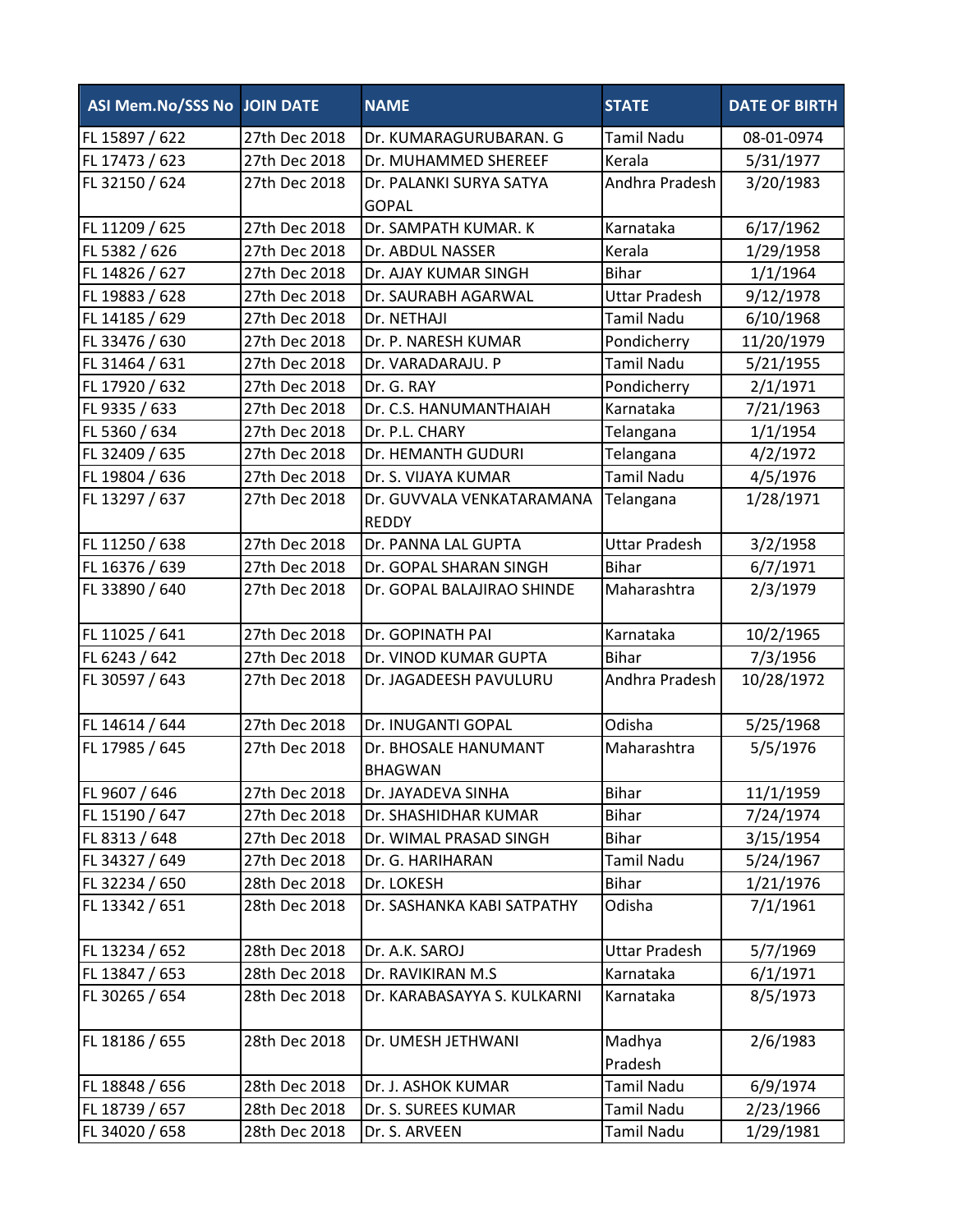| ASI Mem.No/SSS No JOIN DATE |               | <b>NAME</b>                               | <b>STATE</b>         | <b>DATE OF BIRTH</b> |
|-----------------------------|---------------|-------------------------------------------|----------------------|----------------------|
| FL 15897 / 622              | 27th Dec 2018 | Dr. KUMARAGURUBARAN. G                    | <b>Tamil Nadu</b>    | 08-01-0974           |
| FL 17473 / 623              | 27th Dec 2018 | Dr. MUHAMMED SHEREEF                      | Kerala               | 5/31/1977            |
| FL 32150 / 624              | 27th Dec 2018 | Dr. PALANKI SURYA SATYA                   | Andhra Pradesh       | 3/20/1983            |
|                             |               | <b>GOPAL</b>                              |                      |                      |
| FL 11209 / 625              | 27th Dec 2018 | Dr. SAMPATH KUMAR. K                      | Karnataka            | 6/17/1962            |
| FL 5382 / 626               | 27th Dec 2018 | Dr. ABDUL NASSER                          | Kerala               | 1/29/1958            |
| FL 14826 / 627              | 27th Dec 2018 | Dr. AJAY KUMAR SINGH                      | <b>Bihar</b>         | 1/1/1964             |
| FL 19883 / 628              | 27th Dec 2018 | Dr. SAURABH AGARWAL                       | <b>Uttar Pradesh</b> | 9/12/1978            |
| FL 14185 / 629              | 27th Dec 2018 | Dr. NETHAJI                               | <b>Tamil Nadu</b>    | 6/10/1968            |
| FL 33476 / 630              | 27th Dec 2018 | Dr. P. NARESH KUMAR                       | Pondicherry          | 11/20/1979           |
| FL 31464 / 631              | 27th Dec 2018 | Dr. VARADARAJU. P                         | <b>Tamil Nadu</b>    | 5/21/1955            |
| FL 17920 / 632              | 27th Dec 2018 | Dr. G. RAY                                | Pondicherry          | 2/1/1971             |
| FL 9335 / 633               | 27th Dec 2018 | Dr. C.S. HANUMANTHAIAH                    | Karnataka            | 7/21/1963            |
| FL 5360 / 634               | 27th Dec 2018 | Dr. P.L. CHARY                            | Telangana            | 1/1/1954             |
| FL 32409 / 635              | 27th Dec 2018 | <b>Dr. HEMANTH GUDURI</b>                 | Telangana            | 4/2/1972             |
| FL 19804 / 636              | 27th Dec 2018 | Dr. S. VIJAYA KUMAR                       | <b>Tamil Nadu</b>    | 4/5/1976             |
| FL 13297 / 637              | 27th Dec 2018 | Dr. GUVVALA VENKATARAMANA<br><b>REDDY</b> | Telangana            | 1/28/1971            |
| FL 11250 / 638              | 27th Dec 2018 | Dr. PANNA LAL GUPTA                       | <b>Uttar Pradesh</b> | 3/2/1958             |
| FL 16376 / 639              | 27th Dec 2018 | Dr. GOPAL SHARAN SINGH                    | <b>Bihar</b>         | 6/7/1971             |
| FL 33890 / 640              | 27th Dec 2018 | Dr. GOPAL BALAJIRAO SHINDE                | Maharashtra          | 2/3/1979             |
| FL 11025 / 641              | 27th Dec 2018 | Dr. GOPINATH PAI                          | Karnataka            | 10/2/1965            |
| FL 6243 / 642               | 27th Dec 2018 | Dr. VINOD KUMAR GUPTA                     | <b>Bihar</b>         | 7/3/1956             |
| FL 30597 / 643              | 27th Dec 2018 | Dr. JAGADEESH PAVULURU                    | Andhra Pradesh       | 10/28/1972           |
| FL 14614 / 644              | 27th Dec 2018 | Dr. INUGANTI GOPAL                        | Odisha               | 5/25/1968            |
| FL 17985 / 645              | 27th Dec 2018 | Dr. BHOSALE HANUMANT<br><b>BHAGWAN</b>    | Maharashtra          | 5/5/1976             |
| FL 9607 / 646               | 27th Dec 2018 | Dr. JAYADEVA SINHA                        | <b>Bihar</b>         | 11/1/1959            |
| FL 15190 / 647              | 27th Dec 2018 | Dr. SHASHIDHAR KUMAR                      | <b>Bihar</b>         | 7/24/1974            |
| FL 8313 / 648               | 27th Dec 2018 | Dr. WIMAL PRASAD SINGH                    | <b>Bihar</b>         | 3/15/1954            |
| FL 34327 / 649              | 27th Dec 2018 | Dr. G. HARIHARAN                          | Tamil Nadu           | 5/24/1967            |
| FL 32234 / 650              | 28th Dec 2018 | Dr. LOKESH                                | <b>Bihar</b>         | 1/21/1976            |
| FL 13342 / 651              | 28th Dec 2018 | Dr. SASHANKA KABI SATPATHY                | Odisha               | 7/1/1961             |
| FL 13234 / 652              | 28th Dec 2018 | Dr. A.K. SAROJ                            | <b>Uttar Pradesh</b> | 5/7/1969             |
| FL 13847 / 653              | 28th Dec 2018 | Dr. RAVIKIRAN M.S                         | Karnataka            | 6/1/1971             |
| FL 30265 / 654              | 28th Dec 2018 | Dr. KARABASAYYA S. KULKARNI               | Karnataka            | 8/5/1973             |
| FL 18186 / 655              | 28th Dec 2018 | Dr. UMESH JETHWANI                        | Madhya<br>Pradesh    | 2/6/1983             |
| FL 18848 / 656              | 28th Dec 2018 | Dr. J. ASHOK KUMAR                        | <b>Tamil Nadu</b>    | 6/9/1974             |
| FL 18739 / 657              | 28th Dec 2018 | Dr. S. SUREES KUMAR                       | <b>Tamil Nadu</b>    | 2/23/1966            |
| FL 34020 / 658              | 28th Dec 2018 | Dr. S. ARVEEN                             | Tamil Nadu           | 1/29/1981            |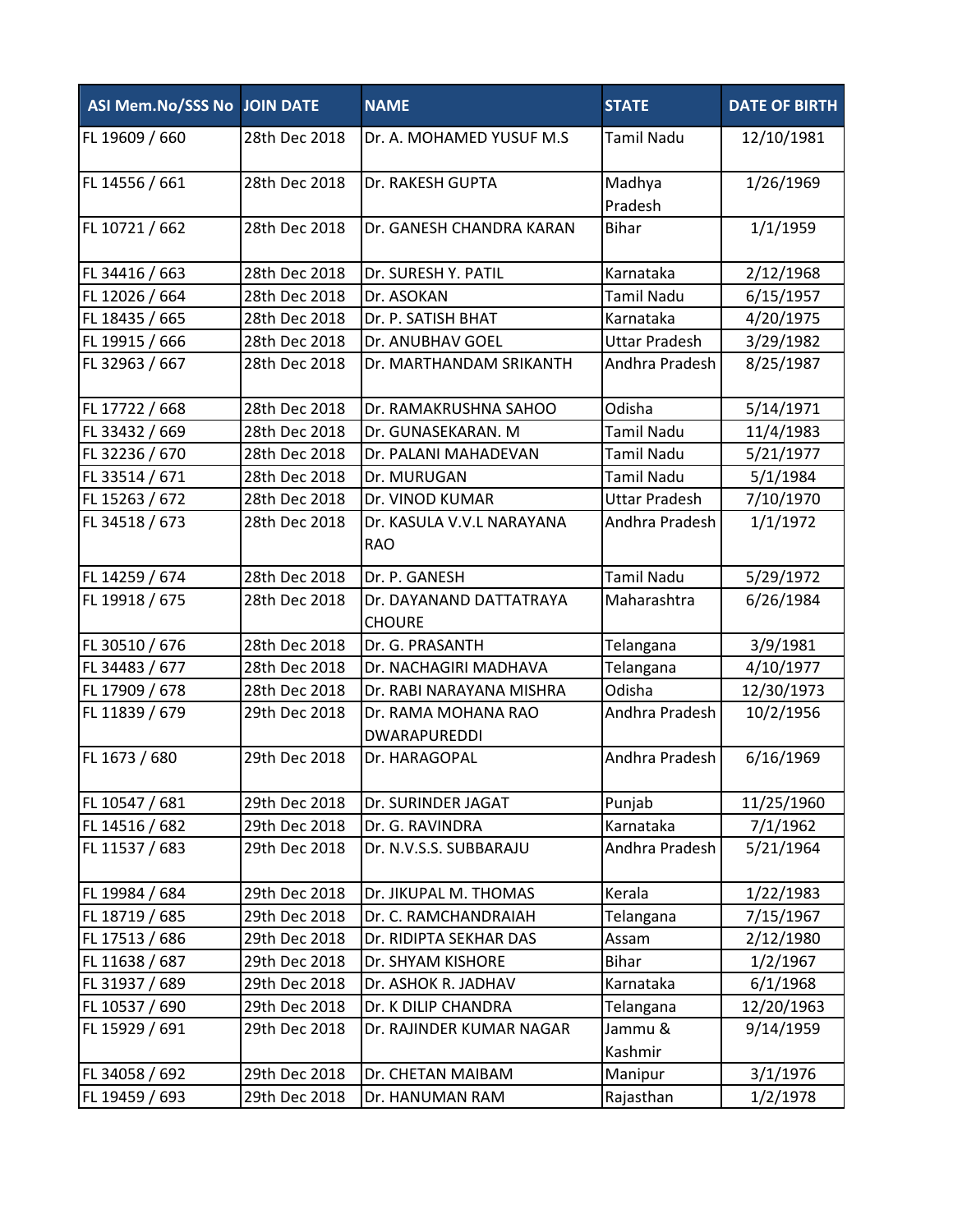| <b>ASI Mem.No/SSS No JOIN DATE</b> |               | <b>NAME</b>                                | <b>STATE</b>         | <b>DATE OF BIRTH</b> |
|------------------------------------|---------------|--------------------------------------------|----------------------|----------------------|
| FL 19609 / 660                     | 28th Dec 2018 | Dr. A. MOHAMED YUSUF M.S.                  | <b>Tamil Nadu</b>    | 12/10/1981           |
| FL 14556 / 661                     | 28th Dec 2018 | Dr. RAKESH GUPTA                           | Madhya<br>Pradesh    | 1/26/1969            |
| FL 10721 / 662                     | 28th Dec 2018 | Dr. GANESH CHANDRA KARAN                   | <b>Bihar</b>         | 1/1/1959             |
| FL 34416 / 663                     | 28th Dec 2018 | Dr. SURESH Y. PATIL                        | Karnataka            | 2/12/1968            |
| FL 12026 / 664                     | 28th Dec 2018 | Dr. ASOKAN                                 | <b>Tamil Nadu</b>    | 6/15/1957            |
| FL 18435 / 665                     | 28th Dec 2018 | Dr. P. SATISH BHAT                         | Karnataka            | 4/20/1975            |
| FL 19915 / 666                     | 28th Dec 2018 | Dr. ANUBHAV GOEL                           | <b>Uttar Pradesh</b> | 3/29/1982            |
| FL 32963 / 667                     | 28th Dec 2018 | Dr. MARTHANDAM SRIKANTH                    | Andhra Pradesh       | 8/25/1987            |
| FL 17722 / 668                     | 28th Dec 2018 | Dr. RAMAKRUSHNA SAHOO                      | Odisha               | 5/14/1971            |
| FL 33432 / 669                     | 28th Dec 2018 | Dr. GUNASEKARAN. M                         | <b>Tamil Nadu</b>    | 11/4/1983            |
| FL 32236 / 670                     | 28th Dec 2018 | Dr. PALANI MAHADEVAN                       | <b>Tamil Nadu</b>    | 5/21/1977            |
| FL 33514 / 671                     | 28th Dec 2018 | Dr. MURUGAN                                | <b>Tamil Nadu</b>    | 5/1/1984             |
| FL 15263 / 672                     | 28th Dec 2018 | Dr. VINOD KUMAR                            | <b>Uttar Pradesh</b> | 7/10/1970            |
| FL 34518 / 673                     | 28th Dec 2018 | Dr. KASULA V.V.L NARAYANA<br><b>RAO</b>    | Andhra Pradesh       | 1/1/1972             |
| FL 14259 / 674                     | 28th Dec 2018 | Dr. P. GANESH                              | <b>Tamil Nadu</b>    | 5/29/1972            |
| FL 19918 / 675                     | 28th Dec 2018 | Dr. DAYANAND DATTATRAYA<br><b>CHOURE</b>   | Maharashtra          | 6/26/1984            |
| FL 30510 / 676                     | 28th Dec 2018 | Dr. G. PRASANTH                            | Telangana            | 3/9/1981             |
| FL 34483 / 677                     | 28th Dec 2018 | Dr. NACHAGIRI MADHAVA                      | Telangana            | 4/10/1977            |
| FL 17909 / 678                     | 28th Dec 2018 | Dr. RABI NARAYANA MISHRA                   | Odisha               | 12/30/1973           |
| FL 11839 / 679                     | 29th Dec 2018 | Dr. RAMA MOHANA RAO<br><b>DWARAPUREDDI</b> | Andhra Pradesh       | 10/2/1956            |
| FL 1673 / 680                      | 29th Dec 2018 | Dr. HARAGOPAL                              | Andhra Pradesh       | 6/16/1969            |
| FL 10547 / 681                     | 29th Dec 2018 | Dr. SURINDER JAGAT                         | Punjab               | 11/25/1960           |
| FL 14516 / 682                     | 29th Dec 2018 | Dr. G. RAVINDRA                            | Karnataka            | 7/1/1962             |
| FL 11537 / 683                     | 29th Dec 2018 | Dr. N.V.S.S. SUBBARAJU                     | Andhra Pradesh       | 5/21/1964            |
| FL 19984 / 684                     | 29th Dec 2018 | Dr. JIKUPAL M. THOMAS                      | Kerala               | 1/22/1983            |
| FL 18719 / 685                     | 29th Dec 2018 | Dr. C. RAMCHANDRAIAH                       | Telangana            | 7/15/1967            |
| FL 17513 / 686                     | 29th Dec 2018 | Dr. RIDIPTA SEKHAR DAS                     | Assam                | 2/12/1980            |
| FL 11638 / 687                     | 29th Dec 2018 | Dr. SHYAM KISHORE                          | <b>Bihar</b>         | 1/2/1967             |
| FL 31937 / 689                     | 29th Dec 2018 | Dr. ASHOK R. JADHAV                        | Karnataka            | 6/1/1968             |
| FL 10537 / 690                     | 29th Dec 2018 | Dr. K DILIP CHANDRA                        | Telangana            | 12/20/1963           |
| FL 15929 / 691                     | 29th Dec 2018 | Dr. RAJINDER KUMAR NAGAR                   | Jammu &<br>Kashmir   | 9/14/1959            |
| FL 34058 / 692                     | 29th Dec 2018 | Dr. CHETAN MAIBAM                          | Manipur              | 3/1/1976             |
| FL 19459 / 693                     | 29th Dec 2018 | Dr. HANUMAN RAM                            | Rajasthan            | 1/2/1978             |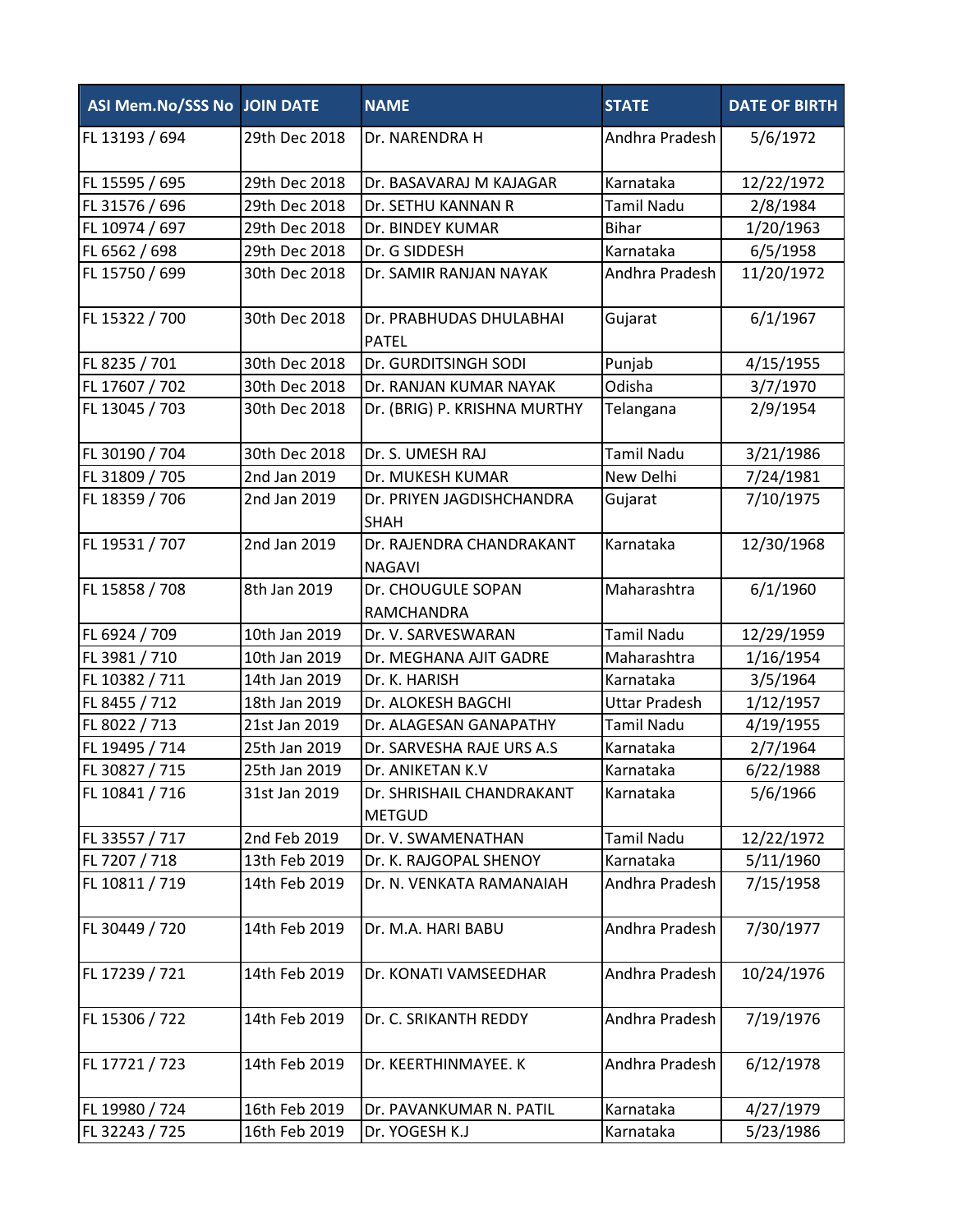| ASI Mem.No/SSS No JOIN DATE |               | <b>NAME</b>                                | <b>STATE</b>         | <b>DATE OF BIRTH</b> |
|-----------------------------|---------------|--------------------------------------------|----------------------|----------------------|
| FL 13193 / 694              | 29th Dec 2018 | Dr. NARENDRA H                             | Andhra Pradesh       | 5/6/1972             |
| FL 15595 / 695              | 29th Dec 2018 | Dr. BASAVARAJ M KAJAGAR                    | Karnataka            | 12/22/1972           |
| FL 31576 / 696              | 29th Dec 2018 | Dr. SETHU KANNAN R                         | <b>Tamil Nadu</b>    | 2/8/1984             |
| FL 10974 / 697              | 29th Dec 2018 | Dr. BINDEY KUMAR                           | <b>Bihar</b>         | 1/20/1963            |
| FL 6562 / 698               | 29th Dec 2018 | Dr. G SIDDESH                              | Karnataka            | 6/5/1958             |
| FL 15750 / 699              | 30th Dec 2018 | Dr. SAMIR RANJAN NAYAK                     | Andhra Pradesh       | 11/20/1972           |
| FL 15322 / 700              | 30th Dec 2018 | Dr. PRABHUDAS DHULABHAI<br><b>PATEL</b>    | Gujarat              | 6/1/1967             |
| FL 8235 / 701               | 30th Dec 2018 | Dr. GURDITSINGH SODI                       | Punjab               | 4/15/1955            |
| FL 17607 / 702              | 30th Dec 2018 | Dr. RANJAN KUMAR NAYAK                     | Odisha               | 3/7/1970             |
| FL 13045 / 703              | 30th Dec 2018 | Dr. (BRIG) P. KRISHNA MURTHY               | Telangana            | 2/9/1954             |
| FL 30190 / 704              | 30th Dec 2018 | Dr. S. UMESH RAJ                           | <b>Tamil Nadu</b>    | 3/21/1986            |
| FL 31809 / 705              | 2nd Jan 2019  | Dr. MUKESH KUMAR                           | New Delhi            | 7/24/1981            |
| FL 18359 / 706              | 2nd Jan 2019  | Dr. PRIYEN JAGDISHCHANDRA<br><b>SHAH</b>   | Gujarat              | 7/10/1975            |
| FL 19531 / 707              | 2nd Jan 2019  | Dr. RAJENDRA CHANDRAKANT<br><b>NAGAVI</b>  | Karnataka            | 12/30/1968           |
| FL 15858 / 708              | 8th Jan 2019  | Dr. CHOUGULE SOPAN<br>RAMCHANDRA           | Maharashtra          | 6/1/1960             |
| FL 6924 / 709               | 10th Jan 2019 | Dr. V. SARVESWARAN                         | <b>Tamil Nadu</b>    | 12/29/1959           |
| FL 3981 / 710               | 10th Jan 2019 | Dr. MEGHANA AJIT GADRE                     | Maharashtra          | 1/16/1954            |
| FL 10382 / 711              | 14th Jan 2019 | Dr. K. HARISH                              | Karnataka            | 3/5/1964             |
| FL 8455 / 712               | 18th Jan 2019 | Dr. ALOKESH BAGCHI                         | <b>Uttar Pradesh</b> | 1/12/1957            |
| FL 8022 / 713               | 21st Jan 2019 | Dr. ALAGESAN GANAPATHY                     | <b>Tamil Nadu</b>    | 4/19/1955            |
| FL 19495 / 714              | 25th Jan 2019 | Dr. SARVESHA RAJE URS A.S                  | Karnataka            | 2/7/1964             |
| FL 30827 / 715              | 25th Jan 2019 | Dr. ANIKETAN K.V                           | Karnataka            | 6/22/1988            |
| FL 10841 / 716              | 31st Jan 2019 | Dr. SHRISHAIL CHANDRAKANT<br><b>METGUD</b> | Karnataka            | 5/6/1966             |
| FL 33557 / 717              | 2nd Feb 2019  | Dr. V. SWAMENATHAN                         | <b>Tamil Nadu</b>    | 12/22/1972           |
| FL 7207 / 718               | 13th Feb 2019 | Dr. K. RAJGOPAL SHENOY                     | Karnataka            | 5/11/1960            |
| FL 10811 / 719              | 14th Feb 2019 | Dr. N. VENKATA RAMANAIAH                   | Andhra Pradesh       | 7/15/1958            |
| FL 30449 / 720              | 14th Feb 2019 | Dr. M.A. HARI BABU                         | Andhra Pradesh       | 7/30/1977            |
| FL 17239 / 721              | 14th Feb 2019 | Dr. KONATI VAMSEEDHAR                      | Andhra Pradesh       | 10/24/1976           |
| FL 15306 / 722              | 14th Feb 2019 | Dr. C. SRIKANTH REDDY                      | Andhra Pradesh       | 7/19/1976            |
| FL 17721 / 723              | 14th Feb 2019 | Dr. KEERTHINMAYEE. K                       | Andhra Pradesh       | 6/12/1978            |
| FL 19980 / 724              | 16th Feb 2019 | Dr. PAVANKUMAR N. PATIL                    | Karnataka            | 4/27/1979            |
| FL 32243 / 725              | 16th Feb 2019 | Dr. YOGESH K.J                             | Karnataka            | 5/23/1986            |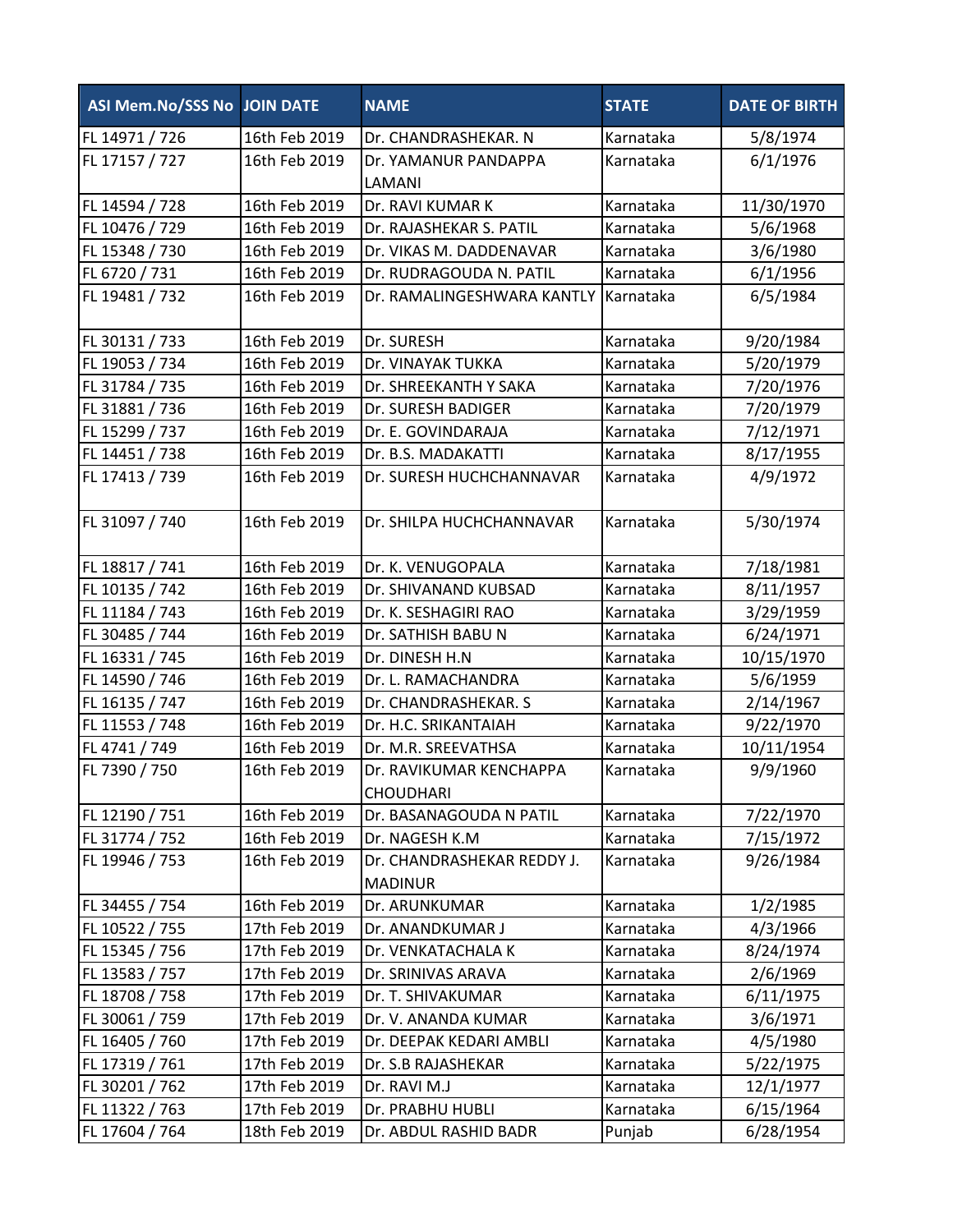| ASI Mem.No/SSS No JOIN DATE |               | <b>NAME</b>                                  | <b>STATE</b> | <b>DATE OF BIRTH</b> |
|-----------------------------|---------------|----------------------------------------------|--------------|----------------------|
| FL 14971 / 726              | 16th Feb 2019 | Dr. CHANDRASHEKAR. N                         | Karnataka    | 5/8/1974             |
| FL 17157 / 727              | 16th Feb 2019 | Dr. YAMANUR PANDAPPA                         | Karnataka    | 6/1/1976             |
|                             |               | LAMANI                                       |              |                      |
| FL 14594 / 728              | 16th Feb 2019 | Dr. RAVI KUMAR K                             | Karnataka    | 11/30/1970           |
| FL 10476 / 729              | 16th Feb 2019 | Dr. RAJASHEKAR S. PATIL                      | Karnataka    | 5/6/1968             |
| FL 15348 / 730              | 16th Feb 2019 | Dr. VIKAS M. DADDENAVAR                      | Karnataka    | 3/6/1980             |
| FL 6720 / 731               | 16th Feb 2019 | Dr. RUDRAGOUDA N. PATIL                      | Karnataka    | 6/1/1956             |
| FL 19481 / 732              | 16th Feb 2019 | Dr. RAMALINGESHWARA KANTLY                   | Karnataka    | 6/5/1984             |
| FL 30131 / 733              | 16th Feb 2019 | Dr. SURESH                                   | Karnataka    | 9/20/1984            |
| FL 19053 / 734              | 16th Feb 2019 | Dr. VINAYAK TUKKA                            | Karnataka    | 5/20/1979            |
| FL 31784 / 735              | 16th Feb 2019 | Dr. SHREEKANTH Y SAKA                        | Karnataka    | 7/20/1976            |
| FL 31881 / 736              | 16th Feb 2019 | Dr. SURESH BADIGER                           | Karnataka    | 7/20/1979            |
| FL 15299 / 737              | 16th Feb 2019 | Dr. E. GOVINDARAJA                           | Karnataka    | 7/12/1971            |
| FL 14451 / 738              | 16th Feb 2019 | Dr. B.S. MADAKATTI                           | Karnataka    | 8/17/1955            |
| FL 17413 / 739              | 16th Feb 2019 | Dr. SURESH HUCHCHANNAVAR                     | Karnataka    | 4/9/1972             |
| FL 31097 / 740              | 16th Feb 2019 | Dr. SHILPA HUCHCHANNAVAR                     | Karnataka    | 5/30/1974            |
| FL 18817 / 741              | 16th Feb 2019 | Dr. K. VENUGOPALA                            | Karnataka    | 7/18/1981            |
| FL 10135 / 742              | 16th Feb 2019 | Dr. SHIVANAND KUBSAD                         | Karnataka    | 8/11/1957            |
| FL 11184 / 743              | 16th Feb 2019 | Dr. K. SESHAGIRI RAO                         | Karnataka    | 3/29/1959            |
| FL 30485 / 744              | 16th Feb 2019 | Dr. SATHISH BABU N                           | Karnataka    | 6/24/1971            |
| FL 16331 / 745              | 16th Feb 2019 | Dr. DINESH H.N                               | Karnataka    | 10/15/1970           |
| FL 14590 / 746              | 16th Feb 2019 | Dr. L. RAMACHANDRA                           | Karnataka    | 5/6/1959             |
| FL 16135 / 747              | 16th Feb 2019 | Dr. CHANDRASHEKAR. S                         | Karnataka    | 2/14/1967            |
| FL 11553 / 748              | 16th Feb 2019 | Dr. H.C. SRIKANTAIAH                         | Karnataka    | 9/22/1970            |
| FL 4741 / 749               | 16th Feb 2019 | Dr. M.R. SREEVATHSA                          | Karnataka    | 10/11/1954           |
| FL 7390 / 750               | 16th Feb 2019 | Dr. RAVIKUMAR KENCHAPPA<br><b>CHOUDHARI</b>  | Karnataka    | 9/9/1960             |
| FL 12190 / 751              | 16th Feb 2019 | Dr. BASANAGOUDA N PATIL                      | Karnataka    | 7/22/1970            |
| FL 31774 / 752              | 16th Feb 2019 | Dr. NAGESH K.M                               | Karnataka    | 7/15/1972            |
| FL 19946 / 753              | 16th Feb 2019 | Dr. CHANDRASHEKAR REDDY J.<br><b>MADINUR</b> | Karnataka    | 9/26/1984            |
| FL 34455 / 754              | 16th Feb 2019 | Dr. ARUNKUMAR                                | Karnataka    | 1/2/1985             |
| FL 10522 / 755              | 17th Feb 2019 | Dr. ANANDKUMAR J                             | Karnataka    | 4/3/1966             |
| FL 15345 / 756              | 17th Feb 2019 | Dr. VENKATACHALA K                           | Karnataka    | 8/24/1974            |
| FL 13583 / 757              | 17th Feb 2019 | Dr. SRINIVAS ARAVA                           | Karnataka    | 2/6/1969             |
| FL 18708 / 758              | 17th Feb 2019 | Dr. T. SHIVAKUMAR                            | Karnataka    | 6/11/1975            |
| FL 30061 / 759              | 17th Feb 2019 | Dr. V. ANANDA KUMAR                          | Karnataka    | 3/6/1971             |
| FL 16405 / 760              | 17th Feb 2019 | Dr. DEEPAK KEDARI AMBLI                      | Karnataka    | 4/5/1980             |
| FL 17319 / 761              | 17th Feb 2019 | Dr. S.B RAJASHEKAR                           | Karnataka    | 5/22/1975            |
| FL 30201 / 762              | 17th Feb 2019 | Dr. RAVI M.J                                 | Karnataka    | 12/1/1977            |
| FL 11322 / 763              | 17th Feb 2019 | Dr. PRABHU HUBLI                             | Karnataka    | 6/15/1964            |
| FL 17604 / 764              | 18th Feb 2019 | Dr. ABDUL RASHID BADR                        | Punjab       | 6/28/1954            |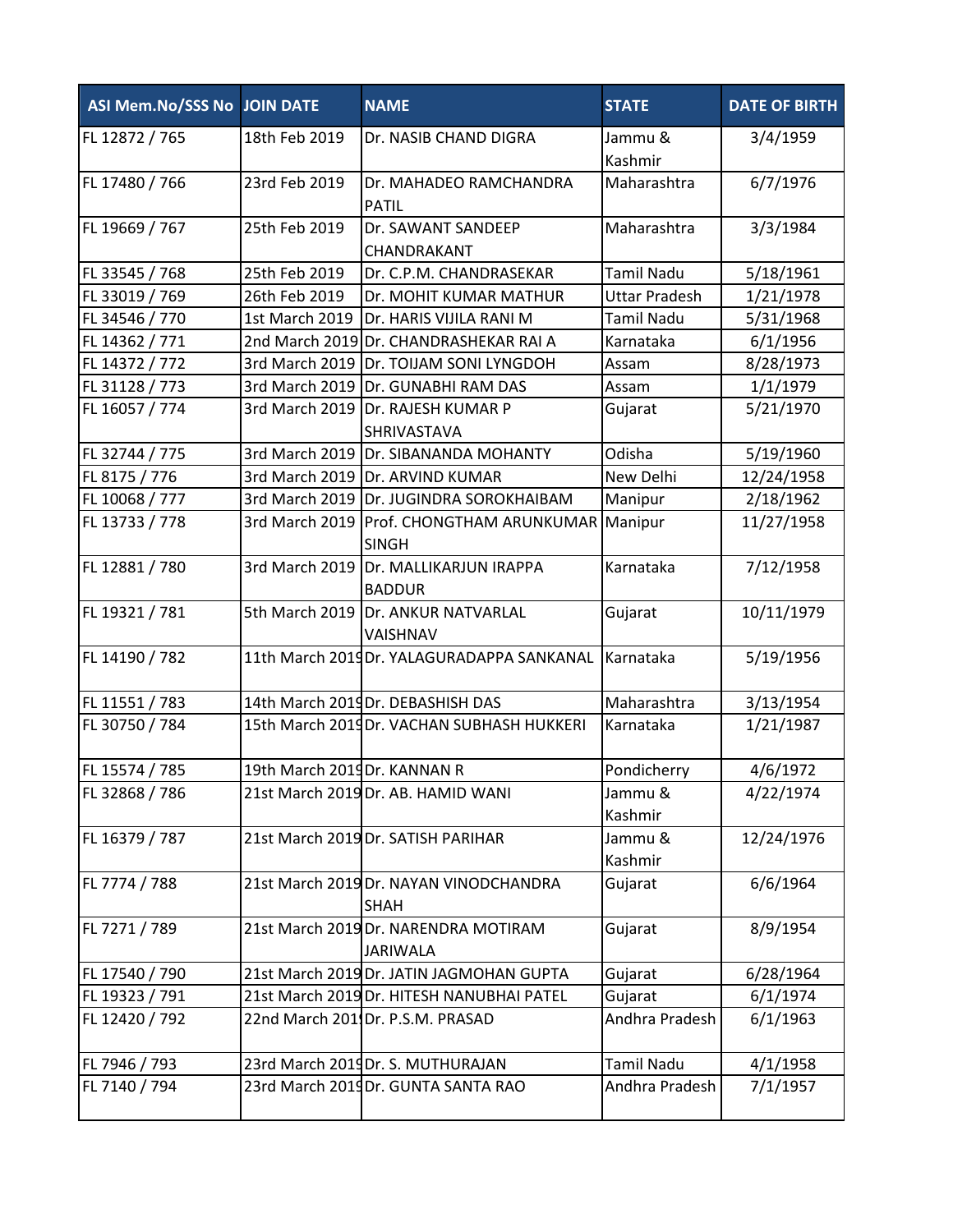| <b>ASI Mem.No/SSS No JOIN DATE</b> |                             | <b>NAME</b>                                                        | <b>STATE</b>         | <b>DATE OF BIRTH</b> |
|------------------------------------|-----------------------------|--------------------------------------------------------------------|----------------------|----------------------|
| FL 12872 / 765                     | 18th Feb 2019               | Dr. NASIB CHAND DIGRA                                              | Jammu &<br>Kashmir   | 3/4/1959             |
| FL 17480 / 766                     | 23rd Feb 2019               | Dr. MAHADEO RAMCHANDRA<br>PATIL                                    | Maharashtra          | 6/7/1976             |
| FL 19669 / 767                     | 25th Feb 2019               | Dr. SAWANT SANDEEP<br>CHANDRAKANT                                  | Maharashtra          | 3/3/1984             |
| FL 33545 / 768                     | 25th Feb 2019               | Dr. C.P.M. CHANDRASEKAR                                            | <b>Tamil Nadu</b>    | 5/18/1961            |
| FL 33019 / 769                     | 26th Feb 2019               | Dr. MOHIT KUMAR MATHUR                                             | <b>Uttar Pradesh</b> | 1/21/1978            |
| FL 34546 / 770                     | 1st March 2019              | Dr. HARIS VIJILA RANI M                                            | <b>Tamil Nadu</b>    | 5/31/1968            |
| FL 14362 / 771                     |                             | 2nd March 2019 Dr. CHANDRASHEKAR RAI A                             | Karnataka            | 6/1/1956             |
| FL 14372 / 772                     |                             | 3rd March 2019 Dr. TOIJAM SONI LYNGDOH                             | Assam                | 8/28/1973            |
| FL 31128 / 773                     |                             | 3rd March 2019   Dr. GUNABHI RAM DAS                               | Assam                | 1/1/1979             |
| FL 16057 / 774                     |                             | 3rd March 2019 Dr. RAJESH KUMAR P<br>SHRIVASTAVA                   | Gujarat              | 5/21/1970            |
| FL 32744 / 775                     |                             | 3rd March 2019 Dr. SIBANANDA MOHANTY                               | Odisha               | 5/19/1960            |
| FL 8175 / 776                      |                             | 3rd March 2019 Dr. ARVIND KUMAR                                    | New Delhi            | 12/24/1958           |
| FL 10068 / 777                     |                             | 3rd March 2019 Dr. JUGINDRA SOROKHAIBAM                            | Manipur              | 2/18/1962            |
| FL 13733 / 778                     |                             | 3rd March 2019   Prof. CHONGTHAM ARUNKUMAR Manipur<br><b>SINGH</b> |                      | 11/27/1958           |
| FL 12881 / 780                     |                             | 3rd March 2019 Dr. MALLIKARJUN IRAPPA<br><b>BADDUR</b>             | Karnataka            | 7/12/1958            |
| FL 19321 / 781                     |                             | 5th March 2019   Dr. ANKUR NATVARLAL<br>VAISHNAV                   | Gujarat              | 10/11/1979           |
| FL 14190 / 782                     |                             | 11th March 2019Dr. YALAGURADAPPA SANKANAL                          | Karnataka            | 5/19/1956            |
| FL 11551 / 783                     |                             | 14th March 2019Dr. DEBASHISH DAS                                   | Maharashtra          | 3/13/1954            |
| FL 30750 / 784                     |                             | 15th March 2019Dr. VACHAN SUBHASH HUKKERI                          | Karnataka            | 1/21/1987            |
| FL 15574 / 785                     | 19th March 2019Dr. KANNAN R |                                                                    | Pondicherry          | 4/6/1972             |
| FL 32868 / 786                     |                             | 21st March 2019 Dr. AB. HAMID WANI                                 | Jammu &<br>Kashmir   | 4/22/1974            |
| FL 16379 / 787                     |                             | 21st March 2019 Dr. SATISH PARIHAR                                 | Jammu &<br>Kashmir   | 12/24/1976           |
| FL 7774 / 788                      |                             | 21st March 2019 Dr. NAYAN VINODCHANDRA<br><b>SHAH</b>              | Gujarat              | 6/6/1964             |
| FL 7271 / 789                      |                             | 21st March 2019 Dr. NARENDRA MOTIRAM<br><b>JARIWALA</b>            | Gujarat              | 8/9/1954             |
| FL 17540 / 790                     |                             | 21st March 2019 Dr. JATIN JAGMOHAN GUPTA                           | Gujarat              | 6/28/1964            |
| FL 19323 / 791                     |                             | 21st March 2019 Dr. HITESH NANUBHAI PATEL                          | Gujarat              | 6/1/1974             |
| FL 12420 / 792                     |                             | 22nd March 201 Dr. P.S.M. PRASAD                                   | Andhra Pradesh       | 6/1/1963             |
| FL 7946 / 793                      |                             | 23rd March 2019Dr. S. MUTHURAJAN                                   | <b>Tamil Nadu</b>    | 4/1/1958             |
| FL 7140 / 794                      |                             | 23rd March 2019Dr. GUNTA SANTA RAO                                 | Andhra Pradesh       | 7/1/1957             |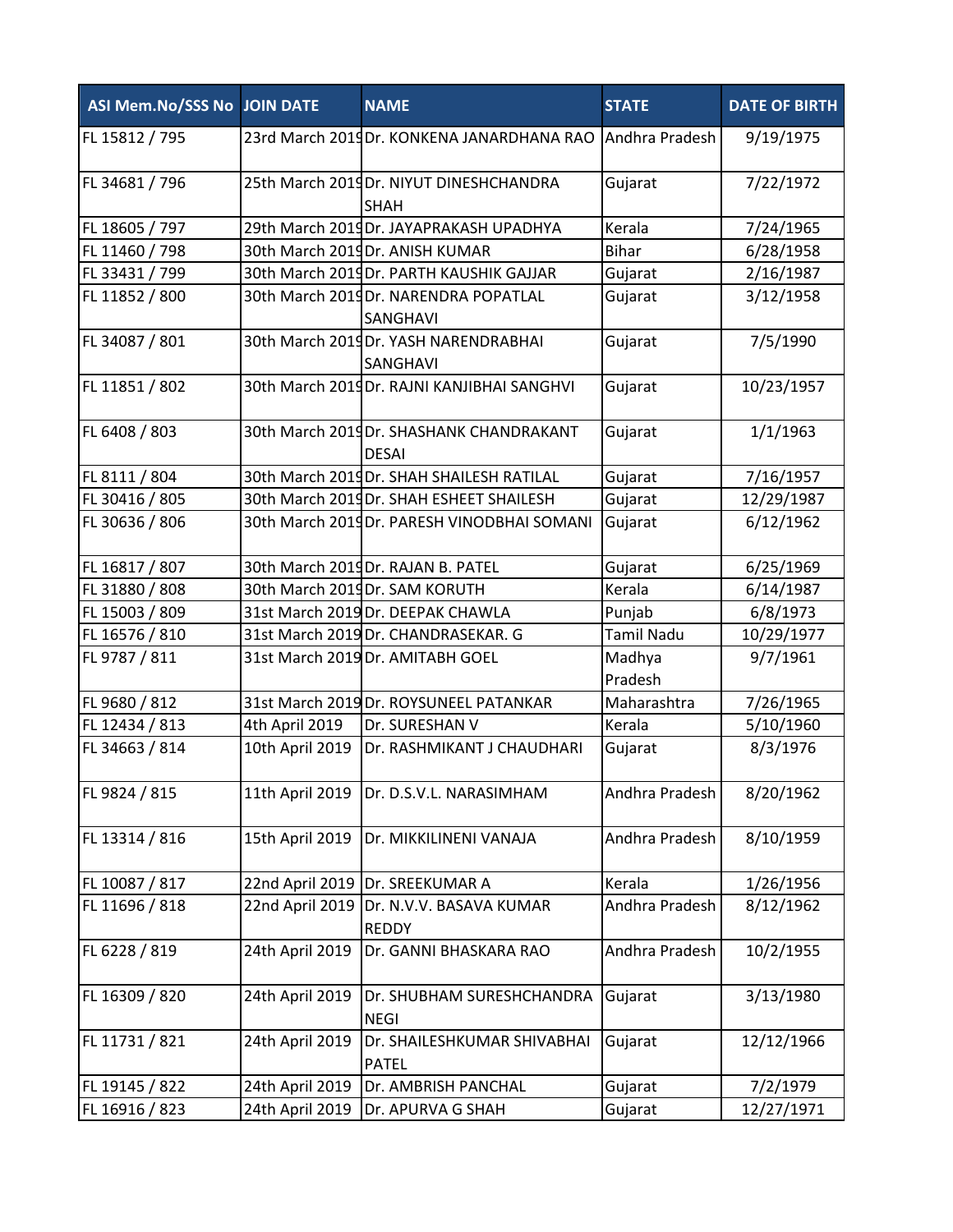| <b>ASI Mem.No/SSS No JOIN DATE</b> |                 | <b>NAME</b>                                             | <b>STATE</b>      | <b>DATE OF BIRTH</b> |
|------------------------------------|-----------------|---------------------------------------------------------|-------------------|----------------------|
| FL 15812 / 795                     |                 | 23rd March 2019Dr. KONKENA JANARDHANA RAO               | Andhra Pradesh    | 9/19/1975            |
| FL 34681 / 796                     |                 | 25th March 2019Dr. NIYUT DINESHCHANDRA<br><b>SHAH</b>   | Gujarat           | 7/22/1972            |
| FL 18605 / 797                     |                 | 29th March 2019Dr. JAYAPRAKASH UPADHYA                  | Kerala            | 7/24/1965            |
| FL 11460 / 798                     |                 | 30th March 2019Dr. ANISH KUMAR                          | <b>Bihar</b>      | 6/28/1958            |
| FL 33431 / 799                     |                 | 30th March 2019Dr. PARTH KAUSHIK GAJJAR                 | Gujarat           | 2/16/1987            |
| FL 11852 / 800                     |                 | 30th March 2019Dr. NARENDRA POPATLAL<br>SANGHAVI        | Gujarat           | 3/12/1958            |
| FL 34087 / 801                     |                 | 30th March 2019Dr. YASH NARENDRABHAI<br>SANGHAVI        | Gujarat           | 7/5/1990             |
| FL 11851 / 802                     |                 | 30th March 2019Dr. RAJNI KANJIBHAI SANGHVI              | Gujarat           | 10/23/1957           |
| FL 6408 / 803                      |                 | 30th March 2019Dr. SHASHANK CHANDRAKANT<br><b>DESAI</b> | Gujarat           | 1/1/1963             |
| FL 8111 / 804                      |                 | 30th March 2019Dr. SHAH SHAILESH RATILAL                | Gujarat           | 7/16/1957            |
| FL 30416 / 805                     |                 | 30th March 2019Dr. SHAH ESHEET SHAILESH                 | Gujarat           | 12/29/1987           |
| FL 30636 / 806                     |                 | 30th March 2019Dr. PARESH VINODBHAI SOMANI              | Gujarat           | 6/12/1962            |
| FL 16817 / 807                     |                 | 30th March 2019Dr. RAJAN B. PATEL                       | Gujarat           | 6/25/1969            |
| FL 31880 / 808                     |                 | 30th March 2019Dr. SAM KORUTH                           | Kerala            | 6/14/1987            |
| FL 15003 / 809                     |                 | 31st March 2019 Dr. DEEPAK CHAWLA                       | Punjab            | 6/8/1973             |
| FL 16576 / 810                     |                 | 31st March 2019 Dr. CHANDRASEKAR. G                     | <b>Tamil Nadu</b> | 10/29/1977           |
| FL 9787 / 811                      |                 | 31st March 2019 Dr. AMITABH GOEL                        | Madhya<br>Pradesh | 9/7/1961             |
| FL 9680 / 812                      |                 | 31st March 2019 Dr. ROYSUNEEL PATANKAR                  | Maharashtra       | 7/26/1965            |
| FL 12434 / 813                     | 4th April 2019  | Dr. SURESHAN V                                          | Kerala            | 5/10/1960            |
| FL 34663 / 814                     | 10th April 2019 | Dr. RASHMIKANT J CHAUDHARI                              | Gujarat           | 8/3/1976             |
| FL 9824 / 815                      | 11th April 2019 | Dr. D.S.V.L. NARASIMHAM                                 | Andhra Pradesh    | 8/20/1962            |
| FL 13314 / 816                     | 15th April 2019 | Dr. MIKKILINENI VANAJA                                  | Andhra Pradesh    | 8/10/1959            |
| FL 10087 / 817                     | 22nd April 2019 | Dr. SREEKUMAR A                                         | Kerala            | 1/26/1956            |
| FL 11696 / 818                     | 22nd April 2019 | Dr. N.V.V. BASAVA KUMAR<br><b>REDDY</b>                 | Andhra Pradesh    | 8/12/1962            |
| FL 6228 / 819                      | 24th April 2019 | Dr. GANNI BHASKARA RAO                                  | Andhra Pradesh    | 10/2/1955            |
| FL 16309 / 820                     | 24th April 2019 | Dr. SHUBHAM SURESHCHANDRA<br><b>NEGI</b>                | Gujarat           | 3/13/1980            |
| FL 11731 / 821                     | 24th April 2019 | Dr. SHAILESHKUMAR SHIVABHAI<br><b>PATEL</b>             | Gujarat           | 12/12/1966           |
| FL 19145 / 822                     | 24th April 2019 | Dr. AMBRISH PANCHAL                                     | Gujarat           | 7/2/1979             |
| FL 16916 / 823                     | 24th April 2019 | Dr. APURVA G SHAH                                       | Gujarat           | 12/27/1971           |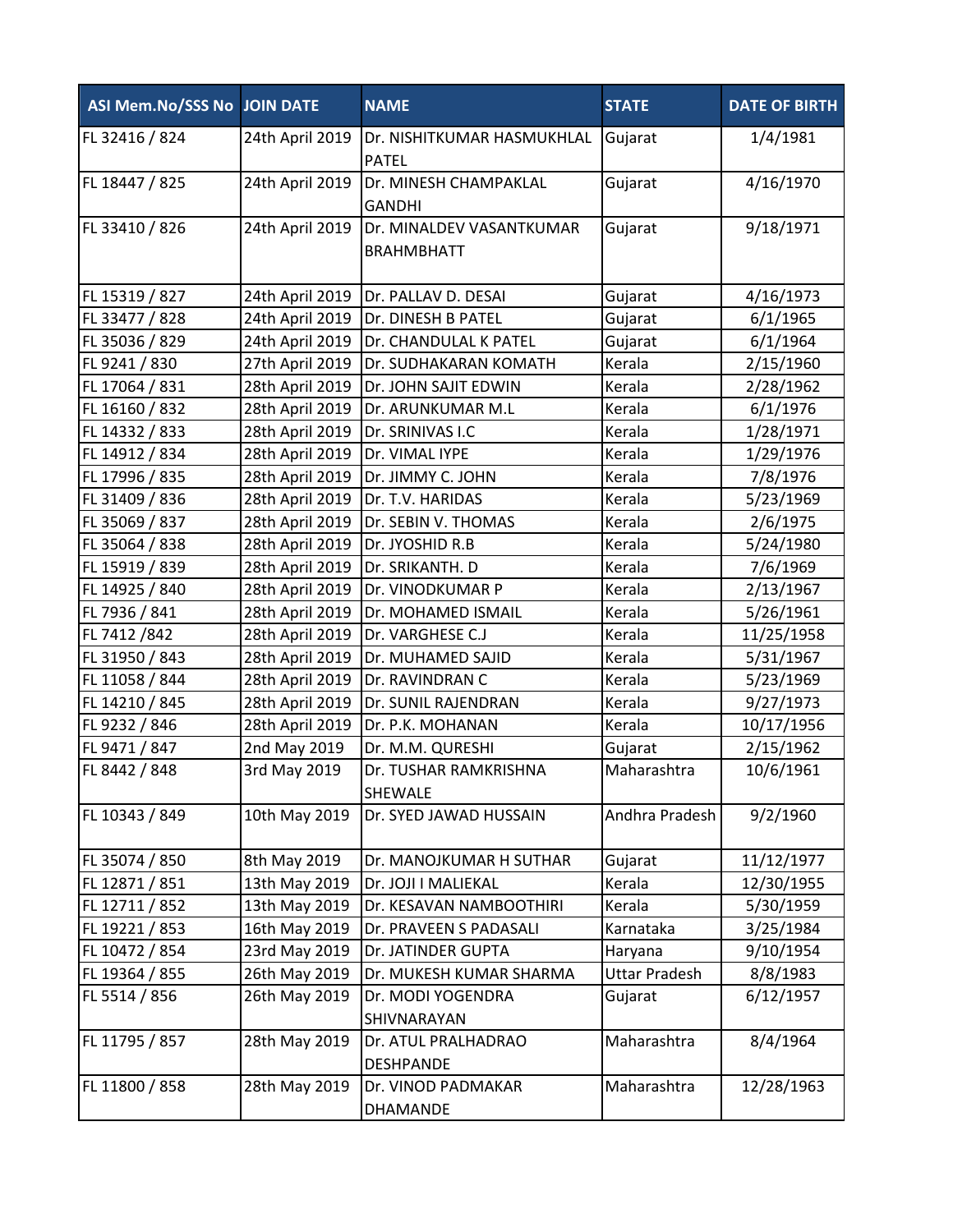| ASI Mem.No/SSS No JOIN DATE |                 | <b>NAME</b>                                   | <b>STATE</b>         | <b>DATE OF BIRTH</b> |
|-----------------------------|-----------------|-----------------------------------------------|----------------------|----------------------|
| FL 32416 / 824              | 24th April 2019 | Dr. NISHITKUMAR HASMUKHLAL<br><b>PATEL</b>    | Gujarat              | 1/4/1981             |
| FL 18447 / 825              | 24th April 2019 | Dr. MINESH CHAMPAKLAL<br><b>GANDHI</b>        | Gujarat              | 4/16/1970            |
| FL 33410 / 826              | 24th April 2019 | Dr. MINALDEV VASANTKUMAR<br><b>BRAHMBHATT</b> | Gujarat              | 9/18/1971            |
| FL 15319 / 827              | 24th April 2019 | Dr. PALLAV D. DESAI                           | Gujarat              | 4/16/1973            |
| FL 33477 / 828              | 24th April 2019 | Dr. DINESH B PATEL                            | Gujarat              | 6/1/1965             |
| FL 35036 / 829              | 24th April 2019 | Dr. CHANDULAL K PATEL                         | Gujarat              | 6/1/1964             |
| FL 9241 / 830               | 27th April 2019 | Dr. SUDHAKARAN KOMATH                         | Kerala               | 2/15/1960            |
| FL 17064 / 831              | 28th April 2019 | Dr. JOHN SAJIT EDWIN                          | Kerala               | 2/28/1962            |
| FL 16160 / 832              | 28th April 2019 | Dr. ARUNKUMAR M.L                             | Kerala               | 6/1/1976             |
| FL 14332 / 833              | 28th April 2019 | Dr. SRINIVAS I.C                              | Kerala               | 1/28/1971            |
| FL 14912 / 834              | 28th April 2019 | Dr. VIMAL IYPE                                | Kerala               | 1/29/1976            |
| FL 17996 / 835              | 28th April 2019 | Dr. JIMMY C. JOHN                             | Kerala               | 7/8/1976             |
| FL 31409 / 836              | 28th April 2019 | Dr. T.V. HARIDAS                              | Kerala               | 5/23/1969            |
| FL 35069 / 837              | 28th April 2019 | Dr. SEBIN V. THOMAS                           | Kerala               | 2/6/1975             |
| FL 35064 / 838              | 28th April 2019 | Dr. JYOSHID R.B                               | Kerala               | 5/24/1980            |
| FL 15919 / 839              | 28th April 2019 | Dr. SRIKANTH. D                               | Kerala               | 7/6/1969             |
| FL 14925 / 840              | 28th April 2019 | Dr. VINODKUMAR P                              | Kerala               | 2/13/1967            |
| FL 7936 / 841               | 28th April 2019 | Dr. MOHAMED ISMAIL                            | Kerala               | 5/26/1961            |
| FL 7412 /842                | 28th April 2019 | Dr. VARGHESE C.J                              | Kerala               | 11/25/1958           |
| FL 31950 / 843              | 28th April 2019 | Dr. MUHAMED SAJID                             | Kerala               | 5/31/1967            |
| FL 11058 / 844              | 28th April 2019 | Dr. RAVINDRAN C                               | Kerala               | 5/23/1969            |
| FL 14210 / 845              | 28th April 2019 | Dr. SUNIL RAJENDRAN                           | Kerala               | 9/27/1973            |
| FL 9232 / 846               | 28th April 2019 | Dr. P.K. MOHANAN                              | Kerala               | 10/17/1956           |
| FL 9471 / 847               | 2nd May 2019    | Dr. M.M. QURESHI                              | Gujarat              | 2/15/1962            |
| FL 8442 / 848               | 3rd May 2019    | Dr. TUSHAR RAMKRISHNA<br><b>SHEWALE</b>       | Maharashtra          | 10/6/1961            |
| FL 10343 / 849              | 10th May 2019   | Dr. SYED JAWAD HUSSAIN                        | Andhra Pradesh       | 9/2/1960             |
| FL 35074 / 850              | 8th May 2019    | Dr. MANOJKUMAR H SUTHAR                       | Gujarat              | 11/12/1977           |
| FL 12871 / 851              | 13th May 2019   | Dr. JOJI I MALIEKAL                           | Kerala               | 12/30/1955           |
| FL 12711 / 852              | 13th May 2019   | Dr. KESAVAN NAMBOOTHIRI                       | Kerala               | 5/30/1959            |
| FL 19221 / 853              | 16th May 2019   | Dr. PRAVEEN S PADASALI                        | Karnataka            | 3/25/1984            |
| FL 10472 / 854              | 23rd May 2019   | Dr. JATINDER GUPTA                            | Haryana              | 9/10/1954            |
| FL 19364 / 855              | 26th May 2019   | Dr. MUKESH KUMAR SHARMA                       | <b>Uttar Pradesh</b> | 8/8/1983             |
| FL 5514 / 856               | 26th May 2019   | Dr. MODI YOGENDRA<br>SHIVNARAYAN              | Gujarat              | 6/12/1957            |
| FL 11795 / 857              | 28th May 2019   | Dr. ATUL PRALHADRAO<br><b>DESHPANDE</b>       | Maharashtra          | 8/4/1964             |
| FL 11800 / 858              | 28th May 2019   | Dr. VINOD PADMAKAR<br>DHAMANDE                | Maharashtra          | 12/28/1963           |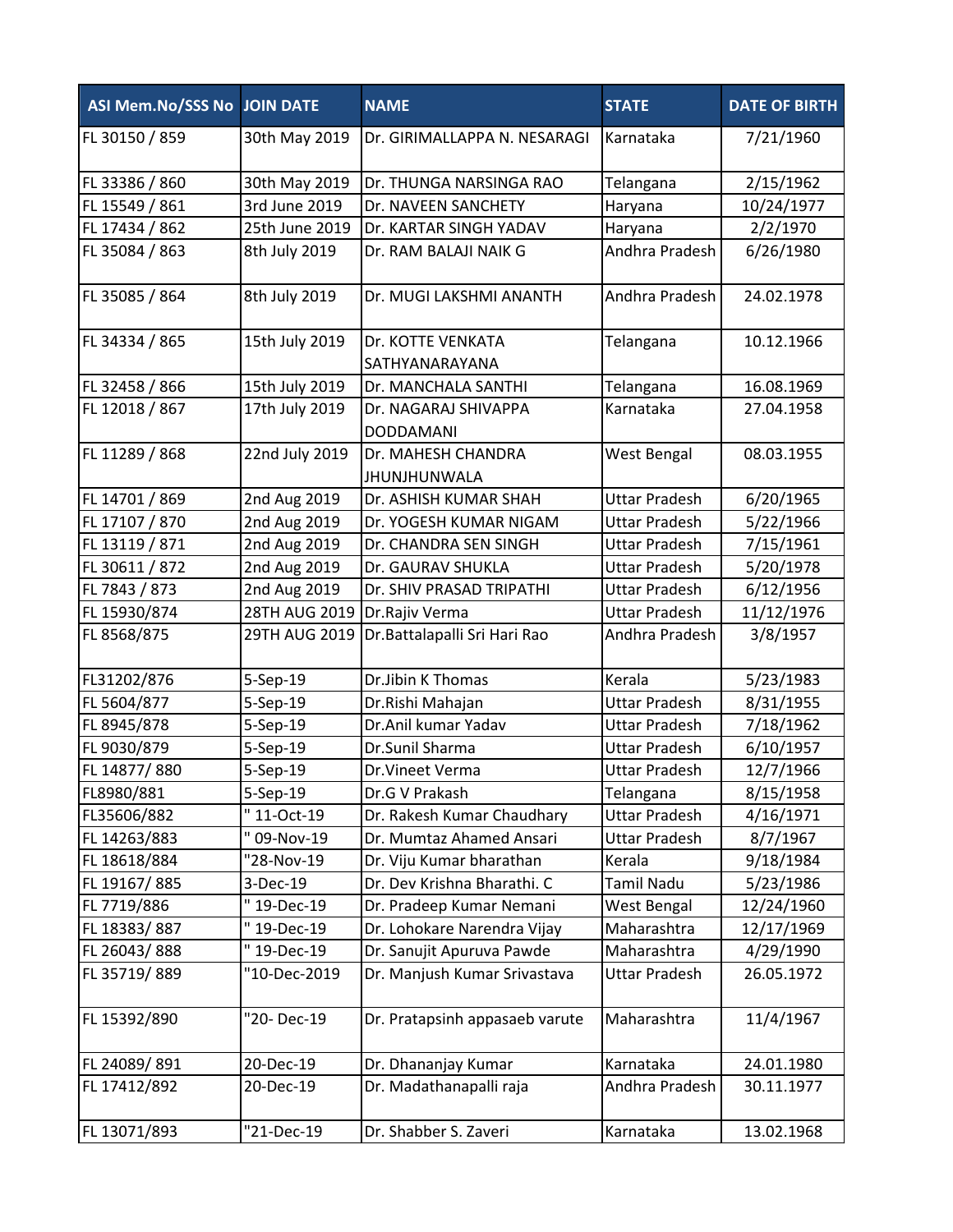| <b>ASI Mem.No/SSS No JOIN DATE</b> |                | <b>NAME</b>                              | <b>STATE</b>         | <b>DATE OF BIRTH</b> |
|------------------------------------|----------------|------------------------------------------|----------------------|----------------------|
| FL 30150 / 859                     | 30th May 2019  | Dr. GIRIMALLAPPA N. NESARAGI             | Karnataka            | 7/21/1960            |
| FL 33386 / 860                     | 30th May 2019  | Dr. THUNGA NARSINGA RAO                  | Telangana            | 2/15/1962            |
| FL 15549 / 861                     | 3rd June 2019  | Dr. NAVEEN SANCHETY                      | Haryana              | 10/24/1977           |
| FL 17434 / 862                     | 25th June 2019 | Dr. KARTAR SINGH YADAV                   | Haryana              | 2/2/1970             |
| FL 35084 / 863                     | 8th July 2019  | Dr. RAM BALAJI NAIK G                    | Andhra Pradesh       | 6/26/1980            |
| FL 35085 / 864                     | 8th July 2019  | Dr. MUGI LAKSHMI ANANTH                  | Andhra Pradesh       | 24.02.1978           |
| FL 34334 / 865                     | 15th July 2019 | Dr. KOTTE VENKATA<br>SATHYANARAYANA      | Telangana            | 10.12.1966           |
| FL 32458 / 866                     | 15th July 2019 | Dr. MANCHALA SANTHI                      | Telangana            | 16.08.1969           |
| FL 12018 / 867                     | 17th July 2019 | Dr. NAGARAJ SHIVAPPA<br><b>DODDAMANI</b> | Karnataka            | 27.04.1958           |
| FL 11289 / 868                     | 22nd July 2019 | Dr. MAHESH CHANDRA<br>JHUNJHUNWALA       | West Bengal          | 08.03.1955           |
| FL 14701 / 869                     | 2nd Aug 2019   | Dr. ASHISH KUMAR SHAH                    | <b>Uttar Pradesh</b> | 6/20/1965            |
| FL 17107 / 870                     | 2nd Aug 2019   | Dr. YOGESH KUMAR NIGAM                   | <b>Uttar Pradesh</b> | 5/22/1966            |
| FL 13119 / 871                     | 2nd Aug 2019   | Dr. CHANDRA SEN SINGH                    | <b>Uttar Pradesh</b> | 7/15/1961            |
| FL 30611 / 872                     | 2nd Aug 2019   | Dr. GAURAV SHUKLA                        | <b>Uttar Pradesh</b> | 5/20/1978            |
| FL 7843 / 873                      | 2nd Aug 2019   | Dr. SHIV PRASAD TRIPATHI                 | <b>Uttar Pradesh</b> | 6/12/1956            |
| FL 15930/874                       | 28TH AUG 2019  | Dr.Rajiv Verma                           | <b>Uttar Pradesh</b> | 11/12/1976           |
| FL 8568/875                        | 29TH AUG 2019  | Dr. Battalapalli Sri Hari Rao            | Andhra Pradesh       | 3/8/1957             |
| FL31202/876                        | 5-Sep-19       | Dr.Jibin K Thomas                        | Kerala               | 5/23/1983            |
| FL 5604/877                        | 5-Sep-19       | Dr.Rishi Mahajan                         | <b>Uttar Pradesh</b> | 8/31/1955            |
| FL 8945/878                        | 5-Sep-19       | Dr.Anil kumar Yadav                      | <b>Uttar Pradesh</b> | 7/18/1962            |
| FL 9030/879                        | 5-Sep-19       | Dr.Sunil Sharma                          | <b>Uttar Pradesh</b> | 6/10/1957            |
| FL 14877/880                       | 5-Sep-19       | Dr.Vineet Verma                          | <b>Uttar Pradesh</b> | 12/7/1966            |
| FL8980/881                         | 5-Sep-19       | Dr.G V Prakash                           | Telangana            | 8/15/1958            |
| FL35606/882                        | "11-Oct-19     | Dr. Rakesh Kumar Chaudhary               | <b>Uttar Pradesh</b> | 4/16/1971            |
| FL 14263/883                       | 09-Nov-19      | Dr. Mumtaz Ahamed Ansari                 | <b>Uttar Pradesh</b> | 8/7/1967             |
| FL 18618/884                       | "28-Nov-19     | Dr. Viju Kumar bharathan                 | Kerala               | 9/18/1984            |
| FL 19167/885                       | 3-Dec-19       | Dr. Dev Krishna Bharathi. C              | Tamil Nadu           | 5/23/1986            |
| FL 7719/886                        | "19-Dec-19     | Dr. Pradeep Kumar Nemani                 | West Bengal          | 12/24/1960           |
| FL 18383/887                       | "19-Dec-19     | Dr. Lohokare Narendra Vijay              | Maharashtra          | 12/17/1969           |
| FL 26043/888                       | "19-Dec-19     | Dr. Sanujit Apuruva Pawde                | Maharashtra          | 4/29/1990            |
| FL 35719/889                       | "10-Dec-2019   | Dr. Manjush Kumar Srivastava             | <b>Uttar Pradesh</b> | 26.05.1972           |
| FL 15392/890                       | "20-Dec-19     | Dr. Pratapsinh appasaeb varute           | Maharashtra          | 11/4/1967            |
| FL 24089/891                       | 20-Dec-19      | Dr. Dhananjay Kumar                      | Karnataka            | 24.01.1980           |
| FL 17412/892                       | 20-Dec-19      | Dr. Madathanapalli raja                  | Andhra Pradesh       | 30.11.1977           |
| FL 13071/893                       | "21-Dec-19     | Dr. Shabber S. Zaveri                    | Karnataka            | 13.02.1968           |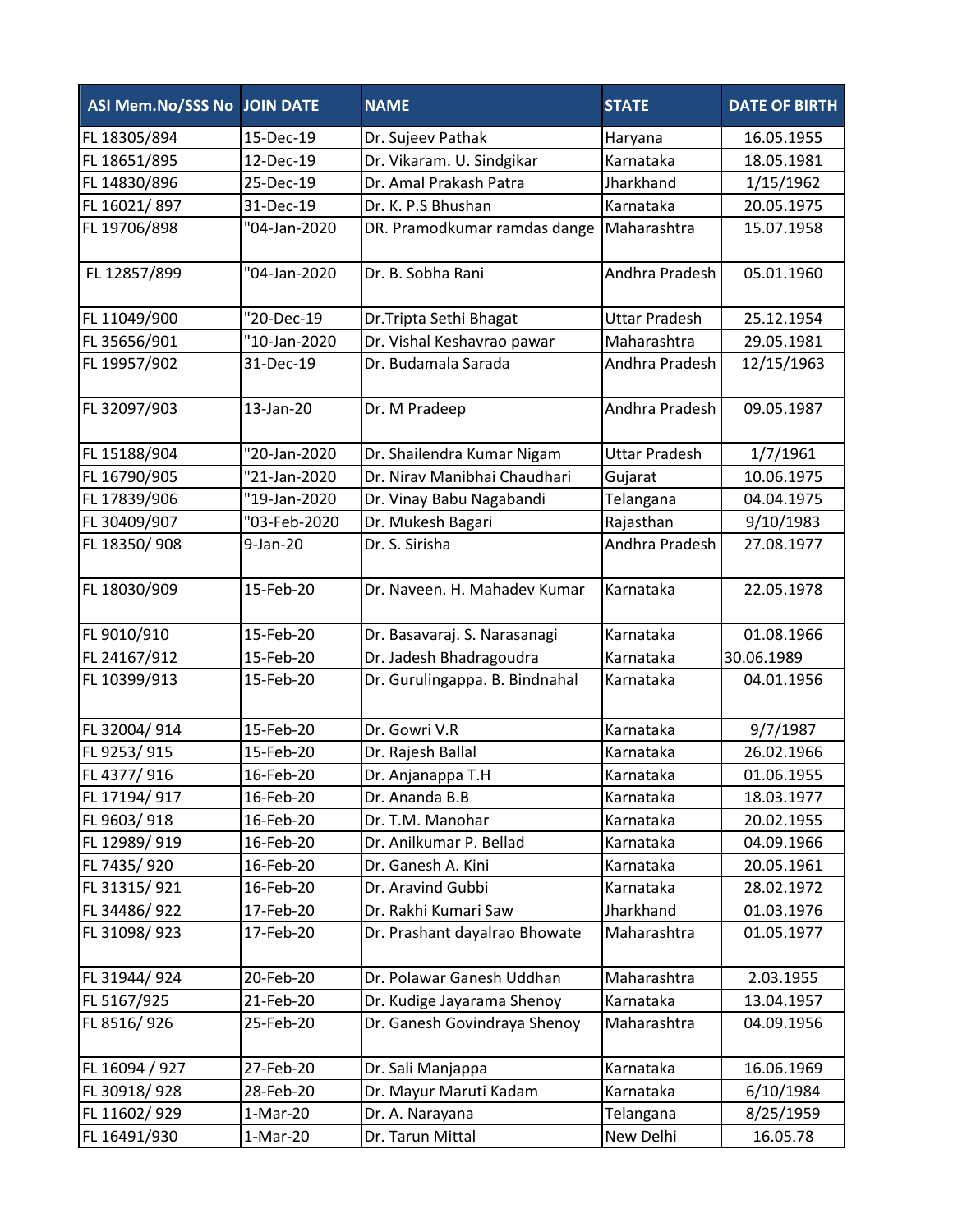| ASI Mem.No/SSS No JOIN DATE |              | <b>NAME</b>                    | <b>STATE</b>         | <b>DATE OF BIRTH</b> |
|-----------------------------|--------------|--------------------------------|----------------------|----------------------|
| FL 18305/894                | 15-Dec-19    | Dr. Sujeev Pathak              | Haryana              | 16.05.1955           |
| FL 18651/895                | 12-Dec-19    | Dr. Vikaram. U. Sindgikar      | Karnataka            | 18.05.1981           |
| FL 14830/896                | 25-Dec-19    | Dr. Amal Prakash Patra         | Jharkhand            | 1/15/1962            |
| FL 16021/897                | 31-Dec-19    | Dr. K. P.S Bhushan             | Karnataka            | 20.05.1975           |
| FL 19706/898                | "04-Jan-2020 | DR. Pramodkumar ramdas dange   | Maharashtra          | 15.07.1958           |
| FL 12857/899                | "04-Jan-2020 | Dr. B. Sobha Rani              | Andhra Pradesh       | 05.01.1960           |
| FL 11049/900                | "20-Dec-19   | Dr. Tripta Sethi Bhagat        | <b>Uttar Pradesh</b> | 25.12.1954           |
| FL 35656/901                | "10-Jan-2020 | Dr. Vishal Keshavrao pawar     | Maharashtra          | 29.05.1981           |
| FL 19957/902                | 31-Dec-19    | Dr. Budamala Sarada            | Andhra Pradesh       | 12/15/1963           |
| FL 32097/903                | 13-Jan-20    | Dr. M Pradeep                  | Andhra Pradesh       | 09.05.1987           |
| FL 15188/904                | "20-Jan-2020 | Dr. Shailendra Kumar Nigam     | <b>Uttar Pradesh</b> | 1/7/1961             |
| FL 16790/905                | "21-Jan-2020 | Dr. Nirav Manibhai Chaudhari   | Gujarat              | 10.06.1975           |
| FL 17839/906                | "19-Jan-2020 | Dr. Vinay Babu Nagabandi       | Telangana            | 04.04.1975           |
| FL 30409/907                | "03-Feb-2020 | Dr. Mukesh Bagari              | Rajasthan            | 9/10/1983            |
| FL 18350/908                | 9-Jan-20     | Dr. S. Sirisha                 | Andhra Pradesh       | 27.08.1977           |
| FL 18030/909                | 15-Feb-20    | Dr. Naveen. H. Mahadev Kumar   | Karnataka            | 22.05.1978           |
| FL 9010/910                 | 15-Feb-20    | Dr. Basavaraj. S. Narasanagi   | Karnataka            | 01.08.1966           |
| FL 24167/912                | 15-Feb-20    | Dr. Jadesh Bhadragoudra        | Karnataka            | 30.06.1989           |
| FL 10399/913                | 15-Feb-20    | Dr. Gurulingappa. B. Bindnahal | Karnataka            | 04.01.1956           |
| FL 32004/914                | 15-Feb-20    | Dr. Gowri V.R                  | Karnataka            | 9/7/1987             |
| FL 9253/915                 | 15-Feb-20    | Dr. Rajesh Ballal              | Karnataka            | 26.02.1966           |
| FL 4377/916                 | 16-Feb-20    | Dr. Anjanappa T.H              | Karnataka            | 01.06.1955           |
| FL 17194/917                | 16-Feb-20    | Dr. Ananda B.B                 | Karnataka            | 18.03.1977           |
| FL 9603/918                 | 16-Feb-20    | Dr. T.M. Manohar               | Karnataka            | 20.02.1955           |
| FL 12989/919                | 16-Feb-20    | Dr. Anilkumar P. Bellad        | Karnataka            | 04.09.1966           |
| FL 7435/920                 | 16-Feb-20    | Dr. Ganesh A. Kini             | Karnataka            | 20.05.1961           |
| FL 31315/921                | 16-Feb-20    | Dr. Aravind Gubbi              | Karnataka            | 28.02.1972           |
| FL 34486/922                | 17-Feb-20    | Dr. Rakhi Kumari Saw           | Jharkhand            | 01.03.1976           |
| FL 31098/923                | 17-Feb-20    | Dr. Prashant dayalrao Bhowate  | Maharashtra          | 01.05.1977           |
| FL 31944/924                | 20-Feb-20    | Dr. Polawar Ganesh Uddhan      | Maharashtra          | 2.03.1955            |
| FL 5167/925                 | 21-Feb-20    | Dr. Kudige Jayarama Shenoy     | Karnataka            | 13.04.1957           |
| FL 8516/926                 | 25-Feb-20    | Dr. Ganesh Govindraya Shenoy   | Maharashtra          | 04.09.1956           |
| FL 16094 / 927              | 27-Feb-20    | Dr. Sali Manjappa              | Karnataka            | 16.06.1969           |
| FL 30918/928                | 28-Feb-20    | Dr. Mayur Maruti Kadam         | Karnataka            | 6/10/1984            |
| FL 11602/929                | $1-Mar-20$   | Dr. A. Narayana                | Telangana            | 8/25/1959            |
| FL 16491/930                | $1-Mar-20$   | Dr. Tarun Mittal               | New Delhi            | 16.05.78             |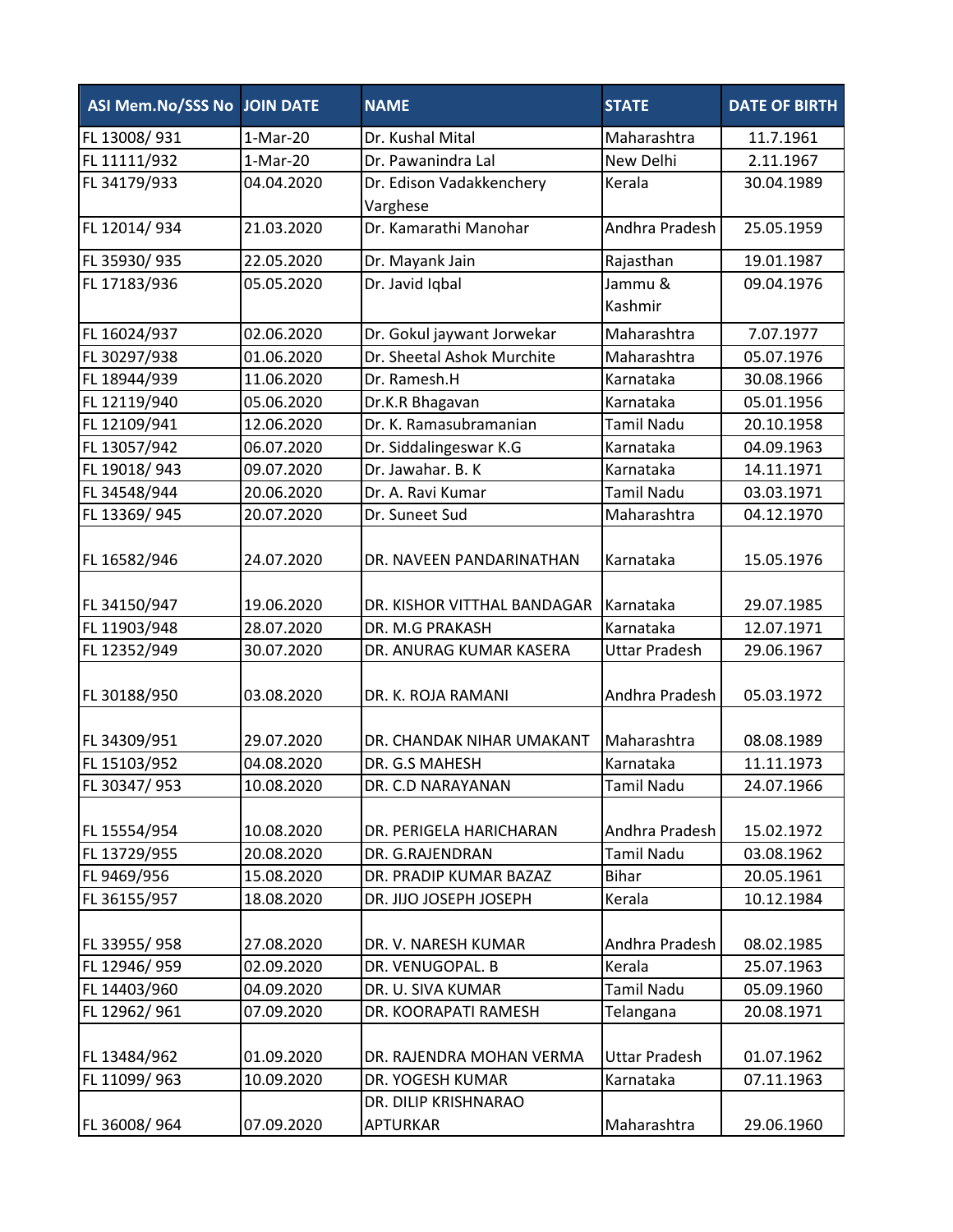| ASI Mem.No/SSS No JOIN DATE |            | <b>NAME</b>                          | <b>STATE</b>         | <b>DATE OF BIRTH</b> |
|-----------------------------|------------|--------------------------------------|----------------------|----------------------|
| FL 13008/931                | 1-Mar-20   | Dr. Kushal Mital                     | Maharashtra          | 11.7.1961            |
| FL 11111/932                | $1-Mar-20$ | Dr. Pawanindra Lal                   | New Delhi            | 2.11.1967            |
| FL 34179/933                | 04.04.2020 | Dr. Edison Vadakkenchery<br>Varghese | Kerala               | 30.04.1989           |
| FL 12014/934                | 21.03.2020 | Dr. Kamarathi Manohar                | Andhra Pradesh       | 25.05.1959           |
| FL 35930/935                | 22.05.2020 | Dr. Mayank Jain                      | Rajasthan            | 19.01.1987           |
| FL 17183/936                | 05.05.2020 | Dr. Javid Iqbal                      | Jammu &<br>Kashmir   | 09.04.1976           |
| FL 16024/937                | 02.06.2020 | Dr. Gokul jaywant Jorwekar           | Maharashtra          | 7.07.1977            |
| FL 30297/938                | 01.06.2020 | Dr. Sheetal Ashok Murchite           | Maharashtra          | 05.07.1976           |
| FL 18944/939                | 11.06.2020 | Dr. Ramesh.H                         | Karnataka            | 30.08.1966           |
|                             | 05.06.2020 |                                      | Karnataka            |                      |
| FL 12119/940                |            | Dr.K.R Bhagavan                      |                      | 05.01.1956           |
| FL 12109/941                | 12.06.2020 | Dr. K. Ramasubramanian               | <b>Tamil Nadu</b>    | 20.10.1958           |
| FL 13057/942                | 06.07.2020 | Dr. Siddalingeswar K.G               | Karnataka            | 04.09.1963           |
| FL 19018/943                | 09.07.2020 | Dr. Jawahar. B. K                    | Karnataka            | 14.11.1971           |
| FL 34548/944                | 20.06.2020 | Dr. A. Ravi Kumar                    | <b>Tamil Nadu</b>    | 03.03.1971           |
| FL 13369/945                | 20.07.2020 | Dr. Suneet Sud                       | Maharashtra          | 04.12.1970           |
| FL 16582/946                | 24.07.2020 | DR. NAVEEN PANDARINATHAN             | Karnataka            | 15.05.1976           |
| FL 34150/947                | 19.06.2020 | DR. KISHOR VITTHAL BANDAGAR          | Karnataka            | 29.07.1985           |
| FL 11903/948                | 28.07.2020 | DR. M.G PRAKASH                      | Karnataka            | 12.07.1971           |
| FL 12352/949                | 30.07.2020 | DR. ANURAG KUMAR KASERA              | <b>Uttar Pradesh</b> | 29.06.1967           |
| FL 30188/950                | 03.08.2020 | DR. K. ROJA RAMANI                   | Andhra Pradesh       | 05.03.1972           |
| FL 34309/951                | 29.07.2020 | DR. CHANDAK NIHAR UMAKANT            | Maharashtra          | 08.08.1989           |
| FL 15103/952                | 04.08.2020 | DR. G.S MAHESH                       | Karnataka            | 11.11.1973           |
| FL 30347/ 953               | 10.08.2020 | DR. C.D NARAYANAN                    | Tamil Nadu           | 24.07.1966           |
| FL 15554/954                | 10.08.2020 | DR. PERIGELA HARICHARAN              | Andhra Pradesh       | 15.02.1972           |
| FL 13729/955                | 20.08.2020 | DR. G.RAJENDRAN                      | <b>Tamil Nadu</b>    | 03.08.1962           |
| FL 9469/956                 | 15.08.2020 | DR. PRADIP KUMAR BAZAZ               | <b>Bihar</b>         | 20.05.1961           |
| FL 36155/957                | 18.08.2020 | DR. JIJO JOSEPH JOSEPH               | Kerala               | 10.12.1984           |
| FL 33955/958                | 27.08.2020 | DR. V. NARESH KUMAR                  | Andhra Pradesh       | 08.02.1985           |
| FL 12946/959                | 02.09.2020 | DR. VENUGOPAL. B                     | Kerala               | 25.07.1963           |
| FL 14403/960                | 04.09.2020 | DR. U. SIVA KUMAR                    | <b>Tamil Nadu</b>    | 05.09.1960           |
| FL 12962/961                | 07.09.2020 | DR. KOORAPATI RAMESH                 | Telangana            | 20.08.1971           |
| FL 13484/962                | 01.09.2020 | DR. RAJENDRA MOHAN VERMA             | <b>Uttar Pradesh</b> | 01.07.1962           |
| FL 11099/963                | 10.09.2020 | DR. YOGESH KUMAR                     | Karnataka            | 07.11.1963           |
|                             |            | DR. DILIP KRISHNARAO                 |                      |                      |
| FL 36008/964                | 07.09.2020 | <b>APTURKAR</b>                      | Maharashtra          | 29.06.1960           |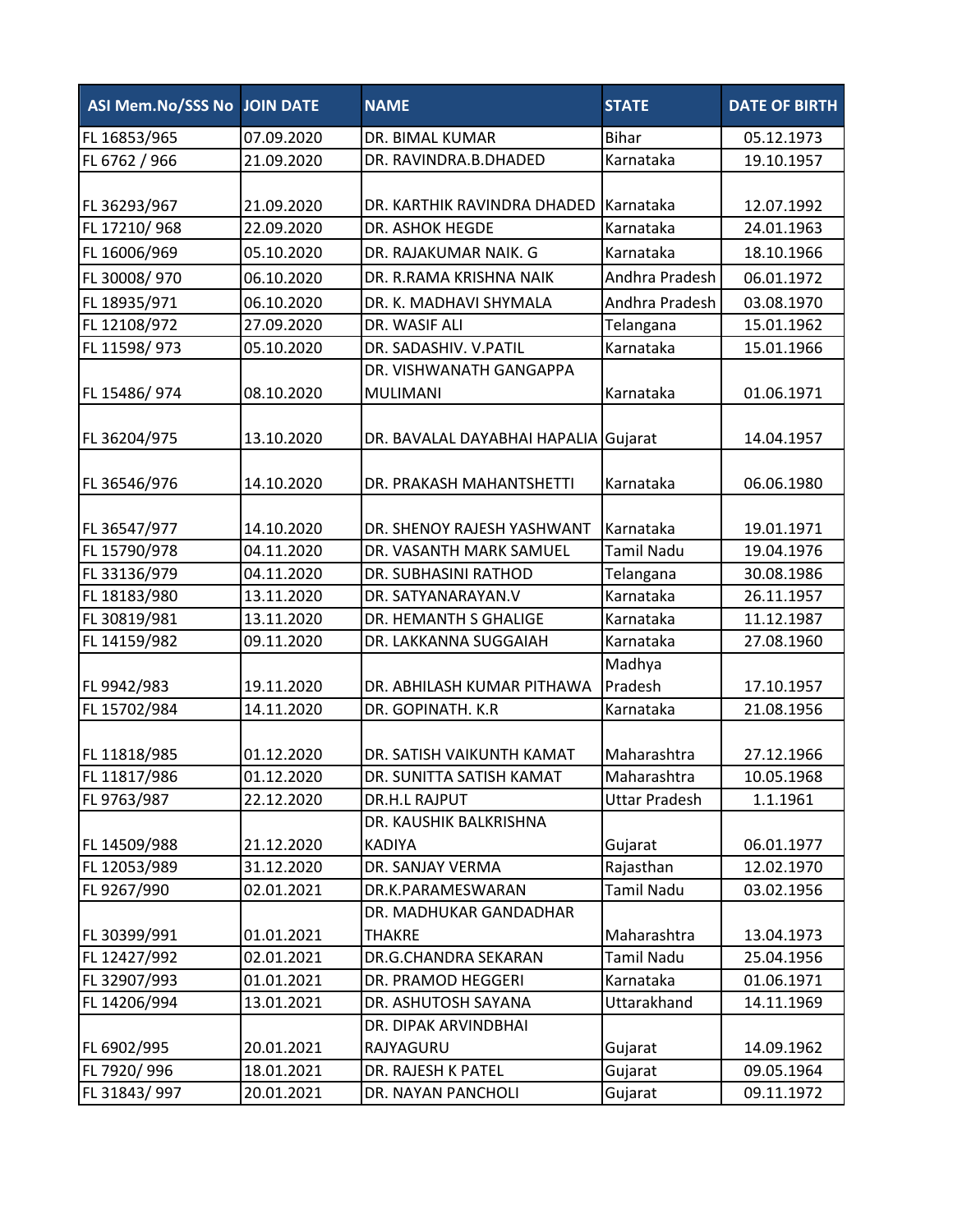| ASI Mem.No/SSS No JOIN DATE |            | <b>NAME</b>                          | <b>STATE</b>         | <b>DATE OF BIRTH</b> |
|-----------------------------|------------|--------------------------------------|----------------------|----------------------|
| FL 16853/965                | 07.09.2020 | DR. BIMAL KUMAR                      | <b>Bihar</b>         | 05.12.1973           |
| FL 6762 / 966               | 21.09.2020 | DR. RAVINDRA.B.DHADED                | Karnataka            | 19.10.1957           |
|                             |            |                                      |                      |                      |
| FL 36293/967                | 21.09.2020 | DR. KARTHIK RAVINDRA DHADED          | Karnataka            | 12.07.1992           |
| FL 17210/968                | 22.09.2020 | DR. ASHOK HEGDE                      | Karnataka            | 24.01.1963           |
| FL 16006/969                | 05.10.2020 | DR. RAJAKUMAR NAIK. G                | Karnataka            | 18.10.1966           |
| FL 30008/970                | 06.10.2020 | DR. R.RAMA KRISHNA NAIK              | Andhra Pradesh       | 06.01.1972           |
| FL 18935/971                | 06.10.2020 | DR. K. MADHAVI SHYMALA               | Andhra Pradesh       | 03.08.1970           |
| FL 12108/972                | 27.09.2020 | DR. WASIF ALI                        | Telangana            | 15.01.1962           |
| FL 11598/973                | 05.10.2020 | DR. SADASHIV. V.PATIL                | Karnataka            | 15.01.1966           |
|                             |            | DR. VISHWANATH GANGAPPA              |                      |                      |
| FL 15486/974                | 08.10.2020 | <b>MULIMANI</b>                      | Karnataka            | 01.06.1971           |
|                             |            |                                      |                      |                      |
| FL 36204/975                | 13.10.2020 | DR. BAVALAL DAYABHAI HAPALIA Gujarat |                      | 14.04.1957           |
|                             |            |                                      |                      |                      |
| FL 36546/976                | 14.10.2020 | DR. PRAKASH MAHANTSHETTI             | Karnataka            | 06.06.1980           |
|                             |            |                                      |                      |                      |
| FL 36547/977                | 14.10.2020 | DR. SHENOY RAJESH YASHWANT           | Karnataka            | 19.01.1971           |
| FL 15790/978                | 04.11.2020 | DR. VASANTH MARK SAMUEL              | <b>Tamil Nadu</b>    | 19.04.1976           |
| FL 33136/979                | 04.11.2020 | DR. SUBHASINI RATHOD                 | Telangana            | 30.08.1986           |
| FL 18183/980                | 13.11.2020 | DR. SATYANARAYAN.V                   | Karnataka            | 26.11.1957           |
| FL 30819/981                | 13.11.2020 | DR. HEMANTH S GHALIGE                | Karnataka            | 11.12.1987           |
| FL 14159/982                | 09.11.2020 | DR. LAKKANNA SUGGAIAH                | Karnataka            | 27.08.1960           |
|                             |            |                                      | Madhya               |                      |
| FL 9942/983                 | 19.11.2020 | DR. ABHILASH KUMAR PITHAWA           | Pradesh              | 17.10.1957           |
| FL 15702/984                | 14.11.2020 | DR. GOPINATH. K.R                    | Karnataka            | 21.08.1956           |
|                             |            |                                      |                      |                      |
| FL 11818/985                | 01.12.2020 | DR. SATISH VAIKUNTH KAMAT            | Maharashtra          | 27.12.1966           |
| FL 11817/986                | 01.12.2020 | DR. SUNITTA SATISH KAMAT             | Maharashtra          | 10.05.1968           |
| FL 9763/987                 | 22.12.2020 | DR.H.L RAJPUT                        | <b>Uttar Pradesh</b> | 1.1.1961             |
|                             |            | DR. KAUSHIK BALKRISHNA               |                      |                      |
| FL 14509/988                | 21.12.2020 | <b>KADIYA</b>                        | Gujarat              | 06.01.1977           |
| FL 12053/989                | 31.12.2020 | DR. SANJAY VERMA                     | Rajasthan            | 12.02.1970           |
| FL 9267/990                 | 02.01.2021 | DR.K.PARAMESWARAN                    | <b>Tamil Nadu</b>    | 03.02.1956           |
|                             |            | DR. MADHUKAR GANDADHAR               |                      |                      |
| FL 30399/991                | 01.01.2021 | <b>THAKRE</b>                        | Maharashtra          | 13.04.1973           |
| FL 12427/992                | 02.01.2021 | DR.G.CHANDRA SEKARAN                 | <b>Tamil Nadu</b>    | 25.04.1956           |
| FL 32907/993                | 01.01.2021 | DR. PRAMOD HEGGERI                   | Karnataka            | 01.06.1971           |
| FL 14206/994                | 13.01.2021 | DR. ASHUTOSH SAYANA                  | Uttarakhand          | 14.11.1969           |
|                             |            | DR. DIPAK ARVINDBHAI                 |                      |                      |
| FL 6902/995                 | 20.01.2021 | RAJYAGURU                            | Gujarat              | 14.09.1962           |
| FL 7920/996                 | 18.01.2021 | DR. RAJESH K PATEL                   | Gujarat              | 09.05.1964           |
| FL 31843/997                | 20.01.2021 | DR. NAYAN PANCHOLI                   | Gujarat              | 09.11.1972           |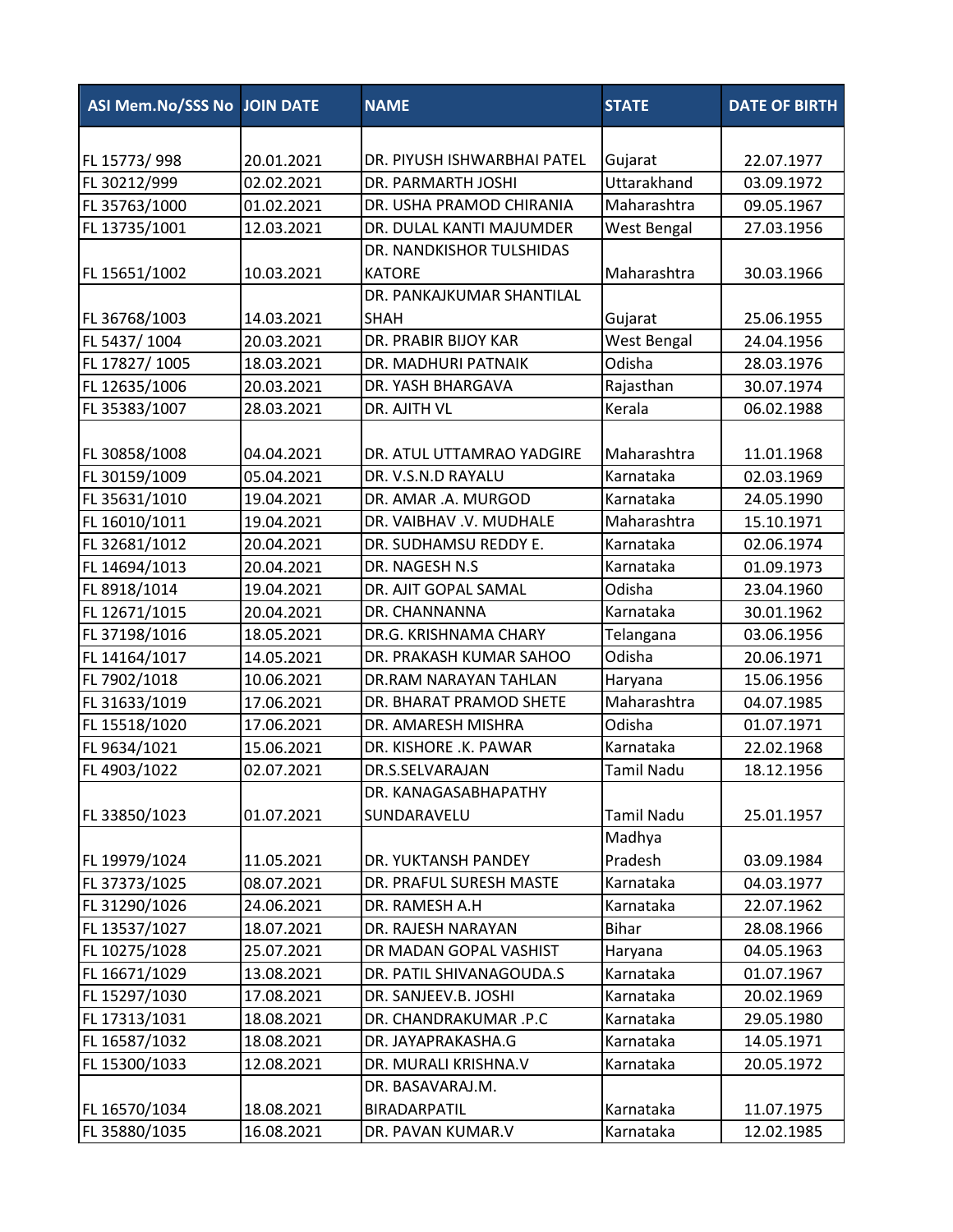| <b>ASI Mem.No/SSS No JOIN DATE</b> |            | <b>NAME</b>                 | <b>STATE</b>      | <b>DATE OF BIRTH</b> |
|------------------------------------|------------|-----------------------------|-------------------|----------------------|
|                                    |            |                             |                   |                      |
| FL 15773/998                       | 20.01.2021 | DR. PIYUSH ISHWARBHAI PATEL | Gujarat           | 22.07.1977           |
| FL 30212/999                       | 02.02.2021 | DR. PARMARTH JOSHI          | Uttarakhand       | 03.09.1972           |
| FL 35763/1000                      | 01.02.2021 | DR. USHA PRAMOD CHIRANIA    | Maharashtra       | 09.05.1967           |
| FL 13735/1001                      | 12.03.2021 | DR. DULAL KANTI MAJUMDER    | West Bengal       | 27.03.1956           |
|                                    |            | DR. NANDKISHOR TULSHIDAS    |                   |                      |
| FL 15651/1002                      | 10.03.2021 | <b>KATORE</b>               | Maharashtra       | 30.03.1966           |
|                                    |            | DR. PANKAJKUMAR SHANTILAL   |                   |                      |
| FL 36768/1003                      | 14.03.2021 | <b>SHAH</b>                 | Gujarat           | 25.06.1955           |
| FL 5437/1004                       | 20.03.2021 | DR. PRABIR BIJOY KAR        | West Bengal       | 24.04.1956           |
| FL 17827/1005                      | 18.03.2021 | DR. MADHURI PATNAIK         | Odisha            | 28.03.1976           |
| FL 12635/1006                      | 20.03.2021 | DR. YASH BHARGAVA           | Rajasthan         | 30.07.1974           |
| FL 35383/1007                      | 28.03.2021 | DR. AJITH VL                | Kerala            | 06.02.1988           |
|                                    |            |                             |                   |                      |
| FL 30858/1008                      | 04.04.2021 | DR. ATUL UTTAMRAO YADGIRE   | Maharashtra       | 11.01.1968           |
| FL 30159/1009                      | 05.04.2021 | DR. V.S.N.D RAYALU          | Karnataka         | 02.03.1969           |
| FL 35631/1010                      | 19.04.2021 | DR. AMAR .A. MURGOD         | Karnataka         | 24.05.1990           |
| FL 16010/1011                      | 19.04.2021 | DR. VAIBHAV .V. MUDHALE     | Maharashtra       | 15.10.1971           |
| FL 32681/1012                      | 20.04.2021 | DR. SUDHAMSU REDDY E.       | Karnataka         | 02.06.1974           |
| FL 14694/1013                      | 20.04.2021 | DR. NAGESH N.S              | Karnataka         | 01.09.1973           |
| FL 8918/1014                       | 19.04.2021 | DR. AJIT GOPAL SAMAL        | Odisha            | 23.04.1960           |
| FL 12671/1015                      | 20.04.2021 | DR. CHANNANNA               | Karnataka         | 30.01.1962           |
| FL 37198/1016                      | 18.05.2021 | DR.G. KRISHNAMA CHARY       | Telangana         | 03.06.1956           |
| FL 14164/1017                      | 14.05.2021 | DR. PRAKASH KUMAR SAHOO     | Odisha            | 20.06.1971           |
| FL 7902/1018                       | 10.06.2021 | DR.RAM NARAYAN TAHLAN       | Haryana           | 15.06.1956           |
| FL 31633/1019                      | 17.06.2021 | DR. BHARAT PRAMOD SHETE     | Maharashtra       | 04.07.1985           |
| FL 15518/1020                      | 17.06.2021 | DR. AMARESH MISHRA          | Odisha            | 01.07.1971           |
| FL 9634/1021                       | 15.06.2021 | DR. KISHORE .K. PAWAR       | Karnataka         | 22.02.1968           |
| FL 4903/1022                       | 02.07.2021 | DR.S.SELVARAJAN             | <b>Tamil Nadu</b> | 18.12.1956           |
|                                    |            | DR. KANAGASABHAPATHY        |                   |                      |
| FL 33850/1023                      | 01.07.2021 | SUNDARAVELU                 | Tamil Nadu        | 25.01.1957           |
|                                    |            |                             | Madhya            |                      |
| FL 19979/1024                      | 11.05.2021 | DR. YUKTANSH PANDEY         | Pradesh           | 03.09.1984           |
| FL 37373/1025                      | 08.07.2021 | DR. PRAFUL SURESH MASTE     | Karnataka         | 04.03.1977           |
| FL 31290/1026                      | 24.06.2021 | DR. RAMESH A.H              | Karnataka         | 22.07.1962           |
| FL 13537/1027                      | 18.07.2021 | DR. RAJESH NARAYAN          | <b>Bihar</b>      | 28.08.1966           |
| FL 10275/1028                      | 25.07.2021 | DR MADAN GOPAL VASHIST      | Haryana           | 04.05.1963           |
| FL 16671/1029                      | 13.08.2021 | DR. PATIL SHIVANAGOUDA.S    | Karnataka         | 01.07.1967           |
| FL 15297/1030                      | 17.08.2021 | DR. SANJEEV.B. JOSHI        | Karnataka         | 20.02.1969           |
| FL 17313/1031                      | 18.08.2021 | DR. CHANDRAKUMAR .P.C       | Karnataka         | 29.05.1980           |
| FL 16587/1032                      | 18.08.2021 | DR. JAYAPRAKASHA.G          | Karnataka         | 14.05.1971           |
| FL 15300/1033                      | 12.08.2021 | DR. MURALI KRISHNA.V        | Karnataka         | 20.05.1972           |
|                                    |            | DR. BASAVARAJ.M.            |                   |                      |
| FL 16570/1034                      | 18.08.2021 | BIRADARPATIL                | Karnataka         | 11.07.1975           |
| FL 35880/1035                      | 16.08.2021 | DR. PAVAN KUMAR.V           | Karnataka         | 12.02.1985           |